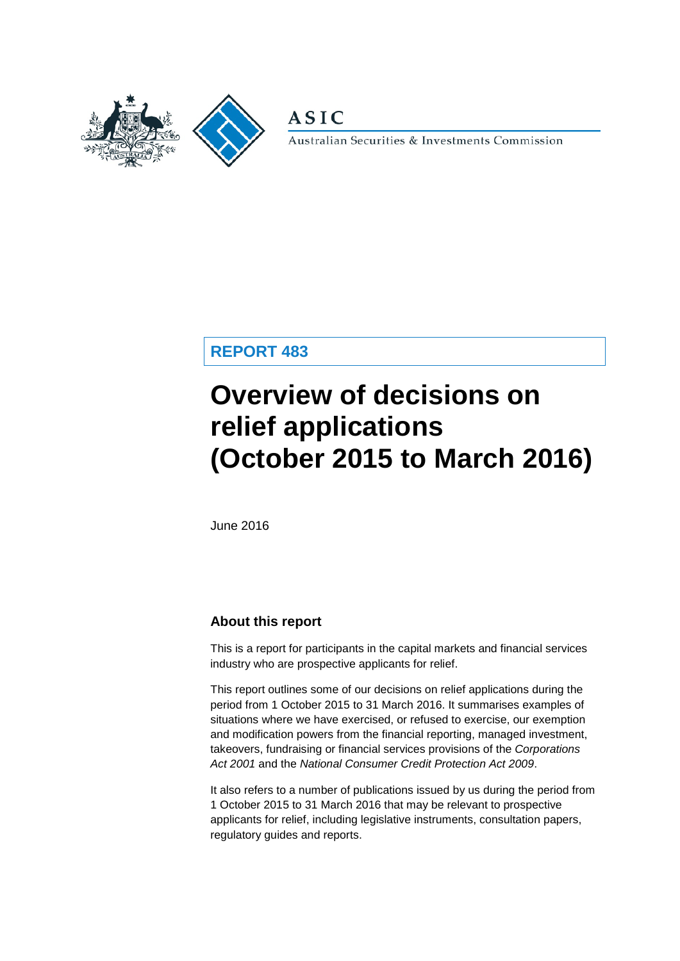

**ASIC** 

Australian Securities & Investments Commission

**REPORT 483**

# **Overview of decisions on relief applications (October 2015 to March 2016)**

June 2016

### **About this report**

This is a report for participants in the capital markets and financial services industry who are prospective applicants for relief.

This report outlines some of our decisions on relief applications during the period from 1 October 2015 to 31 March 2016. It summarises examples of situations where we have exercised, or refused to exercise, our exemption and modification powers from the financial reporting, managed investment, takeovers, fundraising or financial services provisions of the *Corporations Act 2001* and the *National Consumer Credit Protection Act 2009*.

It also refers to a number of publications issued by us during the period from 1 October 2015 to 31 March 2016 that may be relevant to prospective applicants for relief, including legislative instruments, consultation papers, regulatory guides and reports.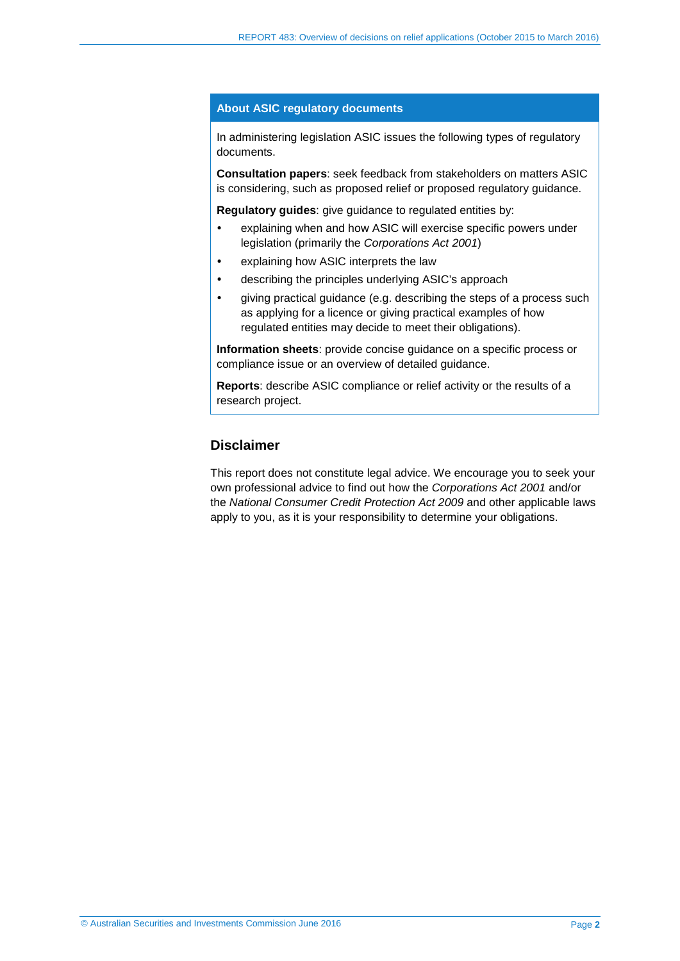#### **About ASIC regulatory documents**

In administering legislation ASIC issues the following types of regulatory documents.

**Consultation papers**: seek feedback from stakeholders on matters ASIC is considering, such as proposed relief or proposed regulatory guidance.

**Regulatory guides**: give guidance to regulated entities by:

- explaining when and how ASIC will exercise specific powers under legislation (primarily the *Corporations Act 2001*)
- explaining how ASIC interprets the law
- describing the principles underlying ASIC's approach
- giving practical guidance (e.g. describing the steps of a process such as applying for a licence or giving practical examples of how regulated entities may decide to meet their obligations).

**Information sheets**: provide concise guidance on a specific process or compliance issue or an overview of detailed guidance.

**Reports**: describe ASIC compliance or relief activity or the results of a research project.

# **Disclaimer**

This report does not constitute legal advice. We encourage you to seek your own professional advice to find out how the *Corporations Act 2001* and/or the *National Consumer Credit Protection Act 2009* and other applicable laws apply to you, as it is your responsibility to determine your obligations.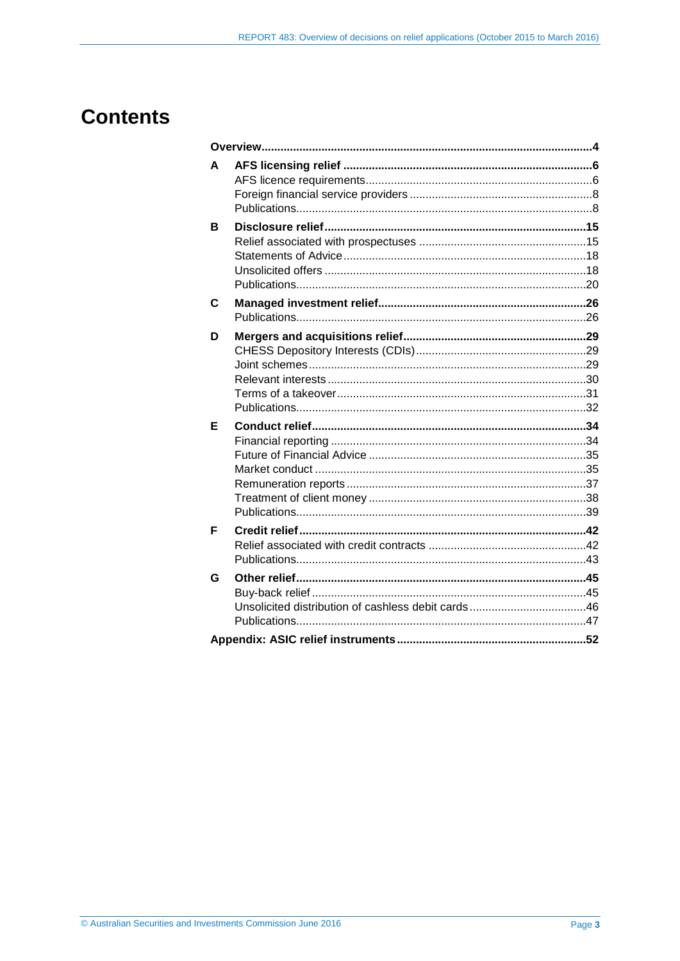# **Contents**

| A |  |
|---|--|
| В |  |
| C |  |
| D |  |
| Е |  |
| F |  |
| G |  |
|   |  |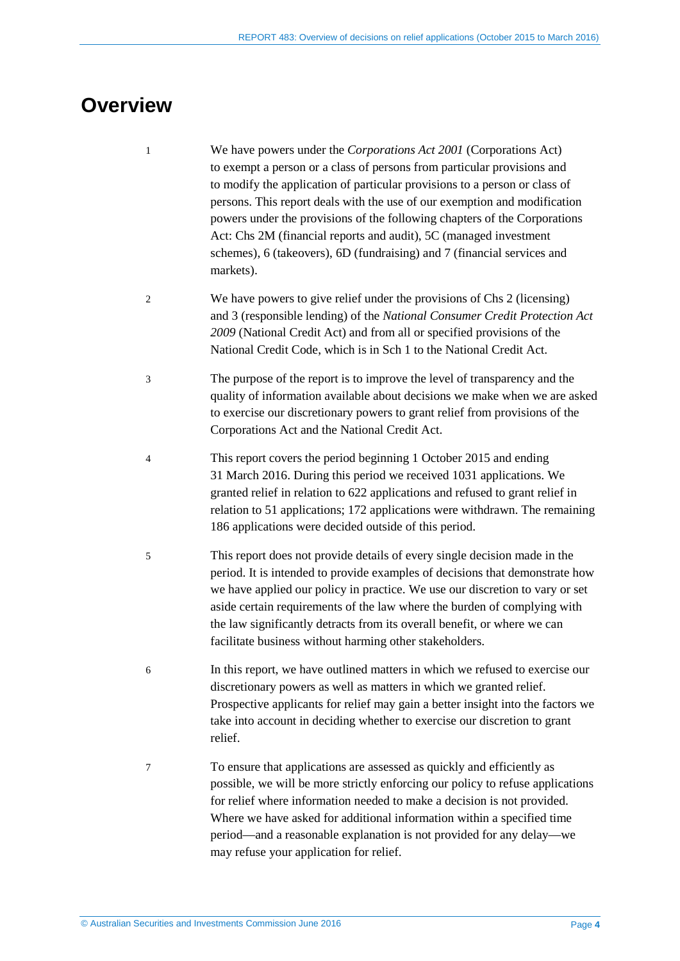# <span id="page-3-0"></span>**Overview**

- 1 We have powers under the *Corporations Act 2001* (Corporations Act) to exempt a person or a class of persons from particular provisions and to modify the application of particular provisions to a person or class of persons. This report deals with the use of our exemption and modification powers under the provisions of the following chapters of the Corporations Act: Chs 2M (financial reports and audit), 5C (managed investment schemes), 6 (takeovers), 6D (fundraising) and 7 (financial services and markets).
- 2 We have powers to give relief under the provisions of Chs 2 (licensing) and 3 (responsible lending) of the *National Consumer Credit Protection Act 2009* (National Credit Act) and from all or specified provisions of the National Credit Code, which is in Sch 1 to the National Credit Act.
- 3 The purpose of the report is to improve the level of transparency and the quality of information available about decisions we make when we are asked to exercise our discretionary powers to grant relief from provisions of the Corporations Act and the National Credit Act.
- 4 This report covers the period beginning 1 October 2015 and ending 31 March 2016. During this period we received 1031 applications. We granted relief in relation to 622 applications and refused to grant relief in relation to 51 applications; 172 applications were withdrawn. The remaining 186 applications were decided outside of this period.
- 5 This report does not provide details of every single decision made in the period. It is intended to provide examples of decisions that demonstrate how we have applied our policy in practice. We use our discretion to vary or set aside certain requirements of the law where the burden of complying with the law significantly detracts from its overall benefit, or where we can facilitate business without harming other stakeholders.
- 6 In this report, we have outlined matters in which we refused to exercise our discretionary powers as well as matters in which we granted relief. Prospective applicants for relief may gain a better insight into the factors we take into account in deciding whether to exercise our discretion to grant relief.
- 7 To ensure that applications are assessed as quickly and efficiently as possible, we will be more strictly enforcing our policy to refuse applications for relief where information needed to make a decision is not provided. Where we have asked for additional information within a specified time period—and a reasonable explanation is not provided for any delay—we may refuse your application for relief.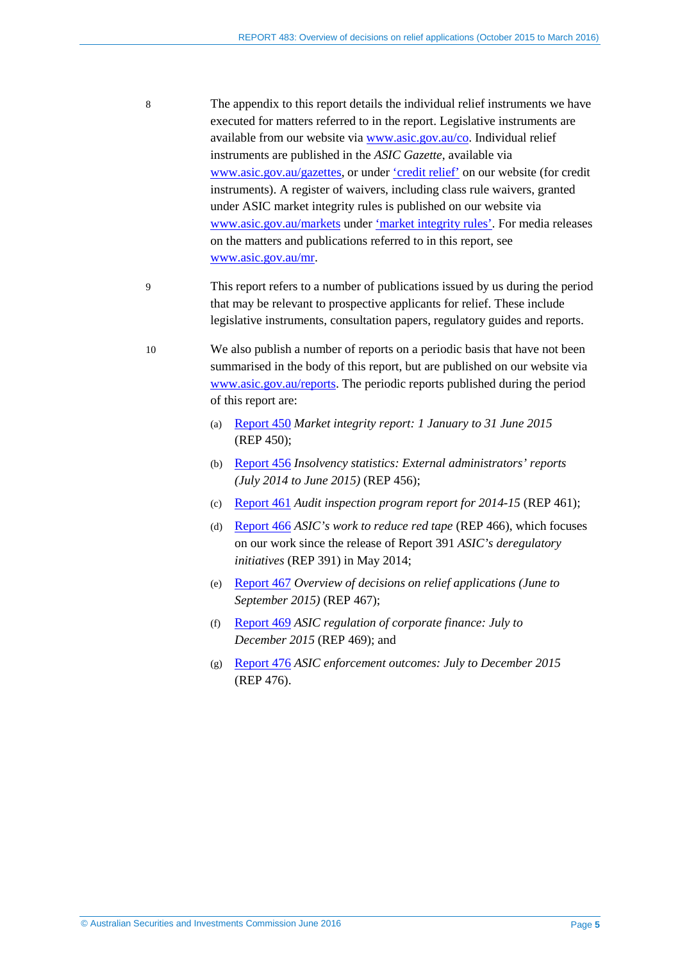- 8 The appendix to this report details the individual relief instruments we have executed for matters referred to in the report. Legislative instruments are available from our website via [www.asic.gov.au/co.](http://www.asic.gov.au/co) Individual relief instruments are published in the *ASIC Gazette*, available via [www.asic.gov.au/gazettes,](http://www.asic.gov.au/gazettes) or under ['credit](http://asic.gov.au/regulatory-resources/credit/credit-relief/) relief' on our website (for credit instruments). A register of waivers, including class rule waivers, granted under ASIC market integrity rules is published on our website via [www.asic.gov.au/markets](http://www.asic.gov.au/markets) under 'market [integrity](http://www.asic.gov.au/regulatory-resources/markets/market-integrity-rules/register-of-waivers-granted-under-asic-market-integrity-rules/) rules'. For media releases on the matters and publications referred to in this report, see [www.asic.gov.au/mr.](http://www.asic.gov.au/mr)
- 9 This report refers to a number of publications issued by us during the period that may be relevant to prospective applicants for relief. These include legislative instruments, consultation papers, regulatory guides and reports.
- 10 We also publish a number of reports on a periodic basis that have not been summarised in the body of this report, but are published on our website via [www.asic.gov.au/reports.](http://www.asic.gov.au/reports) The periodic reports published during the period of this report are:
	- (a) [Report 450](http://www.asic.gov.au/regulatory-resources/find-a-document/reports/rep-450-market-integrity-report-1-january-to-31-june-2015/) *Market integrity report: 1 January to 31 June 2015*  (REP 450);
	- (b) [Report 456](http://www.asic.gov.au/regulatory-resources/find-a-document/reports/rep-456-insolvency-statistics-external-administrators-reports-july-2014-to-june-2015/) *Insolvency statistics: External administrators' reports (July 2014 to June 2015)* (REP 456);
	- (c) [Report 461](http://www.asic.gov.au/regulatory-resources/find-a-document/reports/rep-461-audit-inspection-program-report-for-2014-15/) *Audit inspection program report for 2014-15* (REP 461);
	- (d) [Report 466](http://www.asic.gov.au/regulatory-resources/find-a-document/reports/rep-466-asic-s-work-to-reduce-red-tape/) *ASIC's work to reduce red tape* (REP 466), which focuses on our work since the release of Report 391 *ASIC's deregulatory initiatives* (REP 391) in May 2014;
	- (e) [Report 467](http://www.asic.gov.au/regulatory-resources/find-a-document/reports/rep-467-overview-of-decisions-on-relief-applications-june-to-september-2015/) *Overview of decisions on relief applications (June to September 2015)* (REP 467);
	- (f) [Report 469](http://www.asic.gov.au/regulatory-resources/find-a-document/reports/rep-469-asic-regulation-of-corporate-finance-july-to-december-2015/) *ASIC regulation of corporate finance: July to December 2015* (REP 469); and
	- (g) [Report 476](http://www.asic.gov.au/regulatory-resources/find-a-document/reports/rep-476-asic-enforcement-outcomes-july-to-december-2015/) *ASIC enforcement outcomes: July to December 2015* (REP 476).

© Australian Securities and Investments Commission June 2016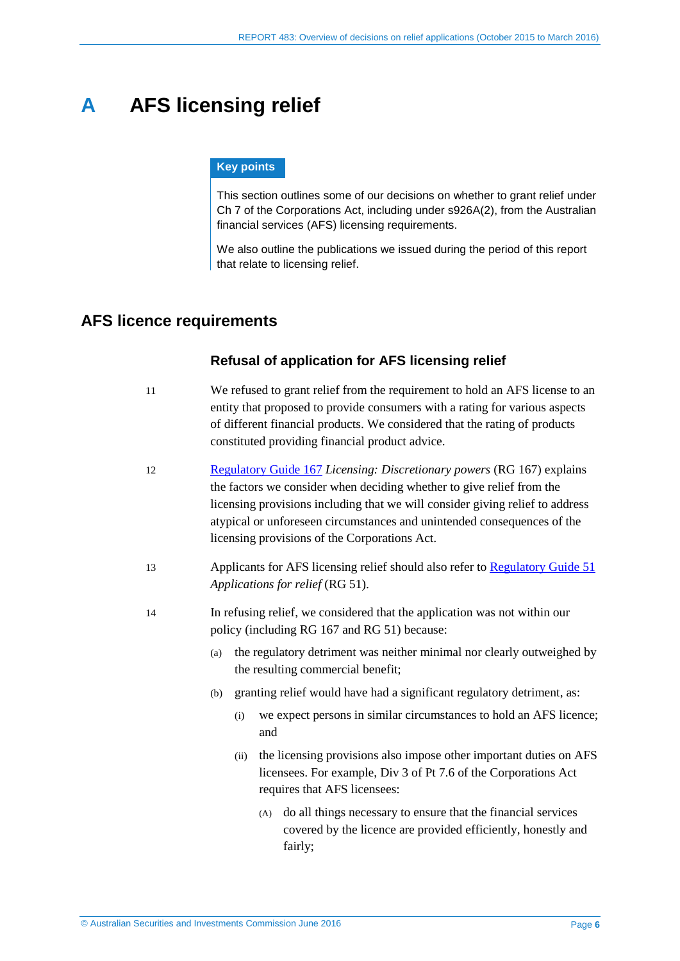# <span id="page-5-0"></span>**A AFS licensing relief**

#### **Key points**

This section outlines some of our decisions on whether to grant relief under Ch 7 of the Corporations Act, including under s926A(2), from the Australian financial services (AFS) licensing requirements.

We also outline the publications we issued during the period of this report that relate to licensing relief.

# <span id="page-5-1"></span>**AFS licence requirements**

#### **Refusal of application for AFS licensing relief**

- 11 We refused to grant relief from the requirement to hold an AFS license to an entity that proposed to provide consumers with a rating for various aspects of different financial products. We considered that the rating of products constituted providing financial product advice.
- 12 [Regulatory Guide 167](http://www.asic.gov.au/regulatory-resources/find-a-document/regulatory-guides/rg-167-licensing-discretionary-powers/) *Licensing: Discretionary powers* (RG 167) explains the factors we consider when deciding whether to give relief from the licensing provisions including that we will consider giving relief to address atypical or unforeseen circumstances and unintended consequences of the licensing provisions of the Corporations Act.
- 13 Applicants for AFS licensing relief should also refer to [Regulatory Guide 51](http://www.asic.gov.au/regulatory-resources/find-a-document/regulatory-guides/rg-51-applications-for-relief/) *Applications for relief* (RG 51).
- 14 In refusing relief, we considered that the application was not within our policy (including RG 167 and RG 51) because:
	- (a) the regulatory detriment was neither minimal nor clearly outweighed by the resulting commercial benefit;
	- (b) granting relief would have had a significant regulatory detriment, as:
		- (i) we expect persons in similar circumstances to hold an AFS licence; and
		- (ii) the licensing provisions also impose other important duties on AFS licensees. For example, Div 3 of Pt 7.6 of the Corporations Act requires that AFS licensees:
			- (A) do all things necessary to ensure that the financial services covered by the licence are provided efficiently, honestly and fairly;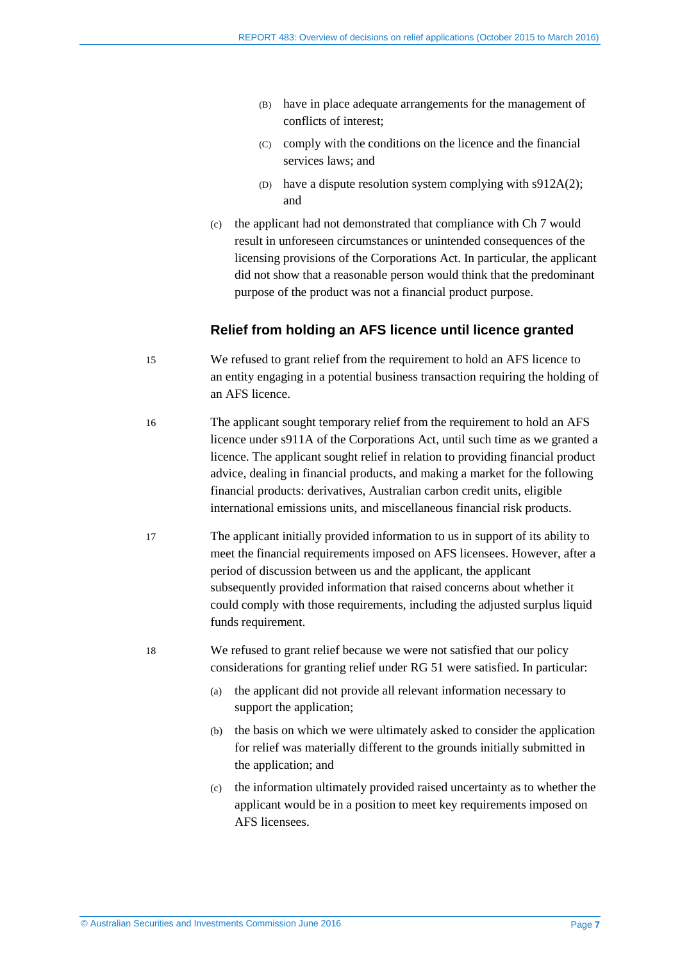- (B) have in place adequate arrangements for the management of conflicts of interest;
- (C) comply with the conditions on the licence and the financial services laws; and
- (D) have a dispute resolution system complying with s912A(2); and
- (c) the applicant had not demonstrated that compliance with Ch 7 would result in unforeseen circumstances or unintended consequences of the licensing provisions of the Corporations Act. In particular, the applicant did not show that a reasonable person would think that the predominant purpose of the product was not a financial product purpose.

#### **Relief from holding an AFS licence until licence granted**

- 15 We refused to grant relief from the requirement to hold an AFS licence to an entity engaging in a potential business transaction requiring the holding of an AFS licence.
- 16 The applicant sought temporary relief from the requirement to hold an AFS licence under s911A of the Corporations Act, until such time as we granted a licence. The applicant sought relief in relation to providing financial product advice, dealing in financial products, and making a market for the following financial products: derivatives, Australian carbon credit units, eligible international emissions units, and miscellaneous financial risk products.
- 17 The applicant initially provided information to us in support of its ability to meet the financial requirements imposed on AFS licensees. However, after a period of discussion between us and the applicant, the applicant subsequently provided information that raised concerns about whether it could comply with those requirements, including the adjusted surplus liquid funds requirement.
- 18 We refused to grant relief because we were not satisfied that our policy considerations for granting relief under RG 51 were satisfied. In particular:
	- (a) the applicant did not provide all relevant information necessary to support the application;
	- (b) the basis on which we were ultimately asked to consider the application for relief was materially different to the grounds initially submitted in the application; and
	- (c) the information ultimately provided raised uncertainty as to whether the applicant would be in a position to meet key requirements imposed on AFS licensees.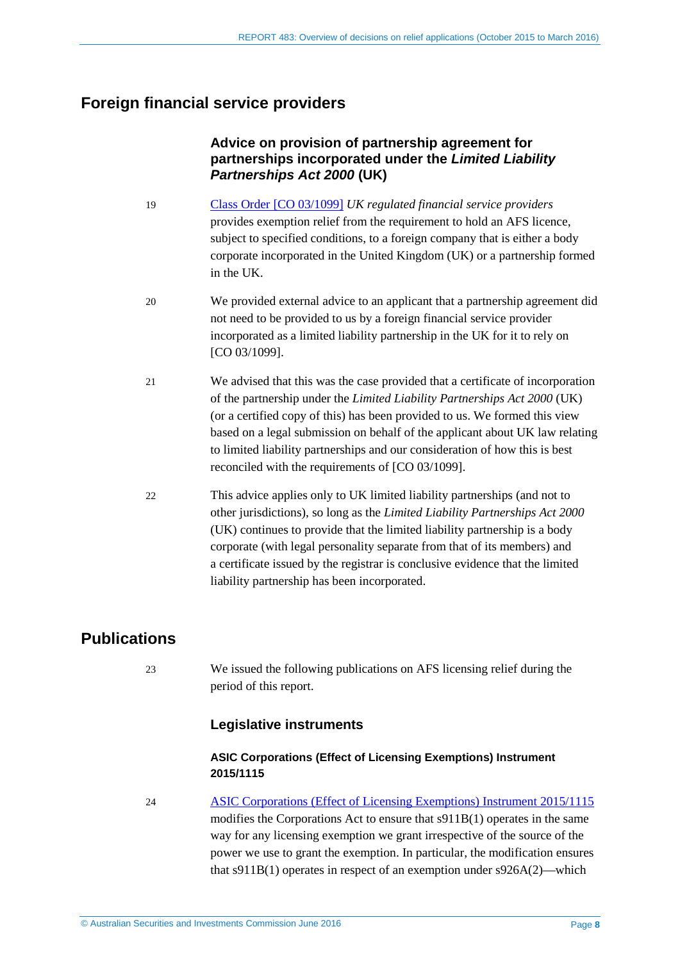# <span id="page-7-0"></span>**Foreign financial service providers**

# **Advice on provision of partnership agreement for partnerships incorporated under the** *Limited Liability Partnerships Act 2000* **(UK)**

- 19 [Class Order \[CO 03/1099\]](https://www.legislation.gov.au/Details/F2013C00688) *UK regulated financial service providers* provides exemption relief from the requirement to hold an AFS licence, subject to specified conditions, to a foreign company that is either a body corporate incorporated in the United Kingdom (UK) or a partnership formed in the UK.
- 20 We provided external advice to an applicant that a partnership agreement did not need to be provided to us by a foreign financial service provider incorporated as a limited liability partnership in the UK for it to rely on [CO 03/1099].
- 21 We advised that this was the case provided that a certificate of incorporation of the partnership under the *Limited Liability Partnerships Act 2000* (UK) (or a certified copy of this) has been provided to us. We formed this view based on a legal submission on behalf of the applicant about UK law relating to limited liability partnerships and our consideration of how this is best reconciled with the requirements of [CO 03/1099].
- 22 This advice applies only to UK limited liability partnerships (and not to other jurisdictions), so long as the *Limited Liability Partnerships Act 2000* (UK) continues to provide that the limited liability partnership is a body corporate (with legal personality separate from that of its members) and a certificate issued by the registrar is conclusive evidence that the limited liability partnership has been incorporated.

# <span id="page-7-1"></span>**Publications**

23 We issued the following publications on AFS licensing relief during the period of this report.

### **Legislative instruments**

#### **ASIC Corporations (Effect of Licensing Exemptions) Instrument 2015/1115**

24 [ASIC Corporations \(Effect of Licensing Exemptions\) Instrument 2015/1115](https://www.legislation.gov.au/Details/F2015L01936) modifies the Corporations Act to ensure that s911B(1) operates in the same way for any licensing exemption we grant irrespective of the source of the power we use to grant the exemption. In particular, the modification ensures that s911B(1) operates in respect of an exemption under s926A(2)—which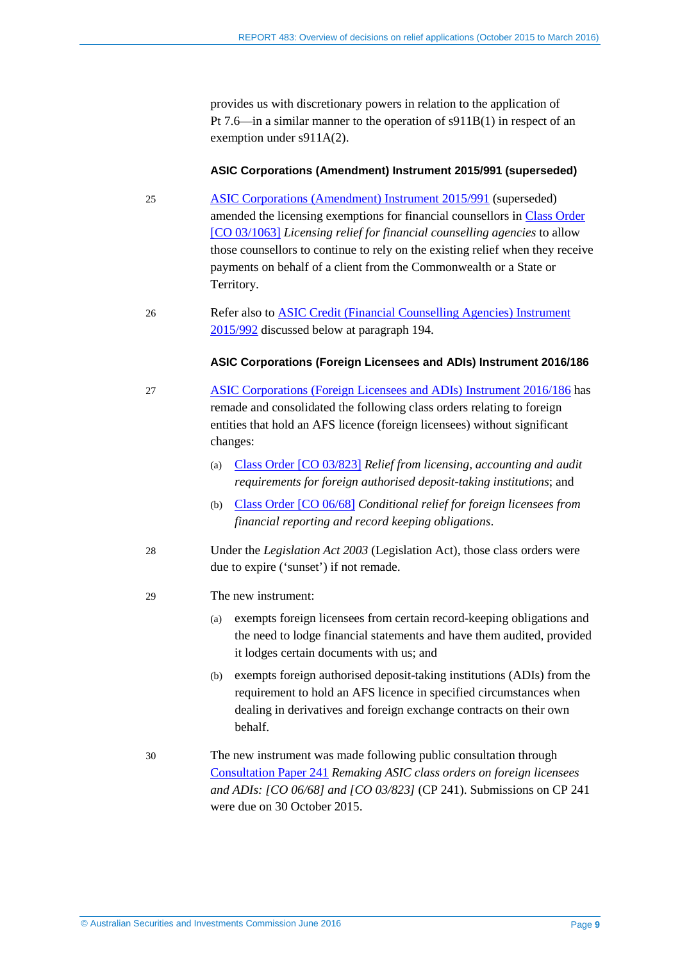provides us with discretionary powers in relation to the application of Pt 7.6—in a similar manner to the operation of s911B(1) in respect of an exemption under s911A(2).

#### **ASIC Corporations (Amendment) Instrument 2015/991 (superseded)**

- <span id="page-8-0"></span>25 [ASIC Corporations \(Amendment\) Instrument 2015/991](https://www.legislation.gov.au/Details/F2015L01740) (superseded) amended the licensing exemptions for financial counsellors in Class [Order](https://www.legislation.gov.au/Details/F2015C00891)  [\[CO 03/1063\]](https://www.legislation.gov.au/Details/F2015C00891) *Licensing relief for financial counselling agencies* to allow those counsellors to continue to rely on the existing relief when they receive payments on behalf of a client from the Commonwealth or a State or Territory.
- 26 Refer also to [ASIC Credit \(Financial Counselling Agencies\) Instrument](https://www.legislation.gov.au/Details/F2015L01743)  [2015/992](https://www.legislation.gov.au/Details/F2015L01743) discussed below at paragraph [194.](#page-42-1)

#### **ASIC Corporations (Foreign Licensees and ADIs) Instrument 2016/186**

- 27 [ASIC Corporations \(Foreign Licensees and ADIs\) Instrument 2016/186](https://www.legislation.gov.au/Details/F2016L00451) has remade and consolidated the following class orders relating to foreign entities that hold an AFS licence (foreign licensees) without significant changes:
	- (a) Class [Order \[CO](https://www.legislation.gov.au/Details/F2007B00419) 03/823] *Relief from licensing, accounting and audit requirements for foreign authorised deposit-taking institutions*; and
	- (b) Class [Order \[CO](https://www.legislation.gov.au/Details/F2006L00473) 06/68] *Conditional relief for foreign licensees from financial reporting and record keeping obligations*.
- 28 Under the *Legislation Act 2003* (Legislation Act), those class orders were due to expire ('sunset') if not remade.

#### 29 The new instrument:

- (a) exempts foreign licensees from certain record-keeping obligations and the need to lodge financial statements and have them audited, provided it lodges certain documents with us; and
- (b) exempts foreign authorised deposit-taking institutions (ADIs) from the requirement to hold an AFS licence in specified circumstances when dealing in derivatives and foreign exchange contracts on their own behalf.
- 30 The new instrument was made following public consultation through [Consultation Paper 241](http://www.asic.gov.au/regulatory-resources/find-a-document/consultation-papers/cp-241-remaking-asic-class-orders-on-foreign-licensees-and-adis-co-0668-and-co-03823/) *Remaking ASIC class orders on foreign licensees and ADIs: [CO 06/68] and [CO 03/823]* (CP 241). Submissions on CP 241 were due on 30 October 2015.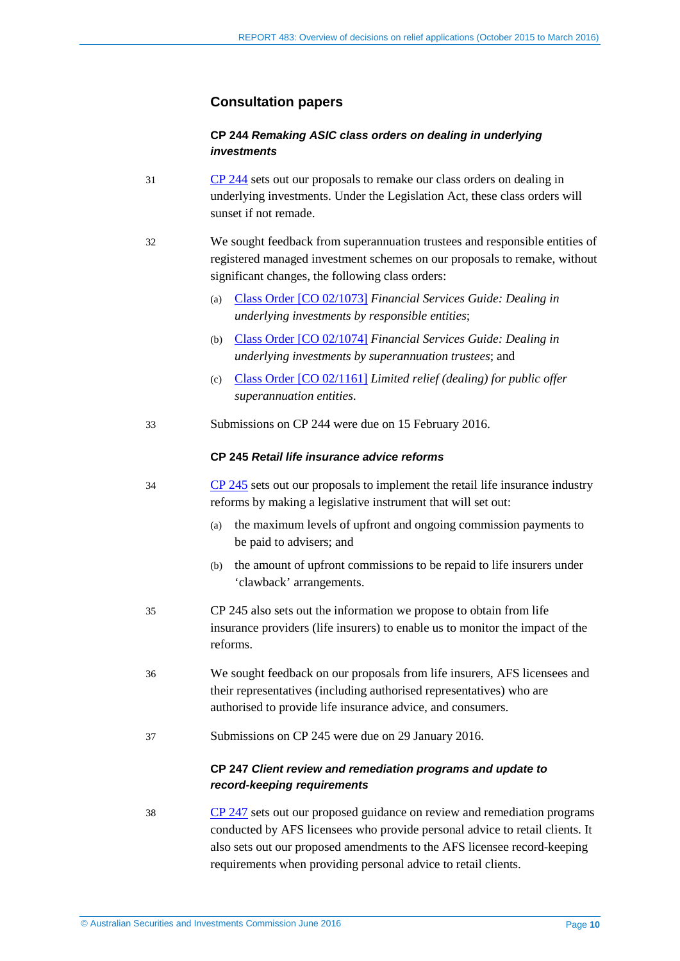### **Consultation papers**

#### **CP 244** *Remaking ASIC class orders on dealing in underlying investments*

- 31 [CP 244](http://www.asic.gov.au/regulatory-resources/find-a-document/consultation-papers/cp-244-remaking-asic-class-orders-on-dealing-in-underlying-investments/) sets out our proposals to remake our class orders on dealing in underlying investments. Under the Legislation Act, these class orders will sunset if not remade.
- 32 We sought feedback from superannuation trustees and responsible entities of registered managed investment schemes on our proposals to remake, without significant changes, the following class orders:
	- (a) Class [Order \[CO 02/1073\]](https://www.legislation.gov.au/Details/F2007B00298) *Financial Services Guide: Dealing in underlying investments by responsible entities*;
	- (b) Class [Order \[CO 02/1074\]](https://www.legislation.gov.au/Details/F2007B00299) *Financial Services Guide: Dealing in underlying investments by superannuation trustees*; and
	- (c) Class [Order \[CO 02/1161\]](https://www.legislation.gov.au/Details/F2007B00305) *Limited relief (dealing) for public offer superannuation entities*.
- 33 Submissions on CP 244 were due on 15 February 2016.

#### **CP 245** *Retail life insurance advice reforms*

- 34 [CP 245](http://www.asic.gov.au/regulatory-resources/find-a-document/consultation-papers/cp-247-client-review-and-remediation-programs-and-update-to-record-keeping-requirements/) sets out our proposals to implement the retail life insurance industry reforms by making a legislative instrument that will set out:
	- (a) the maximum levels of upfront and ongoing commission payments to be paid to advisers; and
	- (b) the amount of upfront commissions to be repaid to life insurers under 'clawback' arrangements.
- 35 CP 245 also sets out the information we propose to obtain from life insurance providers (life insurers) to enable us to monitor the impact of the reforms.
- 36 We sought feedback on our proposals from life insurers, AFS licensees and their representatives (including authorised representatives) who are authorised to provide life insurance advice, and consumers.
- 37 Submissions on CP 245 were due on 29 January 2016.

#### **CP 247** *Client review and remediation programs and update to record-keeping requirements*

38 [CP 247](http://www.asic.gov.au/regulatory-resources/find-a-document/consultation-papers/cp-247-client-review-and-remediation-programs-and-update-to-record-keeping-requirements/) sets out our proposed guidance on review and remediation programs conducted by AFS licensees who provide personal advice to retail clients. It also sets out our proposed amendments to the AFS licensee record-keeping requirements when providing personal advice to retail clients.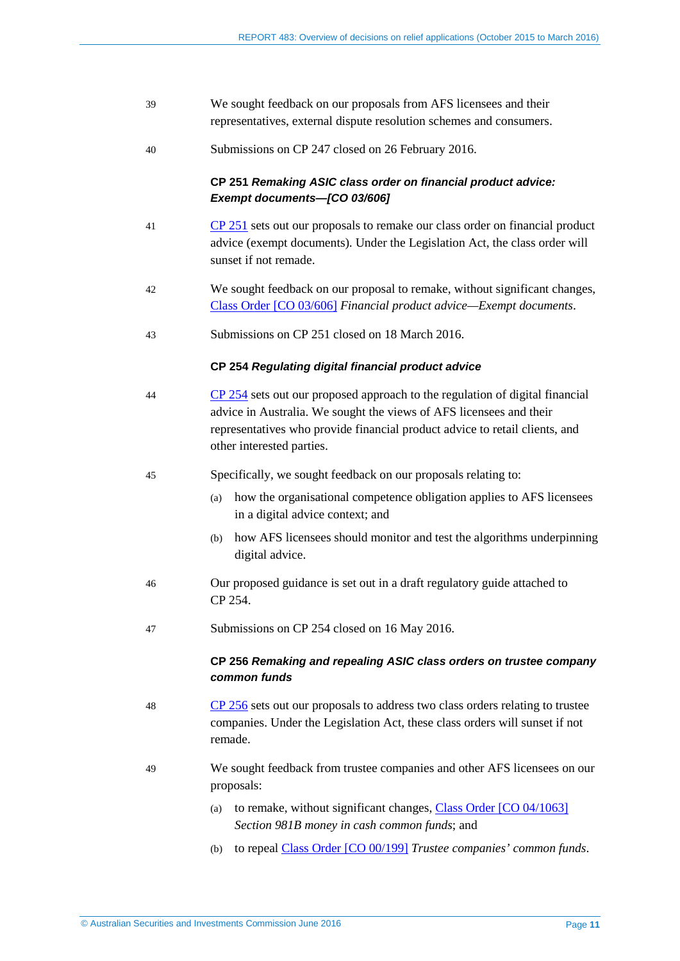| 39 | We sought feedback on our proposals from AFS licensees and their<br>representatives, external dispute resolution schemes and consumers.                                                                                                                           |
|----|-------------------------------------------------------------------------------------------------------------------------------------------------------------------------------------------------------------------------------------------------------------------|
| 40 | Submissions on CP 247 closed on 26 February 2016.                                                                                                                                                                                                                 |
|    | CP 251 Remaking ASIC class order on financial product advice:<br>Exempt documents-[CO 03/606]                                                                                                                                                                     |
| 41 | $CP$ 251 sets out our proposals to remake our class order on financial product<br>advice (exempt documents). Under the Legislation Act, the class order will<br>sunset if not remade.                                                                             |
| 42 | We sought feedback on our proposal to remake, without significant changes,<br>Class Order [CO 03/606] Financial product advice-Exempt documents.                                                                                                                  |
| 43 | Submissions on CP 251 closed on 18 March 2016.                                                                                                                                                                                                                    |
|    | CP 254 Regulating digital financial product advice                                                                                                                                                                                                                |
| 44 | $CP$ 254 sets out our proposed approach to the regulation of digital financial<br>advice in Australia. We sought the views of AFS licensees and their<br>representatives who provide financial product advice to retail clients, and<br>other interested parties. |
| 45 | Specifically, we sought feedback on our proposals relating to:                                                                                                                                                                                                    |
|    | how the organisational competence obligation applies to AFS licensees<br>(a)<br>in a digital advice context; and                                                                                                                                                  |
|    | how AFS licensees should monitor and test the algorithms underpinning<br>(b)<br>digital advice.                                                                                                                                                                   |
| 46 | Our proposed guidance is set out in a draft regulatory guide attached to<br>CP 254.                                                                                                                                                                               |
| 47 | Submissions on CP 254 closed on 16 May 2016.                                                                                                                                                                                                                      |
|    | CP 256 Remaking and repealing ASIC class orders on trustee company<br>common funds                                                                                                                                                                                |
| 48 | $CP$ 256 sets out our proposals to address two class orders relating to trustee<br>companies. Under the Legislation Act, these class orders will sunset if not<br>remade.                                                                                         |
| 49 | We sought feedback from trustee companies and other AFS licensees on our<br>proposals:                                                                                                                                                                            |
|    | to remake, without significant changes, Class Order [CO 04/1063]<br>(a)<br>Section 981B money in cash common funds; and                                                                                                                                           |
|    | to repeal Class Order [CO 00/199] Trustee companies' common funds.<br>(b)                                                                                                                                                                                         |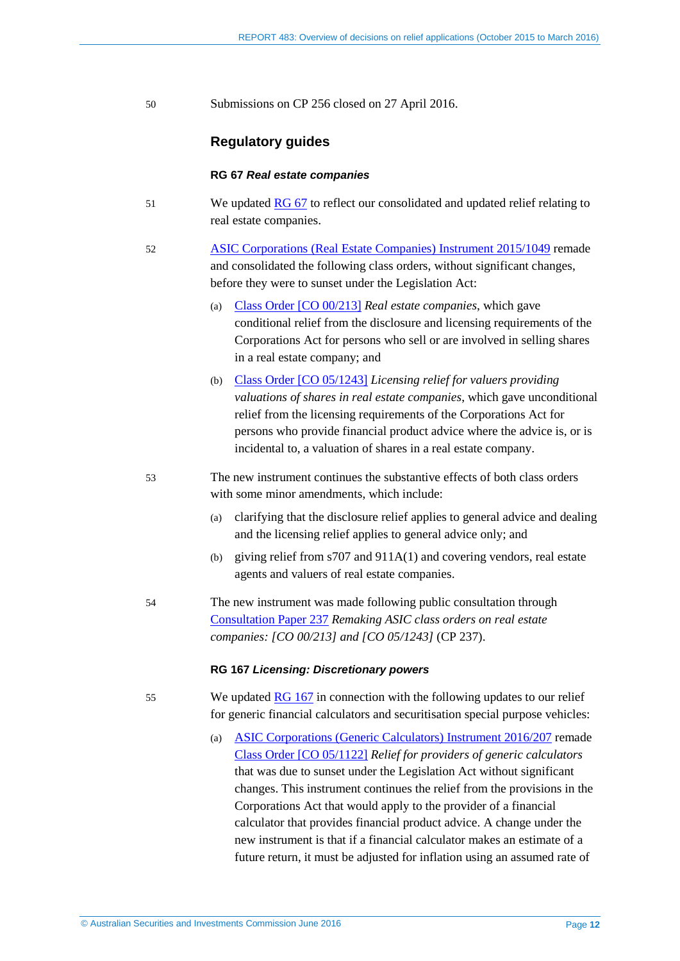50 Submissions on CP 256 closed on 27 April 2016.

#### **Regulatory guides**

#### **RG 67** *Real estate companies*

- 51 We updated **RG 67** to reflect our consolidated and updated relief relating to real estate companies.
- 52 [ASIC Corporations \(Real Estate Companies\) Instrument 2015/1049](https://www.legislation.gov.au/Details/F2015L01831) remade and consolidated the following class orders, without significant changes, before they were to sunset under the Legislation Act:
	- (a) Class [Order \[CO 00/213\]](https://www.legislation.gov.au/Details/F2006C00271) *Real estate companies*, which gave conditional relief from the disclosure and licensing requirements of the Corporations Act for persons who sell or are involved in selling shares in a real estate company; and
	- (b) Class [Order \[CO 05/1243\]](https://www.legislation.gov.au/Details/F2005L04176) *Licensing relief for valuers providing valuations of shares in real estate companies*, which gave unconditional relief from the licensing requirements of the Corporations Act for persons who provide financial product advice where the advice is, or is incidental to, a valuation of shares in a real estate company.
- 53 The new instrument continues the substantive effects of both class orders with some minor amendments, which include:
	- (a) clarifying that the disclosure relief applies to general advice and dealing and the licensing relief applies to general advice only; and
	- (b) giving relief from s707 and 911A(1) and covering vendors, real estate agents and valuers of real estate companies.
- 54 The new instrument was made following public consultation through [Consultation Paper 237](http://www.asic.gov.au/regulatory-resources/find-a-document/consultation-papers/cp-237-remaking-asic-class-orders-on-real-estate-companies-co-00213-and-co-051243/) *Remaking ASIC class orders on real estate companies: [CO 00/213] and [CO 05/1243]* (CP 237).

#### **RG 167** *Licensing: Discretionary powers*

- 55 We updated [RG 167](http://asic.gov.au/regulatory-resources/find-a-document/regulatory-guides/rg-167-licensing-discretionary-powers/) in connection with the following updates to our relief for generic financial calculators and securitisation special purpose vehicles:
	- (a) [ASIC Corporations \(Generic Calculators\) Instrument 2016/207](https://www.legislation.gov.au/Details/F2016L00438) remade Class [Order \[CO 05/1122\]](https://www.legislation.gov.au/Details/F2005L04202) *Relief for providers of generic calculators* that was due to sunset under the Legislation Act without significant changes. This instrument continues the relief from the provisions in the Corporations Act that would apply to the provider of a financial calculator that provides financial product advice. A change under the new instrument is that if a financial calculator makes an estimate of a future return, it must be adjusted for inflation using an assumed rate of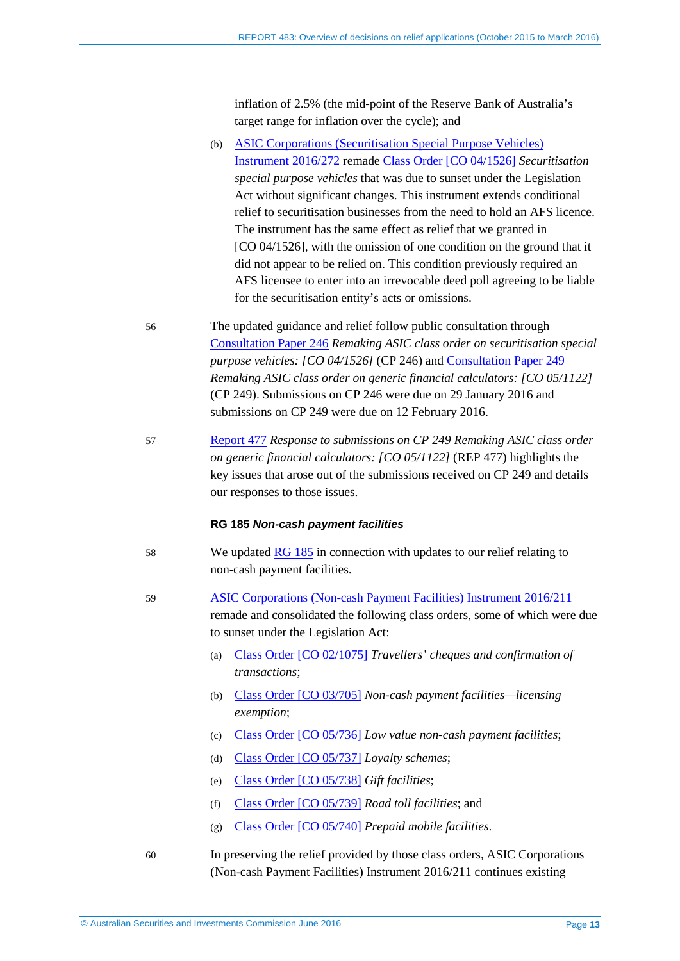inflation of 2.5% (the mid-point of the Reserve Bank of Australia's target range for inflation over the cycle); and

- (b) [ASIC Corporations \(Securitisation Special Purpose Vehicles\)](https://www.legislation.gov.au/Details/F2016L00457)  [Instrument 2016/272](https://www.legislation.gov.au/Details/F2016L00457) remade Class [Order \[CO 04/1526\]](http://download.asic.gov.au/media/1325059/co04-1526.pdf) *Securitisation special purpose vehicles* that was due to sunset under the Legislation Act without significant changes. This instrument extends conditional relief to securitisation businesses from the need to hold an AFS licence. The instrument has the same effect as relief that we granted in [CO 04/1526], with the omission of one condition on the ground that it did not appear to be relied on. This condition previously required an AFS licensee to enter into an irrevocable deed poll agreeing to be liable for the securitisation entity's acts or omissions.
- 56 The updated guidance and relief follow public consultation through [Consultation Paper 246](http://www.asic.gov.au/regulatory-resources/find-a-document/consultation-papers/cp-246-remaking-asic-class-order-on-securitisation-special-purpose-vehicles-co-041526/) *Remaking ASIC class order on securitisation special purpose vehicles: [CO 04/1526]* (CP 246) and [Consultation Paper 249](http://www.asic.gov.au/regulatory-resources/find-a-document/consultation-papers/cp-249-remaking-asic-class-order-on-generic-financial-calculators-co-051122/) *Remaking ASIC class order on generic financial calculators: [CO 05/1122]* (CP 249). Submissions on CP 246 were due on 29 January 2016 and submissions on CP 249 were due on 12 February 2016.
- 57 [Report 477](http://www.asic.gov.au/regulatory-resources/find-a-document/reports/rep-477-response-to-submissions-on-cp-249-remaking-asic-class-order-on-generic-financial-calculators-co-051122/) *Response to submissions on CP 249 Remaking ASIC class order on generic financial calculators: [CO 05/1122]* (REP 477) highlights the key issues that arose out of the submissions received on CP 249 and details our responses to those issues.

#### **RG 185** *Non-cash payment facilities*

- 58 We updated [RG 185](http://asic.gov.au/regulatory-resources/find-a-document/regulatory-guides/rg-185-non-cash-payment-facilities/) in connection with updates to our relief relating to non-cash payment facilities.
- 59 [ASIC Corporations \(Non-cash Payment Facilities\) Instrument 2016/211](https://www.legislation.gov.au/Details/F2016L00367) remade and consolidated the following class orders, some of which were due to sunset under the Legislation Act:
	- (a) Class [Order \[CO 02/1075\]](https://www.legislation.gov.au/Details/F2007B00300) *Travellers' cheques and confirmation of transactions*;
	- (b) Class [Order \[CO 03/705\]](https://www.legislation.gov.au/Details/F2007B00418) *Non-cash payment facilities—licensing exemption*;
	- (c) Class [Order \[CO 05/736\]](https://www.legislation.gov.au/Details/F2005L03615) *Low value non-cash payment facilities*;
	- (d) Class [Order \[CO 05/737\]](https://www.legislation.gov.au/Details/F2005L03616) *Loyalty schemes*;
	- (e) Class [Order \[CO 05/738\]](https://www.legislation.gov.au/Details/F2005L03618) *Gift facilities*;
	- (f) Class [Order \[CO 05/739\]](https://www.legislation.gov.au/Details/F2005L03617) *Road toll facilities*; and
	- (g) Class [Order \[CO 05/740\]](https://www.legislation.gov.au/Details/F2005L03619) *Prepaid mobile facilities*.
- 60 In preserving the relief provided by those class orders, ASIC Corporations (Non-cash Payment Facilities) Instrument 2016/211 continues existing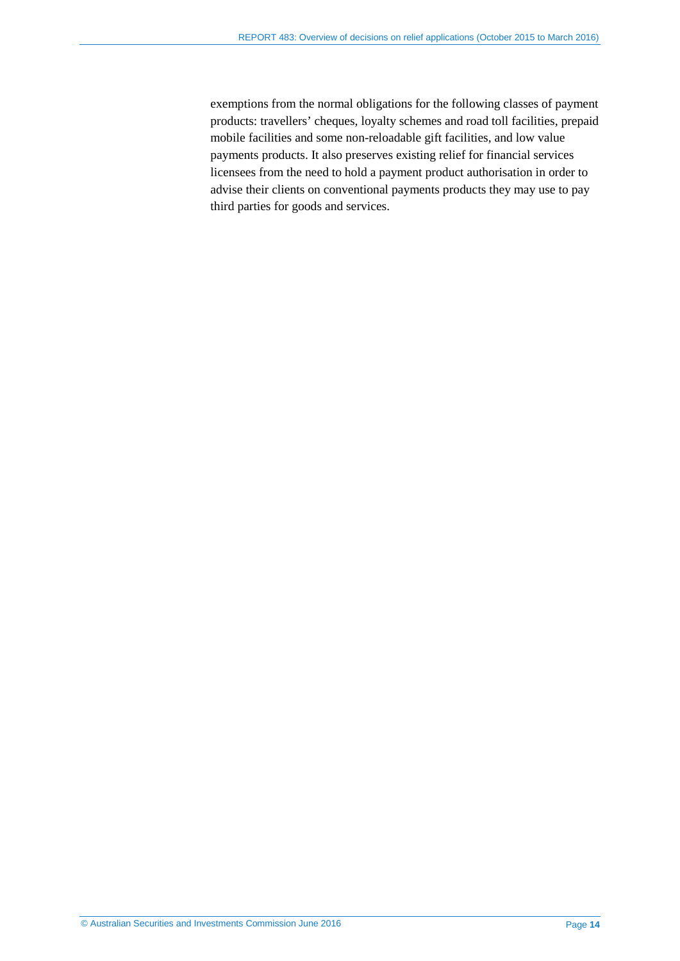exemptions from the normal obligations for the following classes of payment products: travellers' cheques, loyalty schemes and road toll facilities, prepaid mobile facilities and some non-reloadable gift facilities, and low value payments products. It also preserves existing relief for financial services licensees from the need to hold a payment product authorisation in order to advise their clients on conventional payments products they may use to pay third parties for goods and services.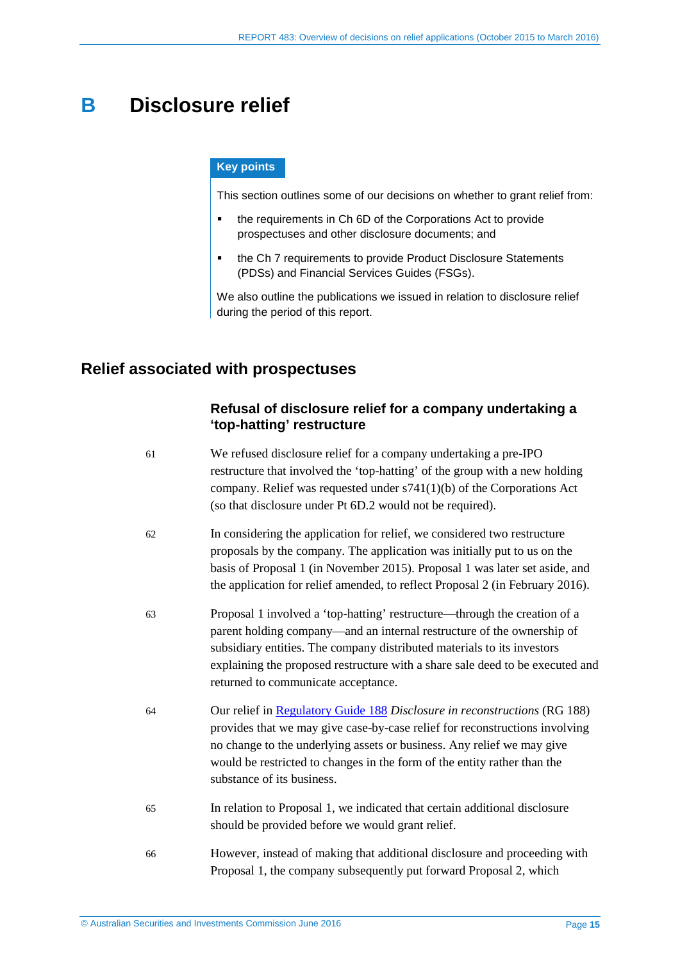# <span id="page-14-0"></span>**B Disclosure relief**

#### **Key points**

This section outlines some of our decisions on whether to grant relief from:

- the requirements in Ch 6D of the Corporations Act to provide prospectuses and other disclosure documents; and
- the Ch 7 requirements to provide Product Disclosure Statements (PDSs) and Financial Services Guides (FSGs).

We also outline the publications we issued in relation to disclosure relief during the period of this report.

# <span id="page-14-1"></span>**Relief associated with prospectuses**

### **Refusal of disclosure relief for a company undertaking a 'top-hatting' restructure**

| 61 | We refused disclosure relief for a company undertaking a pre-IPO<br>restructure that involved the 'top-hatting' of the group with a new holding<br>company. Relief was requested under $s741(1)(b)$ of the Corporations Act<br>(so that disclosure under Pt 6D.2 would not be required).                                                               |
|----|--------------------------------------------------------------------------------------------------------------------------------------------------------------------------------------------------------------------------------------------------------------------------------------------------------------------------------------------------------|
| 62 | In considering the application for relief, we considered two restructure<br>proposals by the company. The application was initially put to us on the<br>basis of Proposal 1 (in November 2015). Proposal 1 was later set aside, and<br>the application for relief amended, to reflect Proposal 2 (in February 2016).                                   |
| 63 | Proposal 1 involved a 'top-hatting' restructure—through the creation of a<br>parent holding company—and an internal restructure of the ownership of<br>subsidiary entities. The company distributed materials to its investors<br>explaining the proposed restructure with a share sale deed to be executed and<br>returned to communicate acceptance. |
| 64 | Our relief in Regulatory Guide 188 Disclosure in reconstructions (RG 188)<br>provides that we may give case-by-case relief for reconstructions involving<br>no change to the underlying assets or business. Any relief we may give<br>would be restricted to changes in the form of the entity rather than the<br>substance of its business.           |
| 65 | In relation to Proposal 1, we indicated that certain additional disclosure<br>should be provided before we would grant relief.                                                                                                                                                                                                                         |
| 66 | However, instead of making that additional disclosure and proceeding with<br>Proposal 1, the company subsequently put forward Proposal 2, which                                                                                                                                                                                                        |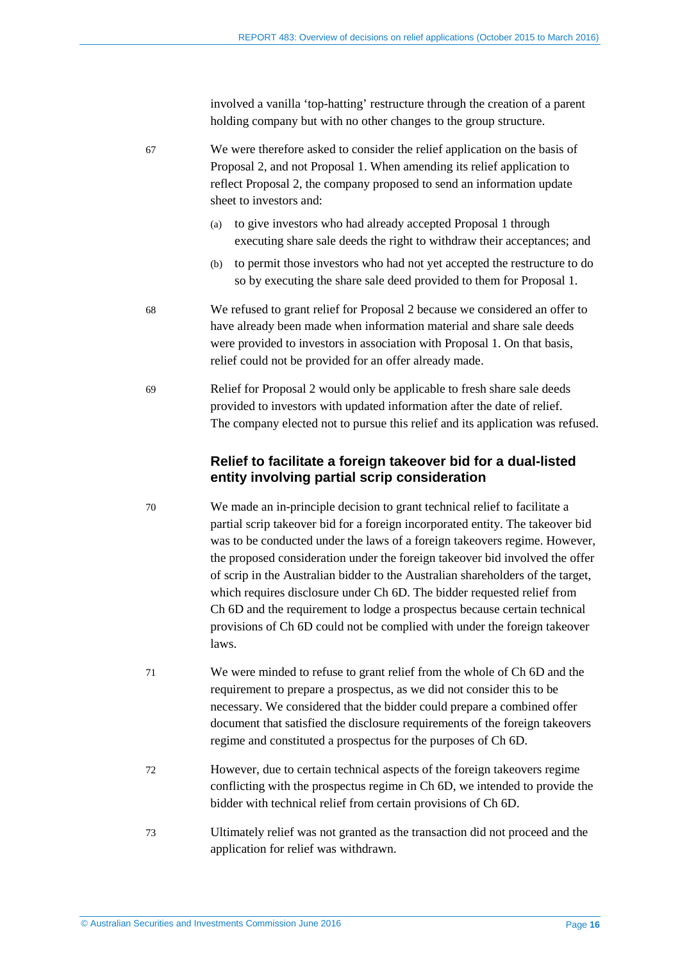involved a vanilla 'top-hatting' restructure through the creation of a parent holding company but with no other changes to the group structure.

67 We were therefore asked to consider the relief application on the basis of Proposal 2, and not Proposal 1. When amending its relief application to reflect Proposal 2, the company proposed to send an information update sheet to investors and:

- (a) to give investors who had already accepted Proposal 1 through executing share sale deeds the right to withdraw their acceptances; and
- (b) to permit those investors who had not yet accepted the restructure to do so by executing the share sale deed provided to them for Proposal 1.
- 68 We refused to grant relief for Proposal 2 because we considered an offer to have already been made when information material and share sale deeds were provided to investors in association with Proposal 1. On that basis, relief could not be provided for an offer already made.
- 69 Relief for Proposal 2 would only be applicable to fresh share sale deeds provided to investors with updated information after the date of relief. The company elected not to pursue this relief and its application was refused.

### **Relief to facilitate a foreign takeover bid for a dual-listed entity involving partial scrip consideration**

- 70 We made an in-principle decision to grant technical relief to facilitate a partial scrip takeover bid for a foreign incorporated entity. The takeover bid was to be conducted under the laws of a foreign takeovers regime. However, the proposed consideration under the foreign takeover bid involved the offer of scrip in the Australian bidder to the Australian shareholders of the target, which requires disclosure under Ch 6D. The bidder requested relief from Ch 6D and the requirement to lodge a prospectus because certain technical provisions of Ch 6D could not be complied with under the foreign takeover laws.
- 71 We were minded to refuse to grant relief from the whole of Ch 6D and the requirement to prepare a prospectus, as we did not consider this to be necessary. We considered that the bidder could prepare a combined offer document that satisfied the disclosure requirements of the foreign takeovers regime and constituted a prospectus for the purposes of Ch 6D.
- 72 However, due to certain technical aspects of the foreign takeovers regime conflicting with the prospectus regime in Ch 6D, we intended to provide the bidder with technical relief from certain provisions of Ch 6D.
- 73 Ultimately relief was not granted as the transaction did not proceed and the application for relief was withdrawn.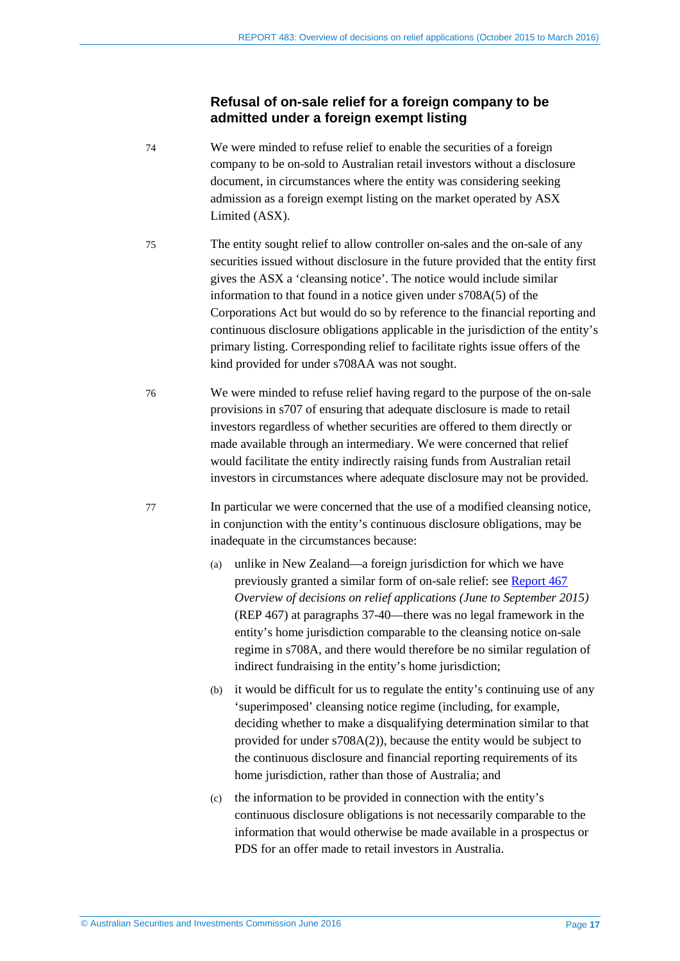#### **Refusal of on-sale relief for a foreign company to be admitted under a foreign exempt listing**

- 74 We were minded to refuse relief to enable the securities of a foreign company to be on-sold to Australian retail investors without a disclosure document, in circumstances where the entity was considering seeking admission as a foreign exempt listing on the market operated by ASX Limited (ASX).
- 75 The entity sought relief to allow controller on-sales and the on-sale of any securities issued without disclosure in the future provided that the entity first gives the ASX a 'cleansing notice'. The notice would include similar information to that found in a notice given under s708A(5) of the Corporations Act but would do so by reference to the financial reporting and continuous disclosure obligations applicable in the jurisdiction of the entity's primary listing. Corresponding relief to facilitate rights issue offers of the kind provided for under s708AA was not sought.
- 76 We were minded to refuse relief having regard to the purpose of the on-sale provisions in s707 of ensuring that adequate disclosure is made to retail investors regardless of whether securities are offered to them directly or made available through an intermediary. We were concerned that relief would facilitate the entity indirectly raising funds from Australian retail investors in circumstances where adequate disclosure may not be provided.
- 77 In particular we were concerned that the use of a modified cleansing notice, in conjunction with the entity's continuous disclosure obligations, may be inadequate in the circumstances because:
	- (a) unlike in New Zealand—a foreign jurisdiction for which we have previously granted a similar form of on-sale relief: see [Report 467](http://www.asic.gov.au/regulatory-resources/find-a-document/reports/rep-467-overview-of-decisions-on-relief-applications-june-to-september-2015/) *Overview of decisions on relief applications (June to September 2015)* (REP 467) at paragraphs 37-40—there was no legal framework in the entity's home jurisdiction comparable to the cleansing notice on-sale regime in s708A, and there would therefore be no similar regulation of indirect fundraising in the entity's home jurisdiction;
	- (b) it would be difficult for us to regulate the entity's continuing use of any 'superimposed' cleansing notice regime (including, for example, deciding whether to make a disqualifying determination similar to that provided for under s708A(2)), because the entity would be subject to the continuous disclosure and financial reporting requirements of its home jurisdiction, rather than those of Australia; and
	- (c) the information to be provided in connection with the entity's continuous disclosure obligations is not necessarily comparable to the information that would otherwise be made available in a prospectus or PDS for an offer made to retail investors in Australia.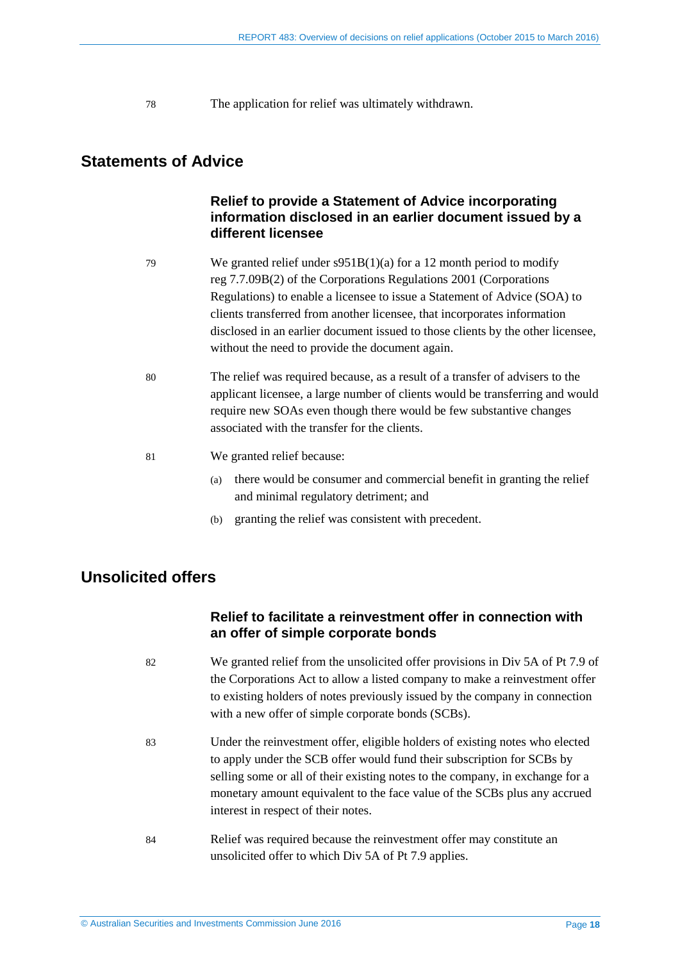<span id="page-17-2"></span>78 The application for relief was ultimately withdrawn.

# <span id="page-17-3"></span><span id="page-17-0"></span>**Statements of Advice**

### **Relief to provide a Statement of Advice incorporating information disclosed in an earlier document issued by a different licensee**

- 79 We granted relief under s951B(1)(a) for a 12 month period to modify reg 7.7.09B(2) of the Corporations Regulations 2001 (Corporations Regulations) to enable a licensee to issue a Statement of Advice (SOA) to clients transferred from another licensee, that incorporates information disclosed in an earlier document issued to those clients by the other licensee, without the need to provide the document again.
- <span id="page-17-4"></span>80 The relief was required because, as a result of a transfer of advisers to the applicant licensee, a large number of clients would be transferring and would require new SOAs even though there would be few substantive changes associated with the transfer for the clients.
- 81 We granted relief because:
	- (a) there would be consumer and commercial benefit in granting the relief and minimal regulatory detriment; and
	- (b) granting the relief was consistent with precedent.

# <span id="page-17-1"></span>**Unsolicited offers**

#### **Relief to facilitate a reinvestment offer in connection with an offer of simple corporate bonds**

- 82 We granted relief from the unsolicited offer provisions in Div 5A of Pt 7.9 of the Corporations Act to allow a listed company to make a reinvestment offer to existing holders of notes previously issued by the company in connection with a new offer of simple corporate bonds (SCBs).
- 83 Under the reinvestment offer, eligible holders of existing notes who elected to apply under the SCB offer would fund their subscription for SCBs by selling some or all of their existing notes to the company, in exchange for a monetary amount equivalent to the face value of the SCBs plus any accrued interest in respect of their notes.
- 84 Relief was required because the reinvestment offer may constitute an unsolicited offer to which Div 5A of Pt 7.9 applies.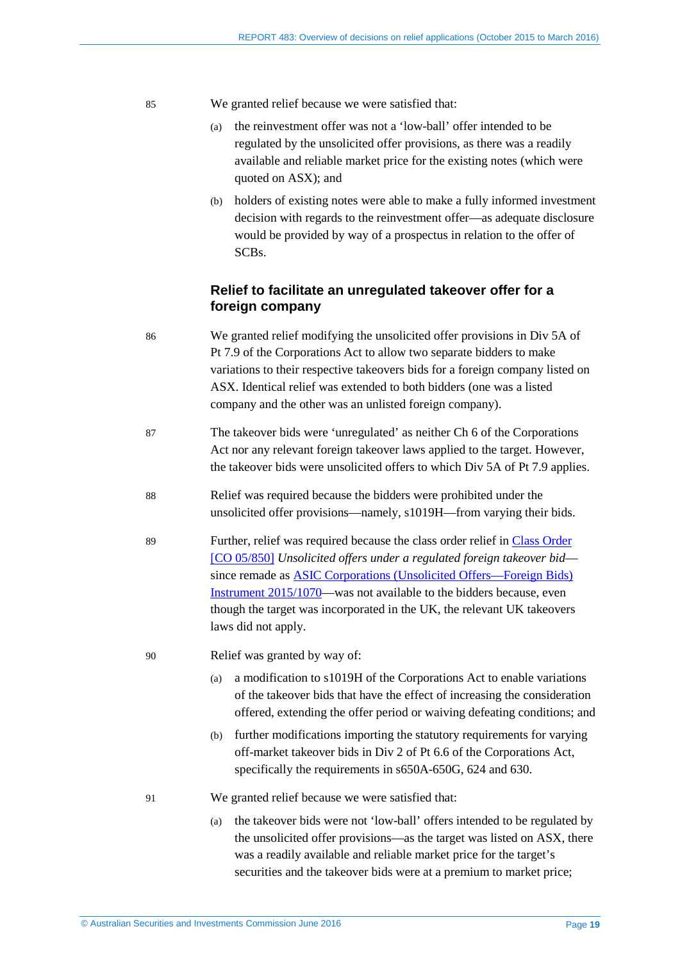- <span id="page-18-1"></span><span id="page-18-0"></span>85 We granted relief because we were satisfied that:
	- (a) the reinvestment offer was not a 'low-ball' offer intended to be regulated by the unsolicited offer provisions, as there was a readily available and reliable market price for the existing notes (which were quoted on ASX); and
	- (b) holders of existing notes were able to make a fully informed investment decision with regards to the reinvestment offer—as adequate disclosure would be provided by way of a prospectus in relation to the offer of SCBs.

#### **Relief to facilitate an unregulated takeover offer for a foreign company**

- 86 We granted relief modifying the unsolicited offer provisions in Div 5A of Pt 7.9 of the Corporations Act to allow two separate bidders to make variations to their respective takeovers bids for a foreign company listed on ASX. Identical relief was extended to both bidders (one was a listed company and the other was an unlisted foreign company).
- 87 The takeover bids were 'unregulated' as neither Ch 6 of the Corporations Act nor any relevant foreign takeover laws applied to the target. However, the takeover bids were unsolicited offers to which Div 5A of Pt 7.9 applies.
- <span id="page-18-2"></span>88 Relief was required because the bidders were prohibited under the unsolicited offer provisions—namely, s1019H—from varying their bids.
- 89 Further, relief was required because the class order relief in [Class Order](https://www.legislation.gov.au/Details/F2005L03059)  [\[CO 05/850\]](https://www.legislation.gov.au/Details/F2005L03059) *Unsolicited offers under a regulated foreign takeover bid* since remade a[s ASIC Corporations \(Unsolicited Offers—Foreign Bids\)](https://www.legislation.gov.au/Details/F2015L01986)  [Instrument 2015/1070—](https://www.legislation.gov.au/Details/F2015L01986)was not available to the bidders because, even though the target was incorporated in the UK, the relevant UK takeovers laws did not apply.
- 90 Relief was granted by way of:
	- (a) a modification to s1019H of the Corporations Act to enable variations of the takeover bids that have the effect of increasing the consideration offered, extending the offer period or waiving defeating conditions; and
	- (b) further modifications importing the statutory requirements for varying off-market takeover bids in Div 2 of Pt 6.6 of the Corporations Act, specifically the requirements in s650A-650G, 624 and 630.
- 91 We granted relief because we were satisfied that:
	- (a) the takeover bids were not 'low-ball' offers intended to be regulated by the unsolicited offer provisions—as the target was listed on ASX, there was a readily available and reliable market price for the target's securities and the takeover bids were at a premium to market price;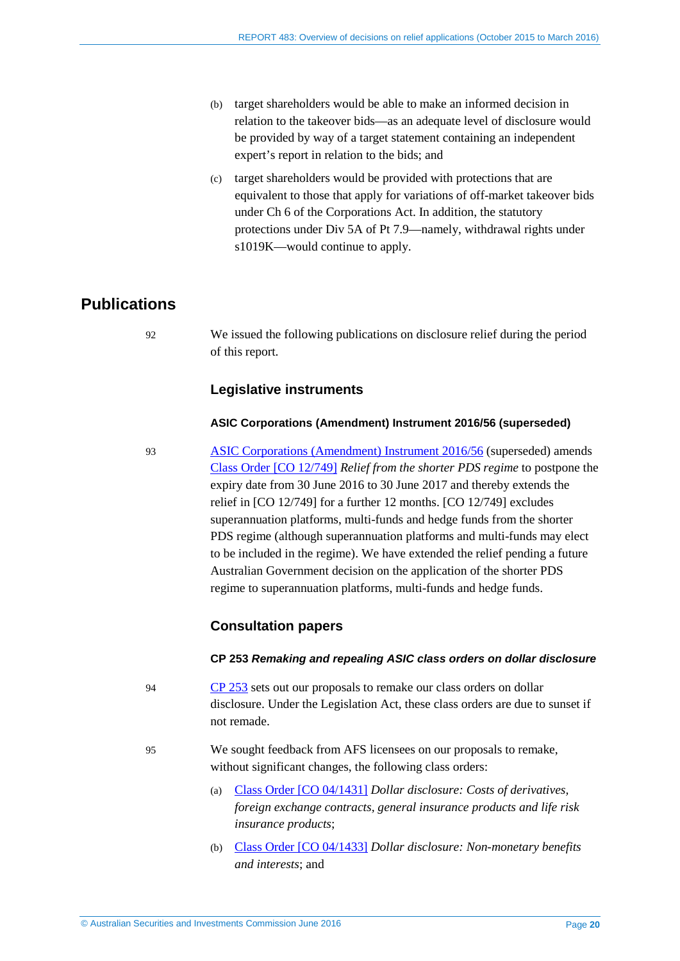- (b) target shareholders would be able to make an informed decision in relation to the takeover bids—as an adequate level of disclosure would be provided by way of a target statement containing an independent expert's report in relation to the bids; and
- (c) target shareholders would be provided with protections that are equivalent to those that apply for variations of off-market takeover bids under Ch 6 of the Corporations Act. In addition, the statutory protections under Div 5A of Pt 7.9—namely, withdrawal rights under s1019K—would continue to apply.

# <span id="page-19-0"></span>**Publications**

92 We issued the following publications on disclosure relief during the period of this report.

#### **Legislative instruments**

#### **ASIC Corporations (Amendment) Instrument 2016/56 (superseded)**

93 [ASIC Corporations \(Amendment\) Instrument 2016/56](https://www.legislation.gov.au/Details/F2016L00298) (superseded) amends [Class Order \[CO 12/749\]](https://www.legislation.gov.au/Details/F2016C00296) *Relief from the shorter PDS regime* to postpone the expiry date from 30 June 2016 to 30 June 2017 and thereby extends the relief in [CO 12/749] for a further 12 months. [CO 12/749] excludes superannuation platforms, multi-funds and hedge funds from the shorter PDS regime (although superannuation platforms and multi-funds may elect to be included in the regime). We have extended the relief pending a future Australian Government decision on the application of the shorter PDS regime to superannuation platforms, multi-funds and hedge funds.

#### **Consultation papers**

#### **CP 253** *Remaking and repealing ASIC class orders on dollar disclosure*

- 94 [CP 253](http://www.asic.gov.au/regulatory-resources/find-a-document/consultation-papers/cp-253-remaking-and-repealing-asic-class-orders-on-dollar-disclosure/) sets out our proposals to remake our class orders on dollar disclosure. Under the Legislation Act, these class orders are due to sunset if not remade.
- 95 We sought feedback from AFS licensees on our proposals to remake, without significant changes, the following class orders:
	- (a) Class [Order \[CO 04/1431\]](https://www.legislation.gov.au/Details/F2006C00586) *Dollar disclosure: Costs of derivatives, foreign exchange contracts, general insurance products and life risk insurance products*;
	- (b) Class [Order \[CO 04/1433\]](https://www.legislation.gov.au/Details/F2007B00390) *Dollar disclosure: Non-monetary benefits and interests*; and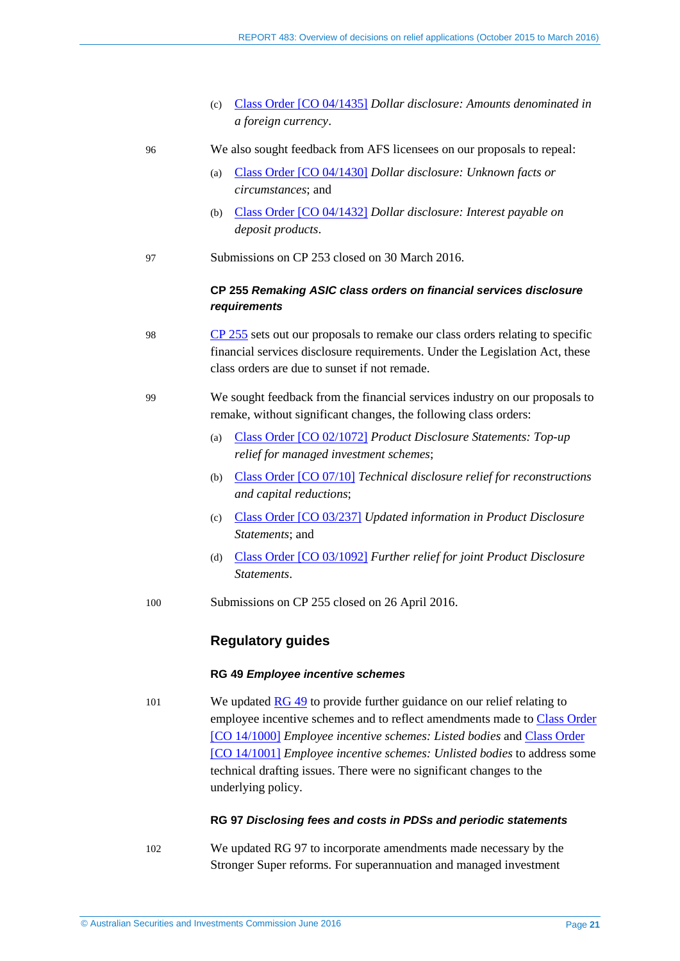(c) Class [Order \[CO 04/1435\]](https://www.legislation.gov.au/Details/F2007B00388) *Dollar disclosure: Amounts denominated in a foreign currency*.

| 96 | We also sought feedback from AFS licensees on our proposals to repeal: |  |
|----|------------------------------------------------------------------------|--|
|    |                                                                        |  |

- (a) Class [Order \[CO 04/1430\]](https://www.legislation.gov.au/Details/F2007B00387) *Dollar disclosure: Unknown facts or circumstances*; and
- (b) Class [Order \[CO 04/1432\]](https://www.legislation.gov.au/Details/F2007B00381) *Dollar disclosure: Interest payable on deposit products*.
- 97 Submissions on CP 253 closed on 30 March 2016.

#### **CP 255** *Remaking ASIC class orders on financial services disclosure requirements*

- 98 [CP 255](http://www.asic.gov.au/regulatory-resources/find-a-document/consultation-papers/cp-255-remaking-asic-class-orders-on-financial-services-disclosure-requirements/) sets out our proposals to remake our class orders relating to specific financial services disclosure requirements. Under the Legislation Act, these class orders are due to sunset if not remade.
- 99 We sought feedback from the financial services industry on our proposals to remake, without significant changes, the following class orders:
	- (a) Class [Order \[CO 02/1072\]](https://www.legislation.gov.au/Details/F2007B00297) *Product Disclosure Statements: Top-up relief for managed investment schemes*;
	- (b) Class [Order \[CO](https://www.legislation.gov.au/Details/F2015C00752) 07/10] *Technical disclosure relief for reconstructions and capital reductions*;
	- (c) Class [Order \[CO 03/237\]](https://www.legislation.gov.au/Details/F2012C00334) *Updated information in Product Disclosure Statements*; and
	- (d) Class [Order \[CO 03/1092\]](https://www.legislation.gov.au/Details/F2012C00299) *Further relief for joint Product Disclosure Statements*.
- 100 Submissions on CP 255 closed on 26 April 2016.

#### **Regulatory guides**

#### **RG 49** *Employee incentive schemes*

101 We updated [RG 49](http://www.asic.gov.au/regulatory-resources/find-a-document/regulatory-guides/rg-49-employee-incentive-schemes/) to provide further guidance on our relief relating to employee incentive schemes and to reflect amendments made to Class [Order](https://www.legislation.gov.au/Details/F2015C00910)  [\[CO 14/1000\]](https://www.legislation.gov.au/Details/F2015C00910) *Employee incentive schemes: Listed bodies* and Class [Order](https://www.legislation.gov.au/Details/F2015C00911)  [\[CO 14/1001\]](https://www.legislation.gov.au/Details/F2015C00911) *Employee incentive schemes: Unlisted bodies* to address some technical drafting issues. There were no significant changes to the underlying policy.

#### **RG 97** *Disclosing fees and costs in PDSs and periodic statements*

102 We updated RG 97 to incorporate amendments made necessary by the Stronger Super reforms. For superannuation and managed investment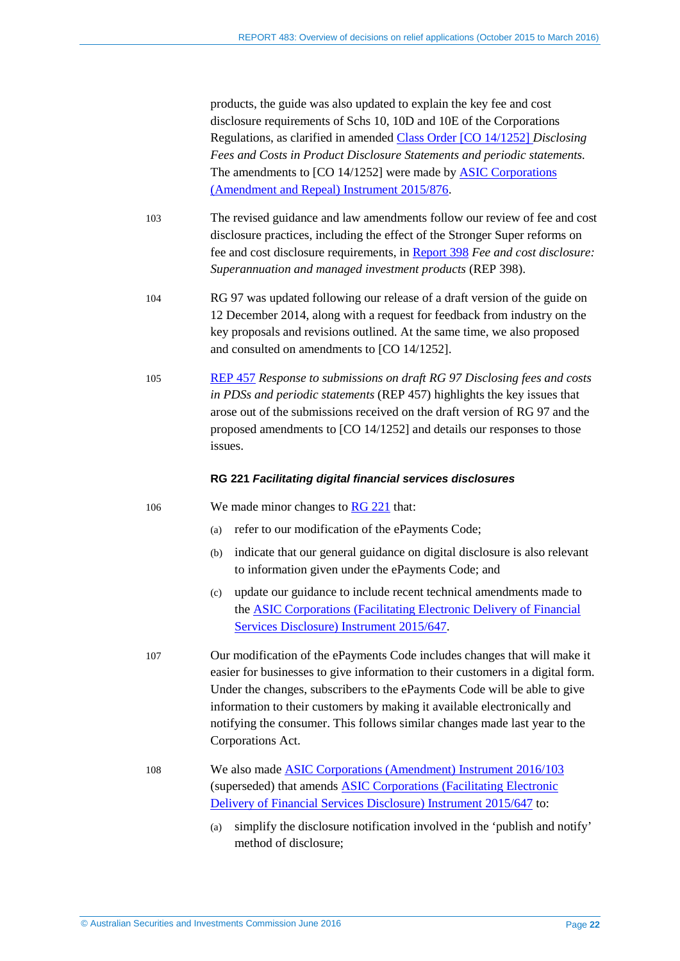products, the guide was also updated to explain the key fee and cost disclosure requirements of Schs 10, 10D and 10E of the Corporations Regulations, as clarified in amended Class [Order \[CO 14/1252\]](https://www.legislation.gov.au/Details/F2015C00984) *Disclosing Fees and Costs in Product Disclosure Statements and periodic statements.* The amendments to [CO 14/1252] were made by [ASIC Corporations](https://www.legislation.gov.au/Details/F2015L01835)  [\(Amendment and Repeal\) Instrument 2015/876.](https://www.legislation.gov.au/Details/F2015L01835)

- 103 The revised guidance and law amendments follow our review of fee and cost disclosure practices, including the effect of the Stronger Super reforms on fee and cost disclosure requirements, in [Report 398](http://www.asic.gov.au/regulatory-resources/find-a-document/reports/rep-398-fee-and-cost-disclosure-superannuation-and-managed-investment-products/) *Fee and cost disclosure: Superannuation and managed investment products* (REP 398).
- 104 RG 97 was updated following our release of a draft version of the guide on 12 December 2014, along with a request for feedback from industry on the key proposals and revisions outlined. At the same time, we also proposed and consulted on amendments to [CO 14/1252].
- 105 [REP 457](http://www.asic.gov.au/regulatory-resources/find-a-document/reports/rep-457-response-to-submissions-on-draft-regulatory-guide-97-disclosing-fees-and-costs-in-pdss-and-periodic-statements/) *Response to submissions on draft RG 97 Disclosing fees and costs in PDSs and periodic statements* (REP 457) highlights the key issues that arose out of the submissions received on the draft version of RG 97 and the proposed amendments to [CO 14/1252] and details our responses to those issues.

#### **RG 221** *Facilitating digital financial services disclosures*

- 106 We made minor changes to [RG 221](http://www.asic.gov.au/regulatory-resources/find-a-document/regulatory-guides/rg-221-facilitating-digital-financial-services-disclosures/) that:
	- (a) refer to our modification of the ePayments Code;
	- (b) indicate that our general guidance on digital disclosure is also relevant to information given under the ePayments Code; and
	- (c) update our guidance to include recent technical amendments made to th[e ASIC Corporations \(Facilitating Electronic Delivery of Financial](https://www.legislation.gov.au/Details/F2016C00298)  [Services Disclosure\) Instrument 2015/647.](https://www.legislation.gov.au/Details/F2016C00298)
- 107 Our modification of the ePayments Code includes changes that will make it easier for businesses to give information to their customers in a digital form. Under the changes, subscribers to the ePayments Code will be able to give information to their customers by making it available electronically and notifying the consumer. This follows similar changes made last year to the Corporations Act.
- 108 We also made [ASIC Corporations \(Amendment\) Instrument 2016/103](https://www.legislation.gov.au/Details/F2016L00121) (superseded) that amends [ASIC Corporations \(Facilitating Electronic](https://www.legislation.gov.au/Details/F2016C00298)  [Delivery of Financial Services Disclosure\) Instrument 2015/647](https://www.legislation.gov.au/Details/F2016C00298) to:
	- (a) simplify the disclosure notification involved in the 'publish and notify' method of disclosure;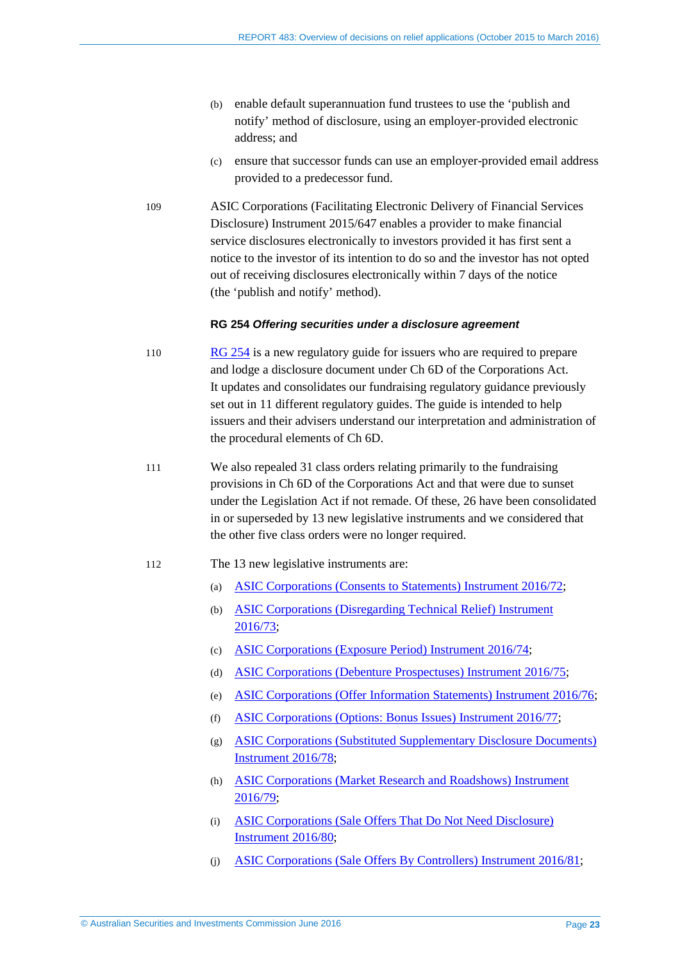- (b) enable default superannuation fund trustees to use the 'publish and notify' method of disclosure, using an employer-provided electronic address; and
- (c) ensure that successor funds can use an employer-provided email address provided to a predecessor fund.
- 109 ASIC Corporations (Facilitating Electronic Delivery of Financial Services Disclosure) Instrument 2015/647 enables a provider to make financial service disclosures electronically to investors provided it has first sent a notice to the investor of its intention to do so and the investor has not opted out of receiving disclosures electronically within 7 days of the notice (the 'publish and notify' method).

#### **RG 254** *Offering securities under a disclosure agreement*

- 110 [RG 254](http://www.asic.gov.au/regulatory-resources/find-a-document/regulatory-guides/rg-254-offering-securities-under-a-disclosure-document/) is a new regulatory guide for issuers who are required to prepare and lodge a disclosure document under Ch 6D of the Corporations Act. It updates and consolidates our fundraising regulatory guidance previously set out in 11 different regulatory guides. The guide is intended to help issuers and their advisers understand our interpretation and administration of the procedural elements of Ch 6D.
- 111 We also repealed 31 class orders relating primarily to the fundraising provisions in Ch 6D of the Corporations Act and that were due to sunset under the Legislation Act if not remade. Of these, 26 have been consolidated in or superseded by 13 new legislative instruments and we considered that the other five class orders were no longer required.

#### 112 The 13 new legislative instruments are:

- (a) [ASIC Corporations \(Consents to Statements\) Instrument 2016/72;](https://www.legislation.gov.au/Details/F2016L00326)
- (b) [ASIC Corporations \(Disregarding Technical Relief\) Instrument](https://www.legislation.gov.au/Details/F2016C00301)  [2016/73;](https://www.legislation.gov.au/Details/F2016C00301)
- (c) [ASIC Corporations \(Exposure Period\) Instrument 2016/74;](https://www.legislation.gov.au/Details/F2016L00347)
- (d) [ASIC Corporations \(Debenture Prospectuses\) Instrument 2016/75;](https://www.legislation.gov.au/Details/F2016L00343)
- (e) [ASIC Corporations \(Offer Information Statements\) Instrument 2016/76;](https://www.legislation.gov.au/Details/F2016L00344)
- (f) [ASIC Corporations \(Options: Bonus Issues\) Instrument 2016/77;](https://www.legislation.gov.au/Details/F2016L00346)
- (g) [ASIC Corporations \(Substituted Supplementary Disclosure Documents\)](https://www.legislation.gov.au/Details/F2016L00323)  [Instrument 2016/78;](https://www.legislation.gov.au/Details/F2016L00323)
- (h) [ASIC Corporations \(Market Research and Roadshows\) Instrument](https://www.legislation.gov.au/Details/F2016L00324)  [2016/79;](https://www.legislation.gov.au/Details/F2016L00324)
- (i) [ASIC Corporations \(Sale Offers That Do Not Need Disclosure\)](https://www.legislation.gov.au/Details/F2016L00325)  [Instrument 2016/80;](https://www.legislation.gov.au/Details/F2016L00325)
- (j) [ASIC Corporations \(Sale Offers By Controllers\) Instrument 2016/81;](https://www.legislation.gov.au/Details/F2016L00331)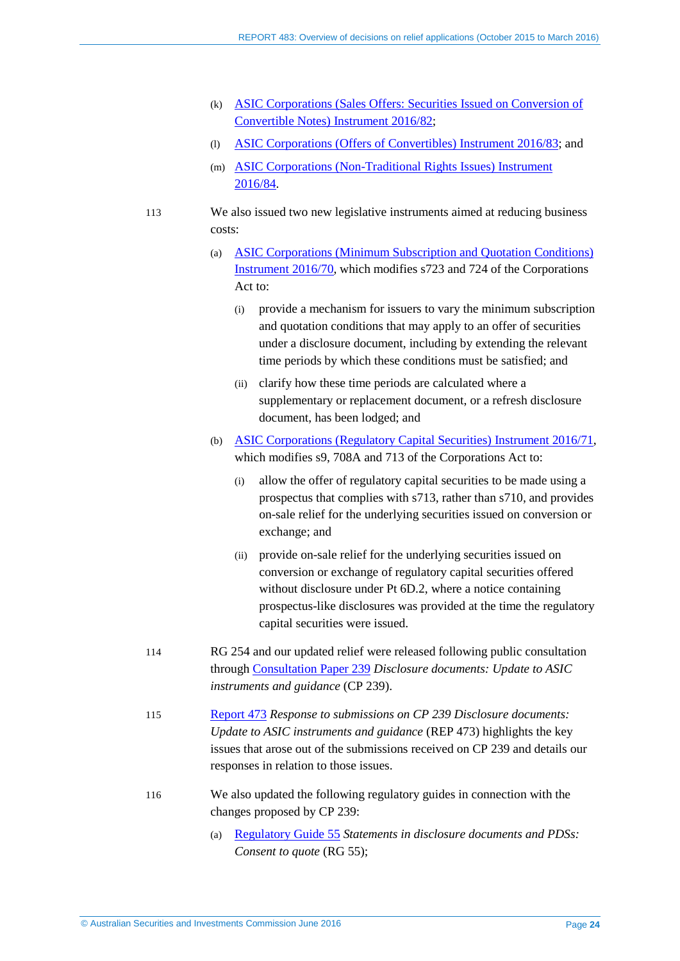- (k) [ASIC Corporations \(Sales Offers: Securities Issued on Conversion of](https://www.legislation.gov.au/Details/F2016L00332)  [Convertible Notes\) Instrument 2016/82;](https://www.legislation.gov.au/Details/F2016L00332)
- (l) [ASIC Corporations \(Offers of Convertibles\) Instrument 2016/83;](https://www.legislation.gov.au/Details/F2016L00333) and
- (m) [ASIC Corporations \(Non-Traditional Rights Issues\) Instrument](https://www.legislation.gov.au/Details/F2016L00334)  [2016/84.](https://www.legislation.gov.au/Details/F2016L00334)
- 113 We also issued two new legislative instruments aimed at reducing business costs:
	- (a) [ASIC Corporations \(Minimum Subscription and Quotation Conditions\)](https://www.legislation.gov.au/Details/F2016L00328)  [Instrument 2016/70,](https://www.legislation.gov.au/Details/F2016L00328) which modifies s723 and 724 of the Corporations Act to:
		- (i) provide a mechanism for issuers to vary the minimum subscription and quotation conditions that may apply to an offer of securities under a disclosure document, including by extending the relevant time periods by which these conditions must be satisfied; and
		- (ii) clarify how these time periods are calculated where a supplementary or replacement document, or a refresh disclosure document, has been lodged; and
	- (b) [ASIC Corporations \(Regulatory Capital Securities\) Instrument 2016/71,](https://www.legislation.gov.au/Details/F2016L00322) which modifies s9, 708A and 713 of the Corporations Act to:
		- (i) allow the offer of regulatory capital securities to be made using a prospectus that complies with s713, rather than s710, and provides on-sale relief for the underlying securities issued on conversion or exchange; and
		- (ii) provide on-sale relief for the underlying securities issued on conversion or exchange of regulatory capital securities offered without disclosure under Pt 6D.2, where a notice containing prospectus-like disclosures was provided at the time the regulatory capital securities were issued.
- 114 RG 254 and our updated relief were released following public consultation through [Consultation Paper 239](http://www.asic.gov.au/regulatory-resources/find-a-document/consultation-papers/cp-239-disclosure-documents-update-to-asic-instruments-and-guidance/) *Disclosure documents: Update to ASIC instruments and guidance* (CP 239).
- 115 [Report 473](http://www.asic.gov.au/regulatory-resources/find-a-document/reports/rep-473-response-to-submissions-on-cp-239-disclosure-documents-update-to-asic-instruments-and-guidance/) *Response to submissions on CP 239 Disclosure documents: Update to ASIC instruments and guidance* (REP 473) highlights the key issues that arose out of the submissions received on CP 239 and details our responses in relation to those issues.
- 116 We also updated the following regulatory guides in connection with the changes proposed by CP 239:
	- (a) [Regulatory Guide 55](http://www.asic.gov.au/regulatory-resources/find-a-document/regulatory-guides/rg-55-statements-in-disclosure-documents-and-pdss-consent-to-quote/) *Statements in disclosure documents and PDSs: Consent to quote* (RG 55);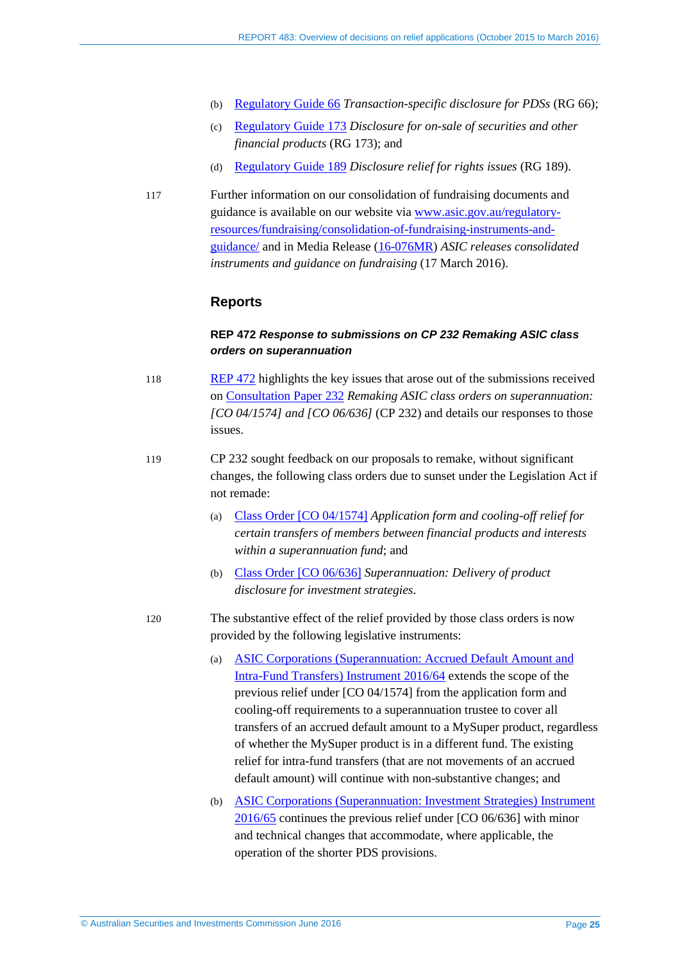- (b) [Regulatory Guide 66](http://www.asic.gov.au/regulatory-resources/find-a-document/regulatory-guides/rg-66-transaction-specific-disclosure-for-pdss/) *Transaction-specific disclosure for PDSs* (RG 66);
- (c) [Regulatory Guide 173](http://www.asic.gov.au/regulatory-resources/find-a-document/regulatory-guides/rg-173-disclosure-for-on-sale-of-securities-and-other-financial-products/) *Disclosure for on-sale of securities and other financial products* (RG 173); and
- (d) [Regulatory Guide 189](http://www.asic.gov.au/regulatory-resources/find-a-document/regulatory-guides/rg-189-disclosure-relief-for-rights-issues/) *Disclosure relief for rights issues* (RG 189).
- 117 Further information on our consolidation of fundraising documents and guidance is available on our website via [www.asic.gov.au/regulatory](http://www.asic.gov.au/regulatory-resources/fundraising/consolidation-of-fundraising-instruments-and-guidance/)[resources/fundraising/consolidation-of-fundraising-instruments-and](http://www.asic.gov.au/regulatory-resources/fundraising/consolidation-of-fundraising-instruments-and-guidance/)[guidance/](http://www.asic.gov.au/regulatory-resources/fundraising/consolidation-of-fundraising-instruments-and-guidance/) and in Media Release [\(16-076MR\)](http://asic.gov.au/about-asic/media-centre/find-a-media-release/2016-releases/16-076mr-asic-releases-consolidated-instruments-and-guidance-on-fundraising/) *ASIC releases consolidated instruments and guidance on fundraising* (17 March 2016).

#### **Reports**

#### **REP 472** *Response to submissions on CP 232 Remaking ASIC class orders on superannuation*

- 118 [REP 472](http://www.asic.gov.au/regulatory-resources/find-a-document/reports/rep-472-response-to-submissions-on-cp-232-remaking-asic-class-orders-on-superannuation/) highlights the key issues that arose out of the submissions received on [Consultation Paper 232](http://www.asic.gov.au/regulatory-resources/find-a-document/consultation-papers/cp-232-remaking-asic-class-orders-on-superannuation-co-041574-and-co-06636/) *Remaking ASIC class orders on superannuation: [CO 04/1574] and [CO 06/636]* (CP 232) and details our responses to those issues.
- 119 CP 232 sought feedback on our proposals to remake, without significant changes, the following class orders due to sunset under the Legislation Act if not remade:
	- (a) Class [Order \[CO 04/1574\]](http://download.asic.gov.au/media/1325137/co04-1574.pdf) *Application form and cooling-off relief for certain transfers of members between financial products and interests within a superannuation fund*; and
	- (b) Class [Order \[CO 06/636\]](https://www.legislation.gov.au/Details/F2012C00304) *Superannuation: Delivery of product disclosure for investment strategies*.
- 120 The substantive effect of the relief provided by those class orders is now provided by the following legislative instruments:
	- (a) [ASIC Corporations \(Superannuation: Accrued Default Amount and](https://www.legislation.gov.au/Details/F2016L00205)  [Intra-Fund Transfers\) Instrument 2016/64](https://www.legislation.gov.au/Details/F2016L00205) extends the scope of the previous relief under [CO 04/1574] from the application form and cooling-off requirements to a superannuation trustee to cover all transfers of an accrued default amount to a MySuper product, regardless of whether the MySuper product is in a different fund. The existing relief for intra-fund transfers (that are not movements of an accrued default amount) will continue with non-substantive changes; and
	- (b) [ASIC Corporations \(Superannuation: Investment Strategies\) Instrument](https://www.legislation.gov.au/Details/F2016L00204)  [2016/65](https://www.legislation.gov.au/Details/F2016L00204) continues the previous relief under [CO 06/636] with minor and technical changes that accommodate, where applicable, the operation of the shorter PDS provisions.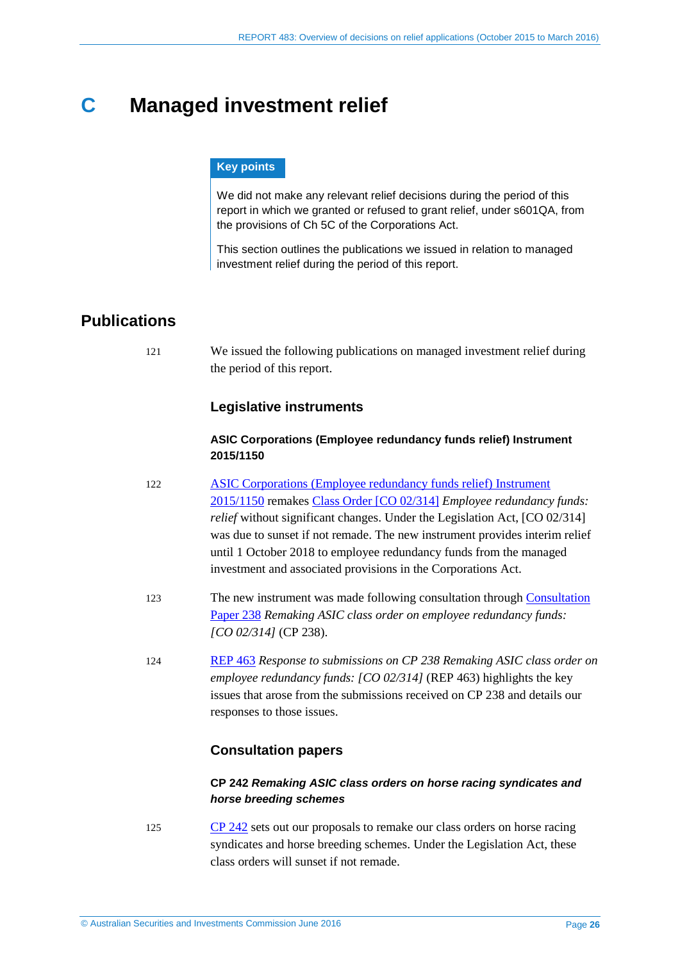# <span id="page-25-0"></span>**C Managed investment relief**

#### **Key points**

We did not make any relevant relief decisions during the period of this report in which we granted or refused to grant relief, under s601QA, from the provisions of Ch 5C of the Corporations Act.

This section outlines the publications we issued in relation to managed investment relief during the period of this report.

# <span id="page-25-1"></span>**Publications**

121 We issued the following publications on managed investment relief during the period of this report.

#### **Legislative instruments**

#### **ASIC Corporations (Employee redundancy funds relief) Instrument 2015/1150**

- 122 [ASIC Corporations \(Employee redundancy funds relief\) Instrument](https://www.legislation.gov.au/Details/F2015L02021)  [2015/1150](https://www.legislation.gov.au/Details/F2015L02021) remakes [Class Order \[CO 02/314\]](https://www.legislation.gov.au/Details/F2006B01663) *Employee redundancy funds: relief* without significant changes. Under the Legislation Act, [CO 02/314] was due to sunset if not remade. The new instrument provides interim relief until 1 October 2018 to employee redundancy funds from the managed investment and associated provisions in the Corporations Act.
- 123 The new instrument was made following consultation through [Consultation](http://www.asic.gov.au/regulatory-resources/find-a-document/consultation-papers/cp-238-remaking-asic-class-order-on-employee-redundancy-funds-co-02314/)  [Paper 238](http://www.asic.gov.au/regulatory-resources/find-a-document/consultation-papers/cp-238-remaking-asic-class-order-on-employee-redundancy-funds-co-02314/) *Remaking ASIC class order on employee redundancy funds: [CO 02/314]* (CP 238).
- 124 [REP 463](http://www.asic.gov.au/regulatory-resources/find-a-document/reports/rep-463-response-to-submissions-on-cp-238-remaking-asic-class-order-on-employee-redundancy-funds-co-02314/) *Response to submissions on CP 238 Remaking ASIC class order on employee redundancy funds: [CO 02/314]* (REP 463) highlights the key issues that arose from the submissions received on CP 238 and details our responses to those issues.

### **Consultation papers**

#### **CP 242** *Remaking ASIC class orders on horse racing syndicates and horse breeding schemes*

125 [CP 242](http://www.asic.gov.au/regulatory-resources/find-a-document/consultation-papers/cp-242-remaking-asic-class-orders-on-horse-racing-syndicates-and-horse-breeding-schemes/) sets out our proposals to remake our class orders on horse racing syndicates and horse breeding schemes. Under the Legislation Act, these class orders will sunset if not remade.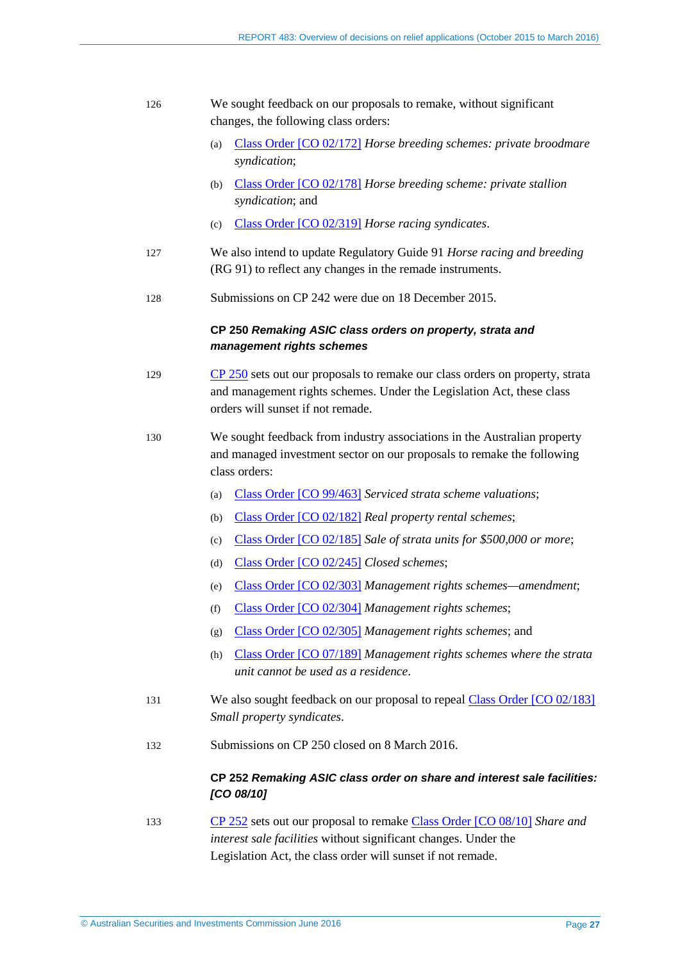#### 126 We sought feedback on our proposals to remake, without significant changes, the following class orders:

- (a) Class [Order \[CO 02/172\]](https://www.legislation.gov.au/Details/F2007B00636) *Horse breeding schemes: private broodmare syndication*;
- (b) Class [Order \[CO 02/178\]](https://www.legislation.gov.au/Details/F2007B00675) *Horse breeding scheme: private stallion syndication*; and
- (c) Class [Order \[CO 02/319\]](https://www.legislation.gov.au/Details/F2011C00494) *Horse racing syndicates*.
- 127 We also intend to update Regulatory Guide 91 *Horse racing and breeding* (RG 91) to reflect any changes in the remade instruments.
- 128 Submissions on CP 242 were due on 18 December 2015.

#### **CP 250** *Remaking ASIC class orders on property, strata and management rights schemes*

- 129 [CP 250](http://www.asic.gov.au/regulatory-resources/find-a-document/consultation-papers/cp-250-remaking-asic-class-orders-on-property-strata-and-management-rights-schemes/) sets out our proposals to remake our class orders on property, strata and management rights schemes. Under the Legislation Act, these class orders will sunset if not remade.
- 130 We sought feedback from industry associations in the Australian property and managed investment sector on our proposals to remake the following class orders:
	- (a) Class [Order \[CO 99/463\]](https://www.legislation.gov.au/Details/F2008B00017) *Serviced strata scheme valuations*;
	- (b) Class [Order \[CO 02/182\]](https://www.legislation.gov.au/Details/F2007B00608) *Real property rental schemes*;
	- (c) Class [Order \[CO 02/185\]](https://www.legislation.gov.au/Details/F2008B00021) *Sale of strata units for \$500,000 or more*;
	- (d) Class [Order \[CO 02/245\]](https://www.legislation.gov.au/Details/F2007B00073) *Closed schemes*;
	- (e) Class [Order \[CO 02/303\]](https://www.legislation.gov.au/Details/F2014C01018) *Management rights schemes—amendment*;
	- (f) Class [Order \[CO 02/304\]](https://www.legislation.gov.au/Details/F2014C01019) *Management rights schemes*;
	- (g) Class [Order \[CO 02/305\]](https://www.legislation.gov.au/Details/F2014C01020) *Management rights schemes*; and
	- (h) Class [Order \[CO 07/189\]](https://www.legislation.gov.au/Details/F2007L00914) *Management rights schemes where the strata unit cannot be used as a residence*.
- 131 We also sought feedback on our proposal to repeal Class [Order \[CO 02/183\]](https://www.legislation.gov.au/Details/F2007B00609) *Small property syndicates*.
- 132 Submissions on CP 250 closed on 8 March 2016.

#### **CP 252** *Remaking ASIC class order on share and interest sale facilities: [CO 08/10]*

133 [CP 252](http://www.asic.gov.au/regulatory-resources/find-a-document/consultation-papers/cp-252-remaking-asic-class-order-on-share-and-interest-sale-facilities-co-0810/) sets out our proposal to remake Class [Order \[CO 08/10\]](https://www.legislation.gov.au/Details/F2008L00757) *Share and interest sale facilities* without significant changes. Under the Legislation Act, the class order will sunset if not remade.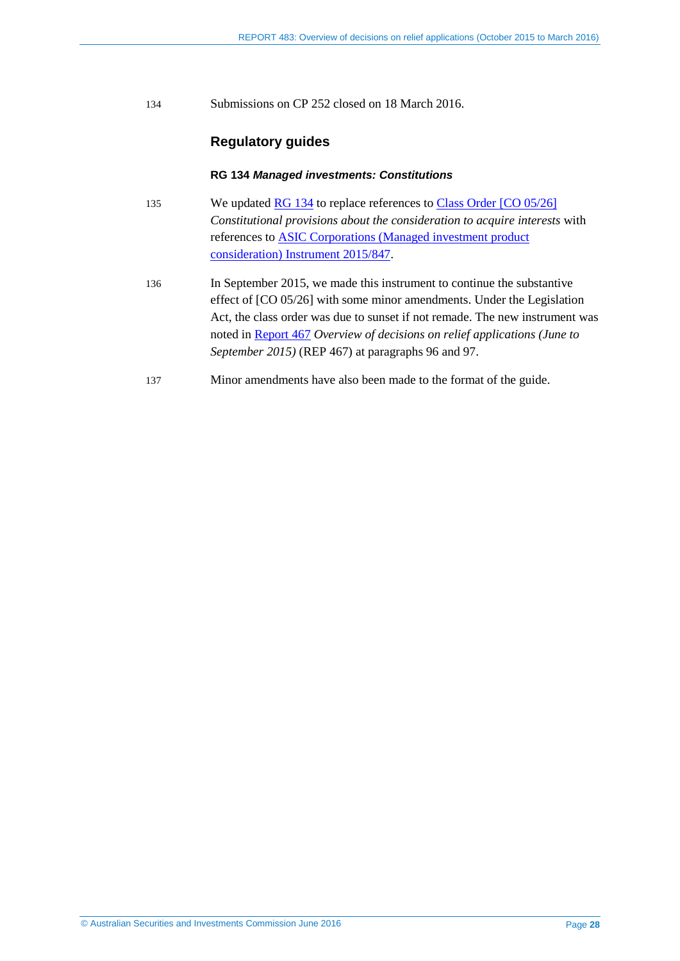134 Submissions on CP 252 closed on 18 March 2016.

#### **Regulatory guides**

#### **RG 134** *Managed investments: Constitutions*

- 135 We updated [RG 134](http://www.asic.gov.au/regulatory-resources/find-a-document/regulatory-guides/rg-134-managed-investments-constitutions/) to replace references to Class [Order \[CO](https://www.legislation.gov.au/Details/F2005L01126) 05/26] *Constitutional provisions about the consideration to acquire interests* with references to [ASIC Corporations \(Managed investment product](https://www.legislation.gov.au/Details/F2015L01561)  [consideration\) Instrument 2015/847.](https://www.legislation.gov.au/Details/F2015L01561)
- 136 In September 2015, we made this instrument to continue the substantive effect of [CO 05/26] with some minor amendments. Under the Legislation Act, the class order was due to sunset if not remade. The new instrument was noted in [Report 467](http://www.asic.gov.au/regulatory-resources/find-a-document/reports/rep-467-overview-of-decisions-on-relief-applications-june-to-september-2015/) *Overview of decisions on relief applications (June to September 2015)* (REP 467) at paragraphs 96 and 97.
- 137 Minor amendments have also been made to the format of the guide.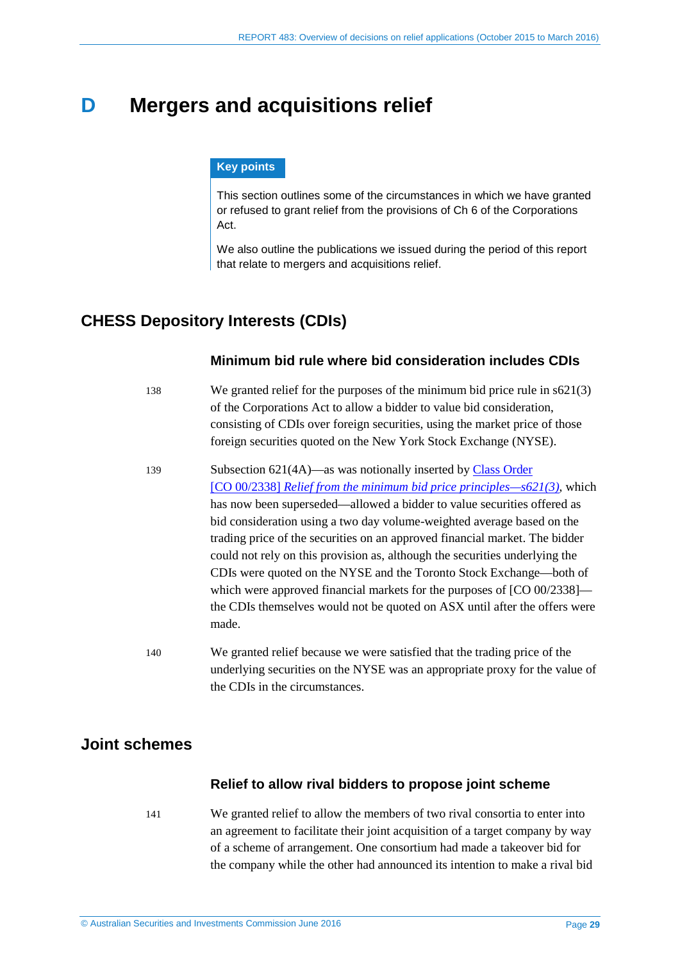# <span id="page-28-3"></span><span id="page-28-0"></span>**D Mergers and acquisitions relief**

#### **Key points**

This section outlines some of the circumstances in which we have granted or refused to grant relief from the provisions of Ch 6 of the Corporations Act.

We also outline the publications we issued during the period of this report that relate to mergers and acquisitions relief.

# <span id="page-28-4"></span><span id="page-28-1"></span>**CHESS Depository Interests (CDIs)**

#### **Minimum bid rule where bid consideration includes CDIs**

- 138 We granted relief for the purposes of the minimum bid price rule in s621(3) of the Corporations Act to allow a bidder to value bid consideration, consisting of CDIs over foreign securities, using the market price of those foreign securities quoted on the New York Stock Exchange (NYSE).
- <span id="page-28-5"></span>139 Subsection 621(4A)—as was notionally inserted by Class [Order](https://www.legislation.gov.au/Details/F2013C00380)  [CO 00/2338] *[Relief from the minimum bid price principles—s621\(3\)](https://www.legislation.gov.au/Details/F2013C00380)*, which has now been superseded—allowed a bidder to value securities offered as bid consideration using a two day volume-weighted average based on the trading price of the securities on an approved financial market. The bidder could not rely on this provision as, although the securities underlying the CDIs were quoted on the NYSE and the Toronto Stock Exchange—both of which were approved financial markets for the purposes of [CO 00/2338] the CDIs themselves would not be quoted on ASX until after the offers were made.
- 140 We granted relief because we were satisfied that the trading price of the underlying securities on the NYSE was an appropriate proxy for the value of the CDIs in the circumstances.

# <span id="page-28-2"></span>**Joint schemes**

#### **Relief to allow rival bidders to propose joint scheme**

141 We granted relief to allow the members of two rival consortia to enter into an agreement to facilitate their joint acquisition of a target company by way of a scheme of arrangement. One consortium had made a takeover bid for the company while the other had announced its intention to make a rival bid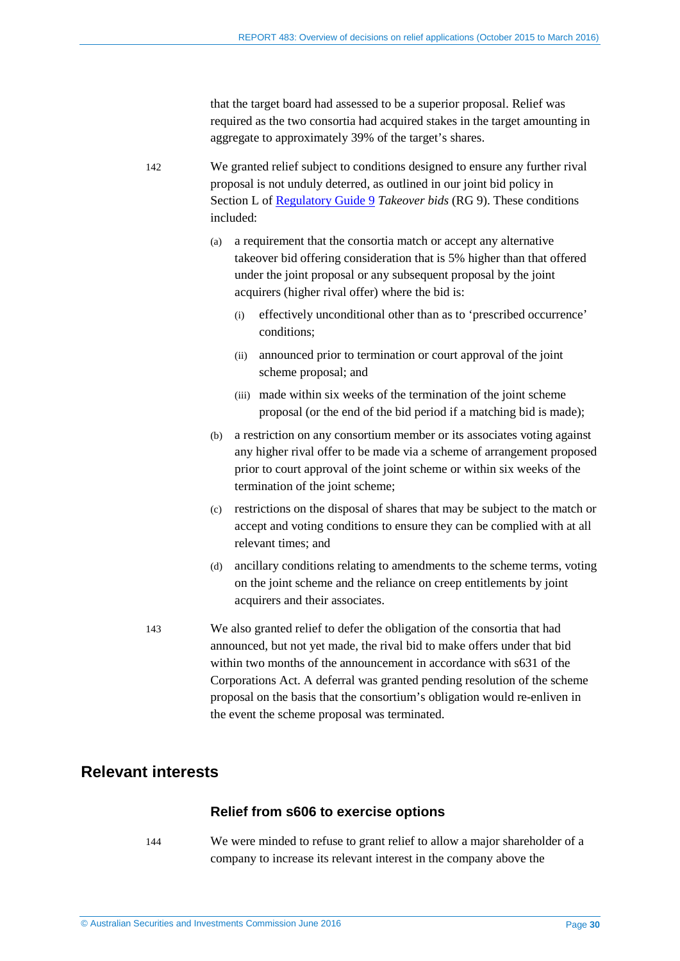that the target board had assessed to be a superior proposal. Relief was required as the two consortia had acquired stakes in the target amounting in aggregate to approximately 39% of the target's shares.

142 We granted relief subject to conditions designed to ensure any further rival proposal is not unduly deterred, as outlined in our joint bid policy in Section L of [Regulatory Guide 9](http://www.asic.gov.au/regulatory-resources/find-a-document/regulatory-guides/rg-9-takeover-bids/) *Takeover bids* (RG 9). These conditions included:

- <span id="page-29-1"></span>(a) a requirement that the consortia match or accept any alternative takeover bid offering consideration that is 5% higher than that offered under the joint proposal or any subsequent proposal by the joint acquirers (higher rival offer) where the bid is:
	- (i) effectively unconditional other than as to 'prescribed occurrence' conditions;
	- (ii) announced prior to termination or court approval of the joint scheme proposal; and
	- (iii) made within six weeks of the termination of the joint scheme proposal (or the end of the bid period if a matching bid is made);
- (b) a restriction on any consortium member or its associates voting against any higher rival offer to be made via a scheme of arrangement proposed prior to court approval of the joint scheme or within six weeks of the termination of the joint scheme;
- (c) restrictions on the disposal of shares that may be subject to the match or accept and voting conditions to ensure they can be complied with at all relevant times; and
- (d) ancillary conditions relating to amendments to the scheme terms, voting on the joint scheme and the reliance on creep entitlements by joint acquirers and their associates.
- 143 We also granted relief to defer the obligation of the consortia that had announced, but not yet made, the rival bid to make offers under that bid within two months of the announcement in accordance with s631 of the Corporations Act. A deferral was granted pending resolution of the scheme proposal on the basis that the consortium's obligation would re-enliven in the event the scheme proposal was terminated.

# <span id="page-29-0"></span>**Relevant interests**

#### **Relief from s606 to exercise options**

144 We were minded to refuse to grant relief to allow a major shareholder of a company to increase its relevant interest in the company above the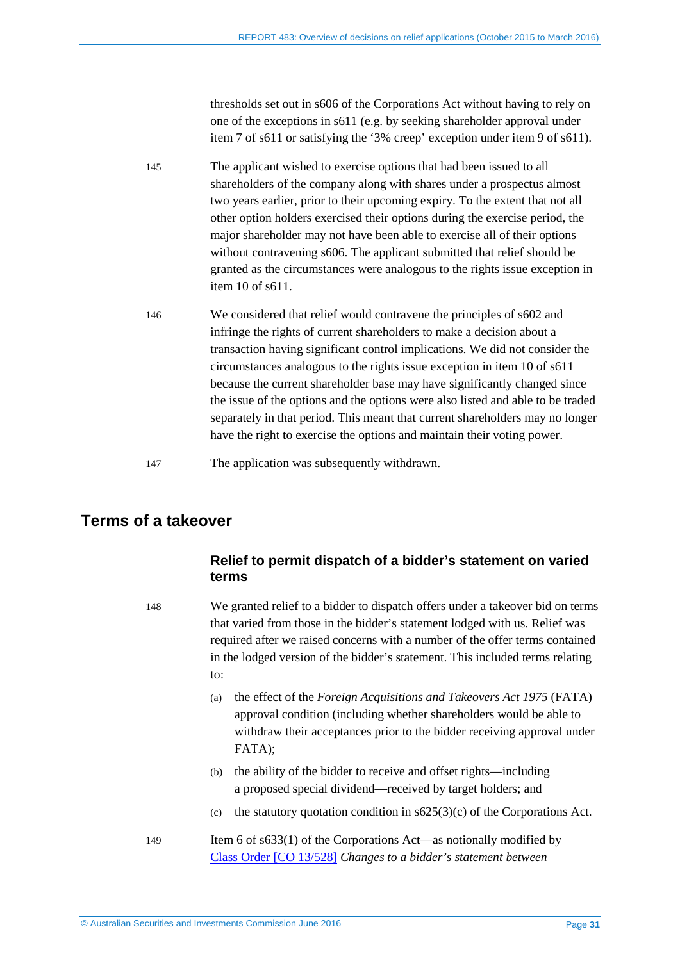thresholds set out in s606 of the Corporations Act without having to rely on one of the exceptions in s611 (e.g. by seeking shareholder approval under item 7 of s611 or satisfying the '3% creep' exception under item 9 of s611).

- 145 The applicant wished to exercise options that had been issued to all shareholders of the company along with shares under a prospectus almost two years earlier, prior to their upcoming expiry. To the extent that not all other option holders exercised their options during the exercise period, the major shareholder may not have been able to exercise all of their options without contravening s606. The applicant submitted that relief should be granted as the circumstances were analogous to the rights issue exception in item 10 of s611.
- <span id="page-30-1"></span>146 We considered that relief would contravene the principles of s602 and infringe the rights of current shareholders to make a decision about a transaction having significant control implications. We did not consider the circumstances analogous to the rights issue exception in item 10 of s611 because the current shareholder base may have significantly changed since the issue of the options and the options were also listed and able to be traded separately in that period. This meant that current shareholders may no longer have the right to exercise the options and maintain their voting power.
- 147 The application was subsequently withdrawn.

# <span id="page-30-0"></span>**Terms of a takeover**

### **Relief to permit dispatch of a bidder's statement on varied terms**

148 We granted relief to a bidder to dispatch offers under a takeover bid on terms that varied from those in the bidder's statement lodged with us. Relief was required after we raised concerns with a number of the offer terms contained in the lodged version of the bidder's statement. This included terms relating to:

- (a) the effect of the *Foreign Acquisitions and Takeovers Act 1975* (FATA) approval condition (including whether shareholders would be able to withdraw their acceptances prior to the bidder receiving approval under FATA);
- (b) the ability of the bidder to receive and offset rights—including a proposed special dividend—received by target holders; and
- (c) the statutory quotation condition in  $s625(3)(c)$  of the Corporations Act.
- 149 Item 6 of s633(1) of the Corporations Act—as notionally modified by Class [Order \[CO 13/528\]](https://www.legislation.gov.au/Details/F2013L01094) *Changes to a bidder's statement between*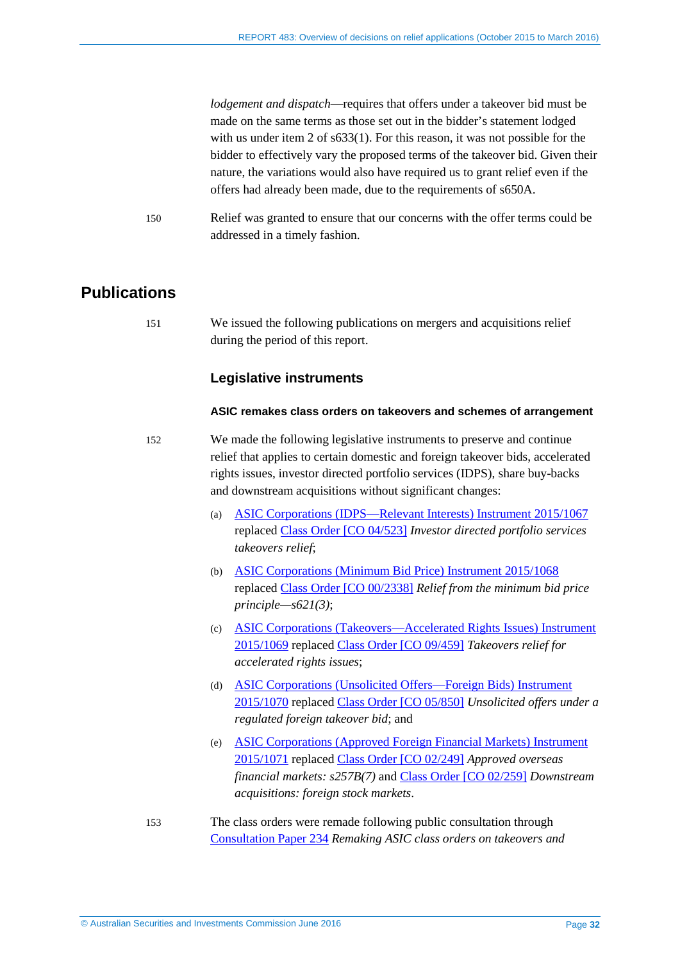<span id="page-31-1"></span>*lodgement and dispatch*—requires that offers under a takeover bid must be made on the same terms as those set out in the bidder's statement lodged with us under item 2 of s633(1). For this reason, it was not possible for the bidder to effectively vary the proposed terms of the takeover bid. Given their nature, the variations would also have required us to grant relief even if the offers had already been made, due to the requirements of s650A.

150 Relief was granted to ensure that our concerns with the offer terms could be addressed in a timely fashion.

# <span id="page-31-0"></span>**Publications**

151 We issued the following publications on mergers and acquisitions relief during the period of this report.

#### **Legislative instruments**

#### **ASIC remakes class orders on takeovers and schemes of arrangement**

- 152 We made the following legislative instruments to preserve and continue relief that applies to certain domestic and foreign takeover bids, accelerated rights issues, investor directed portfolio services (IDPS), share buy-backs and downstream acquisitions without significant changes:
	- (a) [ASIC Corporations \(IDPS—Relevant Interests\) Instrument 2015/1067](https://www.legislation.gov.au/Details/F2015L01990) replaced Class [Order \[CO 04/523\]](https://www.legislation.gov.au/Details/F2006B01156) *Investor directed portfolio services takeovers relief*;
	- (b) [ASIC Corporations \(Minimum Bid Price\) Instrument 2015/1068](https://www.legislation.gov.au/Details/F2015L01989) replaced Class [Order \[CO 00/2338\]](https://www.legislation.gov.au/Details/F2013C00380) *Relief from the minimum bid price principle—s621(3)*;
	- (c) [ASIC Corporations \(Takeovers—Accelerated Rights Issues\) Instrument](https://www.legislation.gov.au/Details/F2015L01985)  [2015/1069](https://www.legislation.gov.au/Details/F2015L01985) replaced Class [Order \[CO 09/459\]](https://www.legislation.gov.au/Details/F2013C00382) *Takeovers relief for accelerated rights issues*;
	- (d) [ASIC Corporations \(Unsolicited Offers—Foreign Bids\) Instrument](https://www.legislation.gov.au/Details/F2015L01986)  [2015/1070](https://www.legislation.gov.au/Details/F2015L01986) replaced Class [Order \[CO 05/850\]](https://www.legislation.gov.au/Details/F2005L03059) *Unsolicited offers under a regulated foreign takeover bid*; and
	- (e) [ASIC Corporations \(Approved Foreign Financial Markets\) Instrument](https://www.legislation.gov.au/Details/F2015L01988)  [2015/1071](https://www.legislation.gov.au/Details/F2015L01988) replaced Class [Order \[CO 02/249\]](https://www.legislation.gov.au/Details/F2007B00252) *Approved overseas financial markets: s257B(7)* and Class [Order \[CO 02/259\]](https://www.legislation.gov.au/Details/F2006B00567) *Downstream acquisitions: foreign stock markets*.
- 153 The class orders were remade following public consultation through [Consultation Paper 234](http://www.asic.gov.au/regulatory-resources/find-a-document/consultation-papers/cp-234-remaking-asic-class-orders-on-takeovers-and-schemes-of-arrangement/) *Remaking ASIC class orders on takeovers and*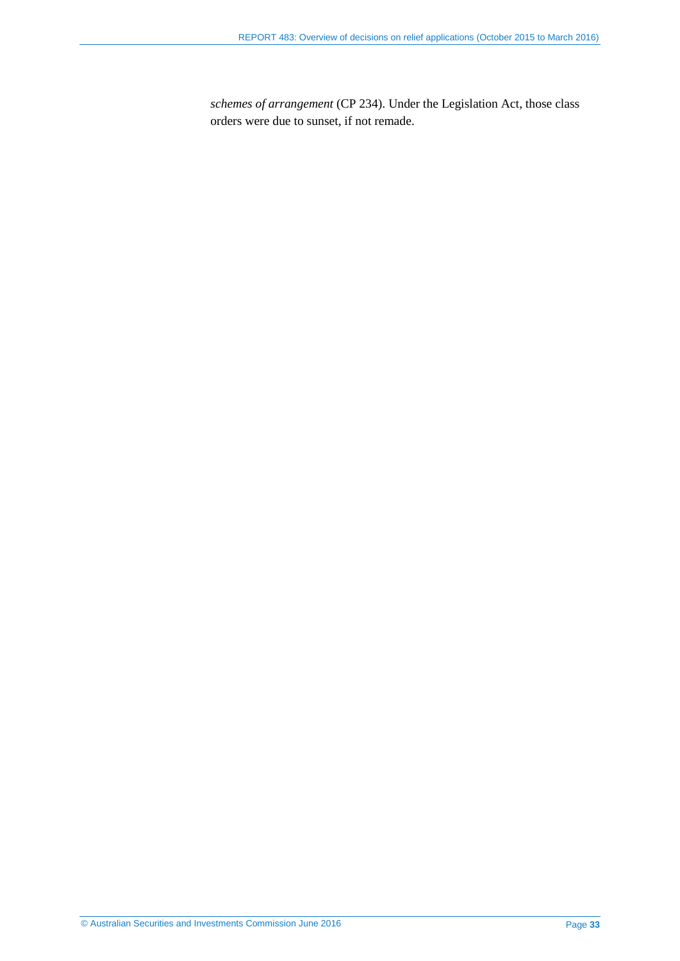*schemes of arrangement* (CP 234). Under the Legislation Act, those class orders were due to sunset, if not remade.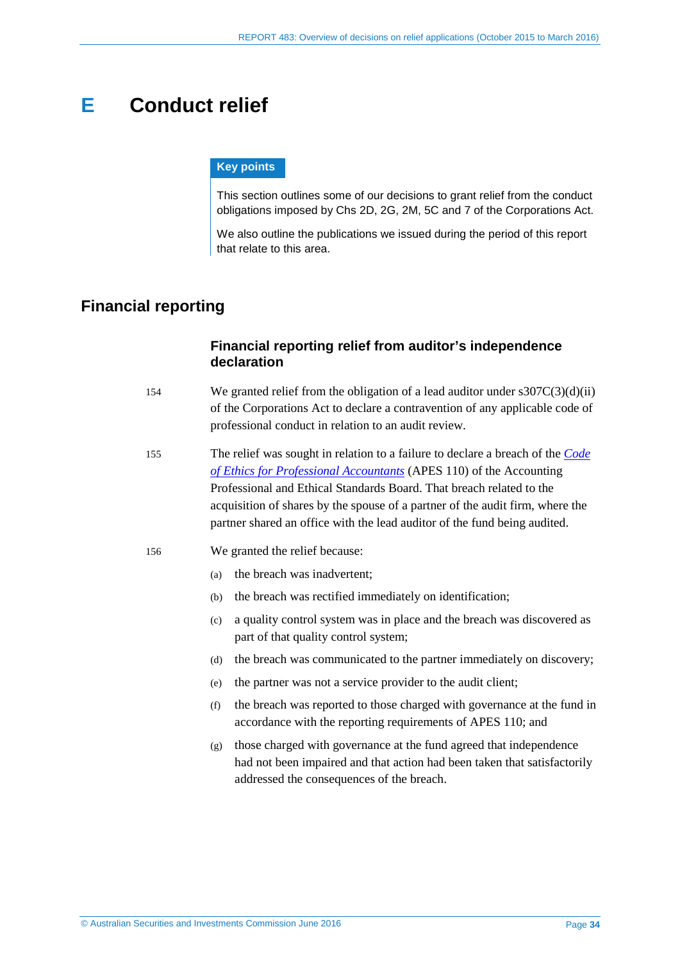# <span id="page-33-0"></span>**E Conduct relief**

#### **Key points**

This section outlines some of our decisions to grant relief from the conduct obligations imposed by Chs 2D, 2G, 2M, 5C and 7 of the Corporations Act.

We also outline the publications we issued during the period of this report that relate to this area.

# <span id="page-33-1"></span>**Financial reporting**

### **Financial reporting relief from auditor's independence declaration**

- 154 We granted relief from the obligation of a lead auditor under  $s307C(3)(d)(ii)$ of the Corporations Act to declare a contravention of any applicable code of professional conduct in relation to an audit review.
- 155 The relief was sought in relation to a failure to declare a breach of the *[Code](http://www.apesb.org.au/uploads/standards/apesb_standards/standard1.pdf)  [of Ethics for Professional Accountants](http://www.apesb.org.au/uploads/standards/apesb_standards/standard1.pdf)* (APES 110) of the Accounting Professional and Ethical Standards Board. That breach related to the acquisition of shares by the spouse of a partner of the audit firm, where the partner shared an office with the lead auditor of the fund being audited.

#### 156 We granted the relief because:

- (a) the breach was inadvertent;
- (b) the breach was rectified immediately on identification;
- (c) a quality control system was in place and the breach was discovered as part of that quality control system;
- (d) the breach was communicated to the partner immediately on discovery;
- (e) the partner was not a service provider to the audit client;
- (f) the breach was reported to those charged with governance at the fund in accordance with the reporting requirements of APES 110; and
- (g) those charged with governance at the fund agreed that independence had not been impaired and that action had been taken that satisfactorily addressed the consequences of the breach.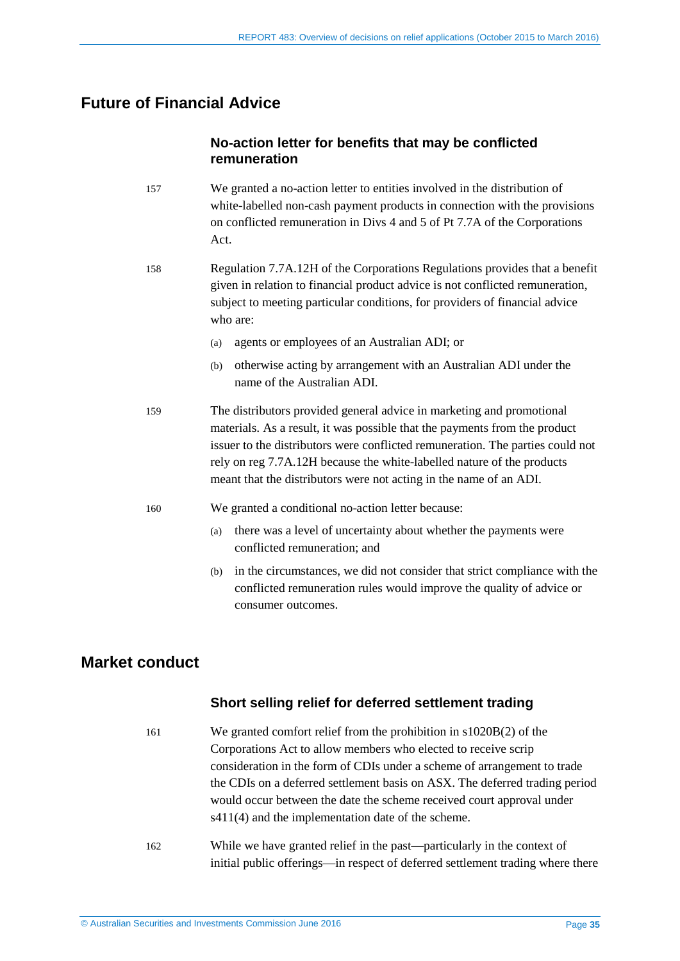# <span id="page-34-0"></span>**Future of Financial Advice**

### **No-action letter for benefits that may be conflicted remuneration**

- 157 We granted a no-action letter to entities involved in the distribution of white-labelled non-cash payment products in connection with the provisions on conflicted remuneration in Divs 4 and 5 of Pt 7.7A of the Corporations Act.
- 158 Regulation 7.7A.12H of the Corporations Regulations provides that a benefit given in relation to financial product advice is not conflicted remuneration, subject to meeting particular conditions, for providers of financial advice who are:
	- (a) agents or employees of an Australian ADI; or
	- (b) otherwise acting by arrangement with an Australian ADI under the name of the Australian ADI.
- 159 The distributors provided general advice in marketing and promotional materials. As a result, it was possible that the payments from the product issuer to the distributors were conflicted remuneration. The parties could not rely on reg 7.7A.12H because the white-labelled nature of the products meant that the distributors were not acting in the name of an ADI.
- 160 We granted a conditional no-action letter because:
	- (a) there was a level of uncertainty about whether the payments were conflicted remuneration; and
	- (b) in the circumstances, we did not consider that strict compliance with the conflicted remuneration rules would improve the quality of advice or consumer outcomes.

# <span id="page-34-1"></span>**Market conduct**

### **Short selling relief for deferred settlement trading**

- 161 We granted comfort relief from the prohibition in s1020B(2) of the Corporations Act to allow members who elected to receive scrip consideration in the form of CDIs under a scheme of arrangement to trade the CDIs on a deferred settlement basis on ASX. The deferred trading period would occur between the date the scheme received court approval under s411(4) and the implementation date of the scheme.
- 162 While we have granted relief in the past—particularly in the context of initial public offerings—in respect of deferred settlement trading where there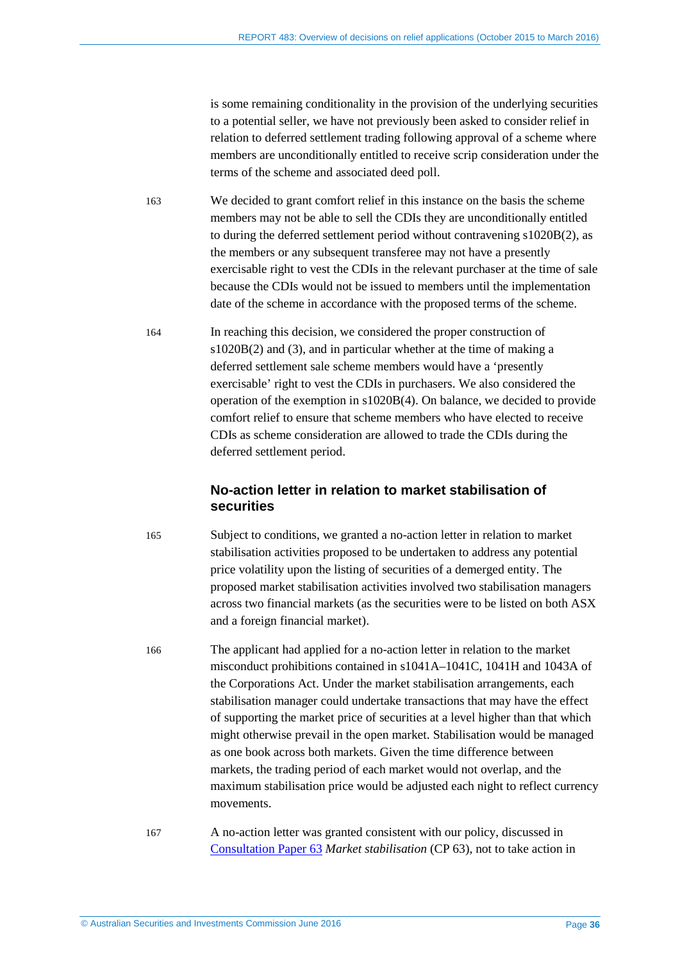is some remaining conditionality in the provision of the underlying securities to a potential seller, we have not previously been asked to consider relief in relation to deferred settlement trading following approval of a scheme where members are unconditionally entitled to receive scrip consideration under the terms of the scheme and associated deed poll.

163 We decided to grant comfort relief in this instance on the basis the scheme members may not be able to sell the CDIs they are unconditionally entitled to during the deferred settlement period without contravening s1020B(2), as the members or any subsequent transferee may not have a presently exercisable right to vest the CDIs in the relevant purchaser at the time of sale because the CDIs would not be issued to members until the implementation date of the scheme in accordance with the proposed terms of the scheme.

164 In reaching this decision, we considered the proper construction of s1020B(2) and (3), and in particular whether at the time of making a deferred settlement sale scheme members would have a 'presently exercisable' right to vest the CDIs in purchasers. We also considered the operation of the exemption in s1020B(4). On balance, we decided to provide comfort relief to ensure that scheme members who have elected to receive CDIs as scheme consideration are allowed to trade the CDIs during the deferred settlement period.

#### **No-action letter in relation to market stabilisation of securities**

165 Subject to conditions, we granted a no-action letter in relation to market stabilisation activities proposed to be undertaken to address any potential price volatility upon the listing of securities of a demerged entity. The proposed market stabilisation activities involved two stabilisation managers across two financial markets (as the securities were to be listed on both ASX and a foreign financial market).

166 The applicant had applied for a no-action letter in relation to the market misconduct prohibitions contained in s1041A–1041C, 1041H and 1043A of the Corporations Act. Under the market stabilisation arrangements, each stabilisation manager could undertake transactions that may have the effect of supporting the market price of securities at a level higher than that which might otherwise prevail in the open market. Stabilisation would be managed as one book across both markets. Given the time difference between markets, the trading period of each market would not overlap, and the maximum stabilisation price would be adjusted each night to reflect currency movements.

167 A no-action letter was granted consistent with our policy, discussed in [Consultation Paper 63](http://www.asic.gov.au/regulatory-resources/find-a-document/consultation-papers/cp-63-market-stabilisation/) *Market stabilisation* (CP 63), not to take action in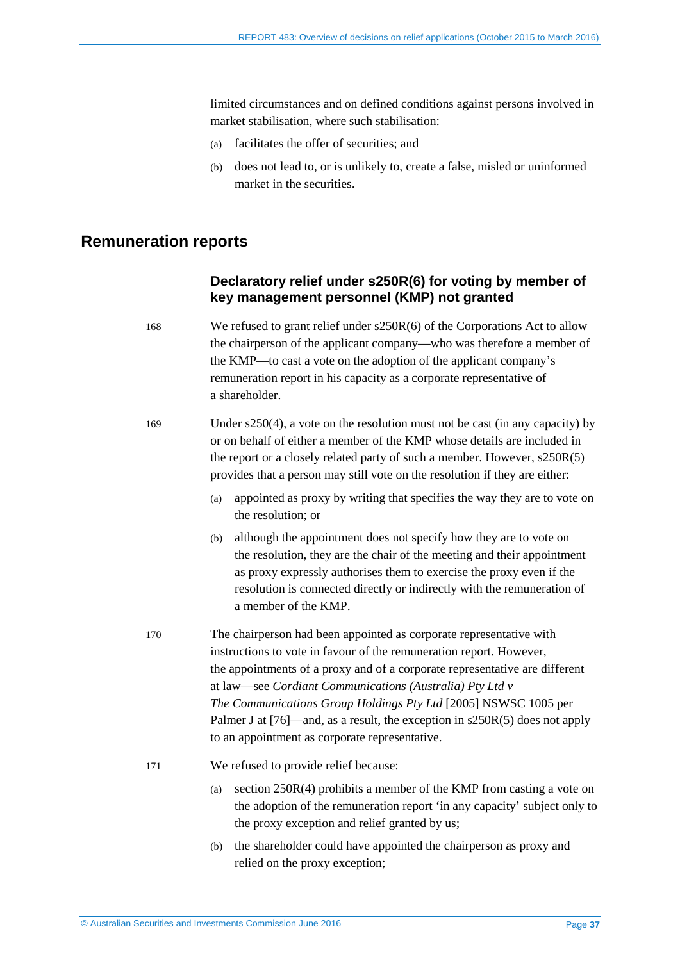limited circumstances and on defined conditions against persons involved in market stabilisation, where such stabilisation:

- (a) facilitates the offer of securities; and
- (b) does not lead to, or is unlikely to, create a false, misled or uninformed market in the securities.

# <span id="page-36-0"></span>**Remuneration reports**

# **Declaratory relief under s250R(6) for voting by member of key management personnel (KMP) not granted**

| 168 | We refused to grant relief under $s250R(6)$ of the Corporations Act to allow<br>the chairperson of the applicant company—who was therefore a member of<br>the KMP—to cast a vote on the adoption of the applicant company's<br>remuneration report in his capacity as a corporate representative of<br>a shareholder.                                                                                                                                                                          |
|-----|------------------------------------------------------------------------------------------------------------------------------------------------------------------------------------------------------------------------------------------------------------------------------------------------------------------------------------------------------------------------------------------------------------------------------------------------------------------------------------------------|
| 169 | Under $s250(4)$ , a vote on the resolution must not be cast (in any capacity) by<br>or on behalf of either a member of the KMP whose details are included in<br>the report or a closely related party of such a member. However, s250R(5)<br>provides that a person may still vote on the resolution if they are either:                                                                                                                                                                       |
|     | appointed as proxy by writing that specifies the way they are to vote on<br>(a)<br>the resolution; or                                                                                                                                                                                                                                                                                                                                                                                          |
|     | although the appointment does not specify how they are to vote on<br>(b)<br>the resolution, they are the chair of the meeting and their appointment<br>as proxy expressly authorises them to exercise the proxy even if the<br>resolution is connected directly or indirectly with the remuneration of<br>a member of the KMP.                                                                                                                                                                 |
| 170 | The chairperson had been appointed as corporate representative with<br>instructions to vote in favour of the remuneration report. However,<br>the appointments of a proxy and of a corporate representative are different<br>at law—see Cordiant Communications (Australia) Pty Ltd v<br>The Communications Group Holdings Pty Ltd [2005] NSWSC 1005 per<br>Palmer J at $[76]$ —and, as a result, the exception in $s250R(5)$ does not apply<br>to an appointment as corporate representative. |
| 171 | We refused to provide relief because:                                                                                                                                                                                                                                                                                                                                                                                                                                                          |
|     | section 250R(4) prohibits a member of the KMP from casting a vote on<br>(a)<br>the adoption of the remuneration report 'in any capacity' subject only to<br>the proxy exception and relief granted by us;                                                                                                                                                                                                                                                                                      |
|     | the shareholder could have appointed the chairperson as proxy and<br>(b)                                                                                                                                                                                                                                                                                                                                                                                                                       |

relied on the proxy exception;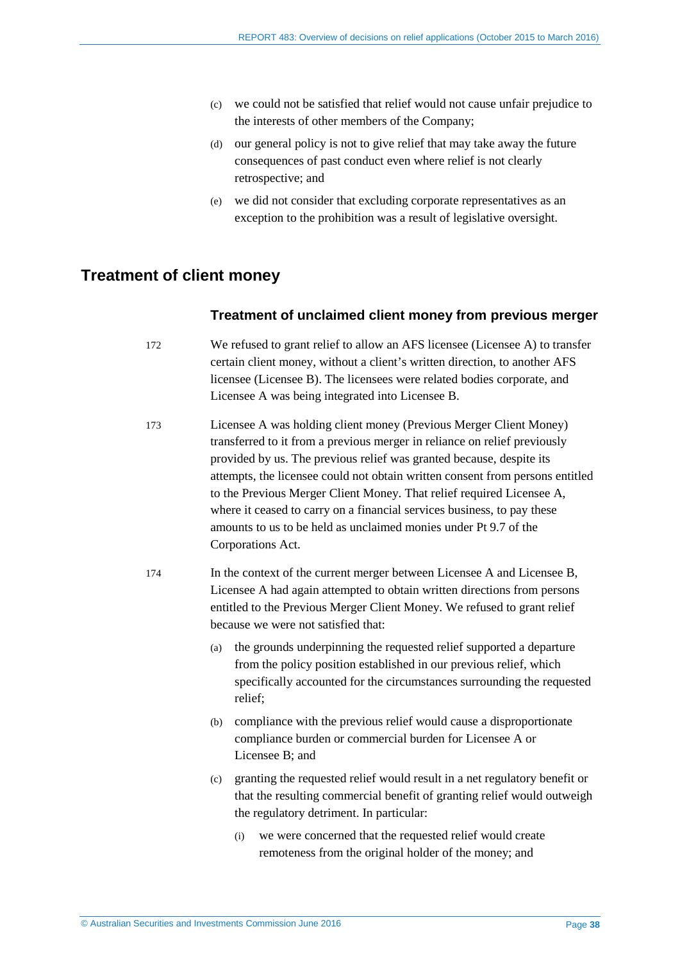- (c) we could not be satisfied that relief would not cause unfair prejudice to the interests of other members of the Company;
- (d) our general policy is not to give relief that may take away the future consequences of past conduct even where relief is not clearly retrospective; and
- (e) we did not consider that excluding corporate representatives as an exception to the prohibition was a result of legislative oversight.

# <span id="page-37-0"></span>**Treatment of client money**

#### **Treatment of unclaimed client money from previous merger**

- 172 We refused to grant relief to allow an AFS licensee (Licensee A) to transfer certain client money, without a client's written direction, to another AFS licensee (Licensee B). The licensees were related bodies corporate, and Licensee A was being integrated into Licensee B.
- 173 Licensee A was holding client money (Previous Merger Client Money) transferred to it from a previous merger in reliance on relief previously provided by us. The previous relief was granted because, despite its attempts, the licensee could not obtain written consent from persons entitled to the Previous Merger Client Money. That relief required Licensee A, where it ceased to carry on a financial services business, to pay these amounts to us to be held as unclaimed monies under Pt 9.7 of the Corporations Act.
- 174 In the context of the current merger between Licensee A and Licensee B, Licensee A had again attempted to obtain written directions from persons entitled to the Previous Merger Client Money. We refused to grant relief because we were not satisfied that:
	- (a) the grounds underpinning the requested relief supported a departure from the policy position established in our previous relief, which specifically accounted for the circumstances surrounding the requested relief;
	- (b) compliance with the previous relief would cause a disproportionate compliance burden or commercial burden for Licensee A or Licensee B; and
	- (c) granting the requested relief would result in a net regulatory benefit or that the resulting commercial benefit of granting relief would outweigh the regulatory detriment. In particular:
		- (i) we were concerned that the requested relief would create remoteness from the original holder of the money; and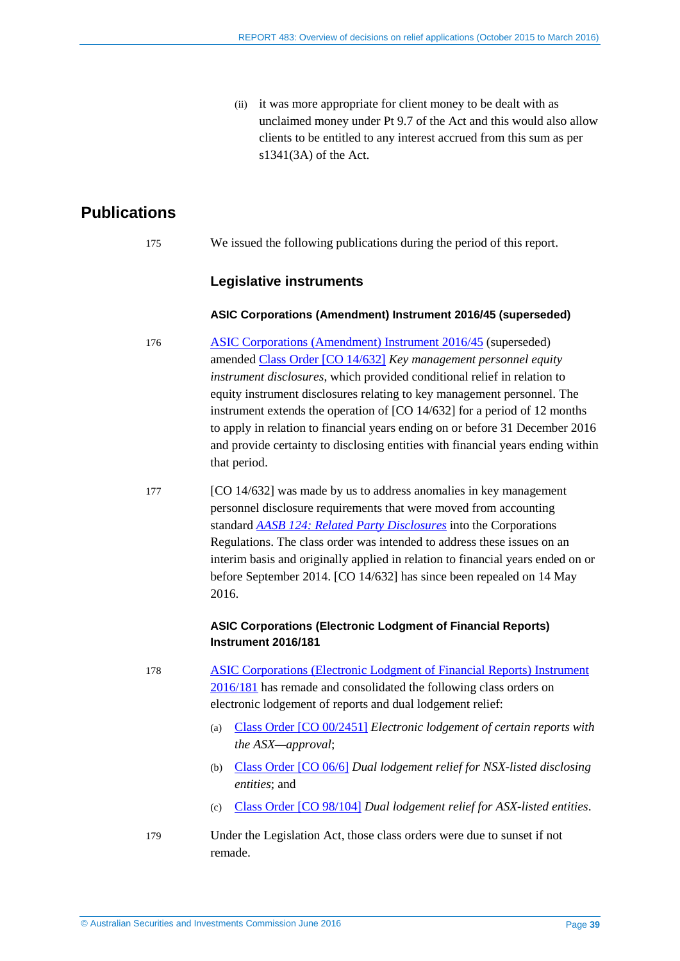(ii) it was more appropriate for client money to be dealt with as unclaimed money under Pt 9.7 of the Act and this would also allow clients to be entitled to any interest accrued from this sum as per s1341(3A) of the Act.

# <span id="page-38-0"></span>**Publications**

175 We issued the following publications during the period of this report.

#### **Legislative instruments**

#### **ASIC Corporations (Amendment) Instrument 2016/45 (superseded)**

- 176 [ASIC Corporations \(Amendment\) Instrument 2016/45](https://www.legislation.gov.au/Details/F2016L00104) (superseded) amended Class [Order \[CO 14/632\]](https://www.legislation.gov.au/Details/F2014L00893) *Key management personnel equity instrument disclosures*, which provided conditional relief in relation to equity instrument disclosures relating to key management personnel. The instrument extends the operation of [CO 14/632] for a period of 12 months to apply in relation to financial years ending on or before 31 December 2016 and provide certainty to disclosing entities with financial years ending within that period.
- 177 [CO 14/632] was made by us to address anomalies in key management personnel disclosure requirements that were moved from accounting standard *[AASB 124: Related Party Disclosures](http://www.aasb.gov.au/admin/file/content105/c9/AASB124_07-15.pdf)* into the Corporations Regulations. The class order was intended to address these issues on an interim basis and originally applied in relation to financial years ended on or before September 2014. [CO 14/632] has since been repealed on 14 May 2016.

#### **ASIC Corporations (Electronic Lodgment of Financial Reports) Instrument 2016/181**

- 178 [ASIC Corporations \(Electronic Lodgment of Financial Reports\) Instrument](https://www.legislation.gov.au/Details/F2016L00452)  [2016/181](https://www.legislation.gov.au/Details/F2016L00452) has remade and consolidated the following class orders on electronic lodgement of reports and dual lodgement relief:
	- (a) Class [Order \[CO 00/2451\]](https://www.legislation.gov.au/Details/F2012C00470) *Electronic lodgement of certain reports with the ASX—approval*;
	- (b) Class [Order \[CO 06/6\]](https://www.legislation.gov.au/Details/F2006L00207) *Dual lodgement relief for NSX-listed disclosing entities*; and
	- (c) Class [Order \[CO 98/104\]](https://www.legislation.gov.au/Details/F2006B00828) *Dual lodgement relief for ASX-listed entities*.
- 179 Under the Legislation Act, those class orders were due to sunset if not remade.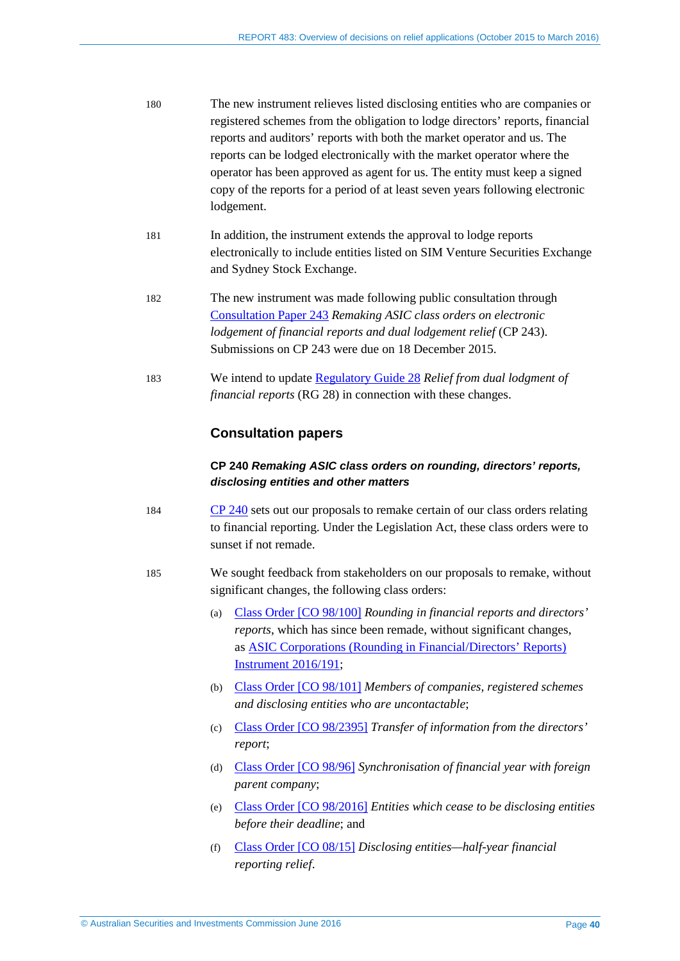| 180 | The new instrument relieves listed disclosing entities who are companies or   |
|-----|-------------------------------------------------------------------------------|
|     | registered schemes from the obligation to lodge directors' reports, financial |
|     | reports and auditors' reports with both the market operator and us. The       |
|     | reports can be lodged electronically with the market operator where the       |
|     | operator has been approved as agent for us. The entity must keep a signed     |
|     | copy of the reports for a period of at least seven years following electronic |
|     | lodgement.                                                                    |
| 181 | In addition, the instrument extends the approval to lodge reports             |
|     | electronically to include entities listed on SIM Venture Securities Exchange  |
|     | and Sydney Stock Exchange.                                                    |
|     |                                                                               |

- 182 The new instrument was made following public consultation through [Consultation Paper 243](http://www.asic.gov.au/regulatory-resources/find-a-document/consultation-papers/cp-243-remaking-asic-class-orders-on-electronic-lodgement-of-financial-reports-and-dual-lodgement-relief/) *Remaking ASIC class orders on electronic lodgement of financial reports and dual lodgement relief* (CP 243). Submissions on CP 243 were due on 18 December 2015.
- 183 We intend to update [Regulatory Guide 28](http://www.asic.gov.au/regulatory-resources/find-a-document/regulatory-guides/rg-28-relief-from-dual-lodgment-of-financial-reports/) *Relief from dual lodgment of financial reports* (RG 28) in connection with these changes.

#### **Consultation papers**

#### **CP 240** *Remaking ASIC class orders on rounding, directors' reports, disclosing entities and other matters*

- 184 [CP 240](http://www.asic.gov.au/regulatory-resources/find-a-document/consultation-papers/cp-240-remaking-asic-class-orders-on-rounding-directors-reports-disclosing-entities-and-other-matters/) sets out our proposals to remake certain of our class orders relating to financial reporting. Under the Legislation Act, these class orders were to sunset if not remade.
- 185 We sought feedback from stakeholders on our proposals to remake, without significant changes, the following class orders:
	- (a) Class [Order \[CO 98/100\]](https://www.legislation.gov.au/Details/F2013C00717) *Rounding in financial reports and directors' reports*, which has since been remade, without significant changes, as [ASIC Corporations \(Rounding in Financial/Directors' Reports\)](https://www.legislation.gov.au/Details/F2016L00442)  [Instrument 2016/191;](https://www.legislation.gov.au/Details/F2016L00442)
	- (b) Class [Order \[CO 98/101\]](https://www.legislation.gov.au/Details/F2006C00367) *Members of companies, registered schemes and disclosing entities who are uncontactable*;
	- (c) Class [Order \[CO 98/2395\]](https://www.legislation.gov.au/Details/F2006C00045) *Transfer of information from the directors' report*;
	- (d) Class [Order \[CO](https://www.legislation.gov.au/Details/F2012C00319) 98/96] *Synchronisation of financial year with foreign parent company*;
	- (e) Class [Order \[CO 98/2016\]](https://www.legislation.gov.au/Details/F2014C01011) *Entities which cease to be disclosing entities before their deadline*; and
	- (f) Class [Order \[CO](https://www.legislation.gov.au/Details/F2008L00584) 08/15] *Disclosing entities—half-year financial reporting relief*.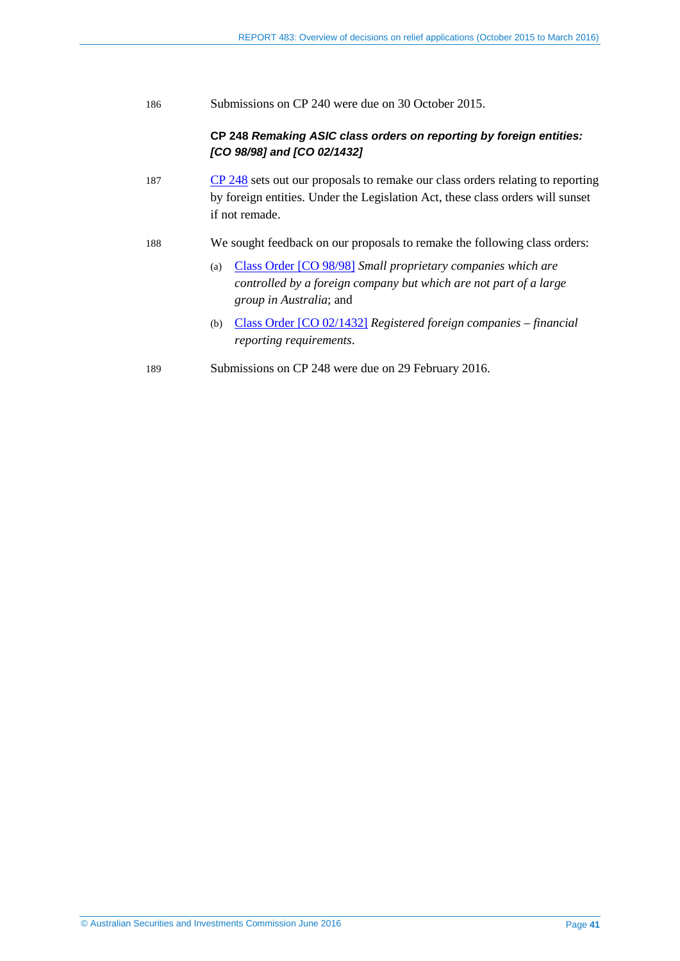186 Submissions on CP 240 were due on 30 October 2015.

#### **CP 248** *Remaking ASIC class orders on reporting by foreign entities: [CO 98/98] and [CO 02/1432]*

- 187 [CP 248](http://www.asic.gov.au/regulatory-resources/find-a-document/consultation-papers/cp-248-remaking-asic-class-orders-on-reporting-by-foreign-entities-co-9898-and-co-021432/) sets out our proposals to remake our class orders relating to reporting by foreign entities. Under the Legislation Act, these class orders will sunset if not remade.
- 188 We sought feedback on our proposals to remake the following class orders:
	- (a) Class [Order \[CO](https://www.legislation.gov.au/Details/F2006B01085) 98/98] *Small proprietary companies which are controlled by a foreign company but which are not part of a large group in Australia*; and
	- (b) Class [Order \[CO 02/1432\]](https://www.legislation.gov.au/Details/F2012C00314) *Registered foreign companies financial reporting requirements*.
- 189 Submissions on CP 248 were due on 29 February 2016.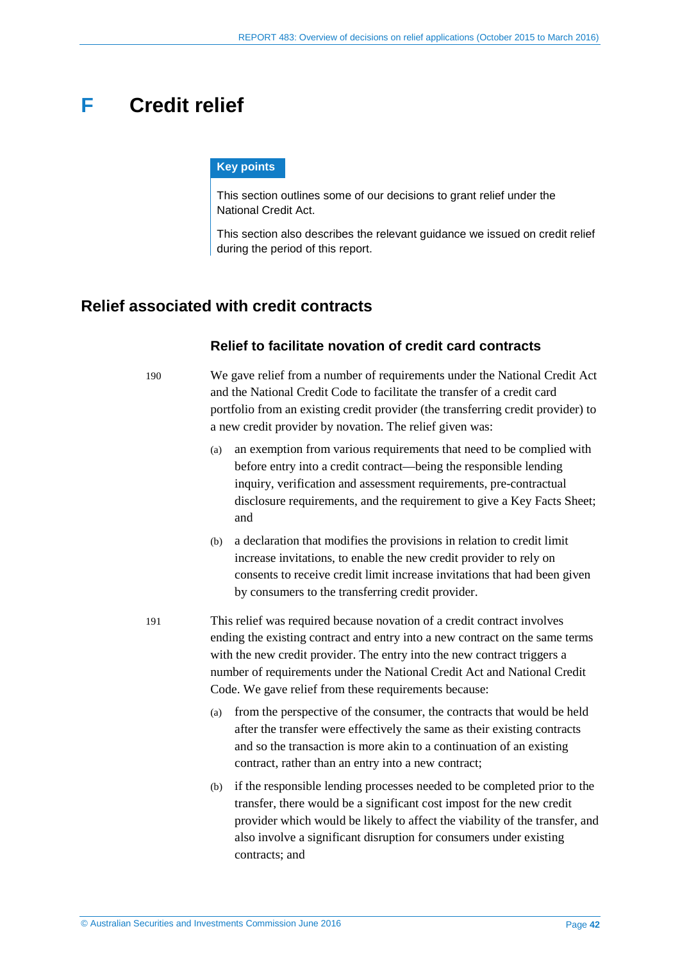# <span id="page-41-0"></span>**F Credit relief**

#### **Key points**

This section outlines some of our decisions to grant relief under the National Credit Act.

This section also describes the relevant guidance we issued on credit relief during the period of this report.

# <span id="page-41-1"></span>**Relief associated with credit contracts**

#### **Relief to facilitate novation of credit card contracts**

190 We gave relief from a number of requirements under the National Credit Act and the National Credit Code to facilitate the transfer of a credit card portfolio from an existing credit provider (the transferring credit provider) to a new credit provider by novation. The relief given was:

- (a) an exemption from various requirements that need to be complied with before entry into a credit contract—being the responsible lending inquiry, verification and assessment requirements, pre-contractual disclosure requirements, and the requirement to give a Key Facts Sheet; and
- (b) a declaration that modifies the provisions in relation to credit limit increase invitations, to enable the new credit provider to rely on consents to receive credit limit increase invitations that had been given by consumers to the transferring credit provider.
- 191 This relief was required because novation of a credit contract involves ending the existing contract and entry into a new contract on the same terms with the new credit provider. The entry into the new contract triggers a number of requirements under the National Credit Act and National Credit Code. We gave relief from these requirements because:
	- (a) from the perspective of the consumer, the contracts that would be held after the transfer were effectively the same as their existing contracts and so the transaction is more akin to a continuation of an existing contract, rather than an entry into a new contract;
	- (b) if the responsible lending processes needed to be completed prior to the transfer, there would be a significant cost impost for the new credit provider which would be likely to affect the viability of the transfer, and also involve a significant disruption for consumers under existing contracts; and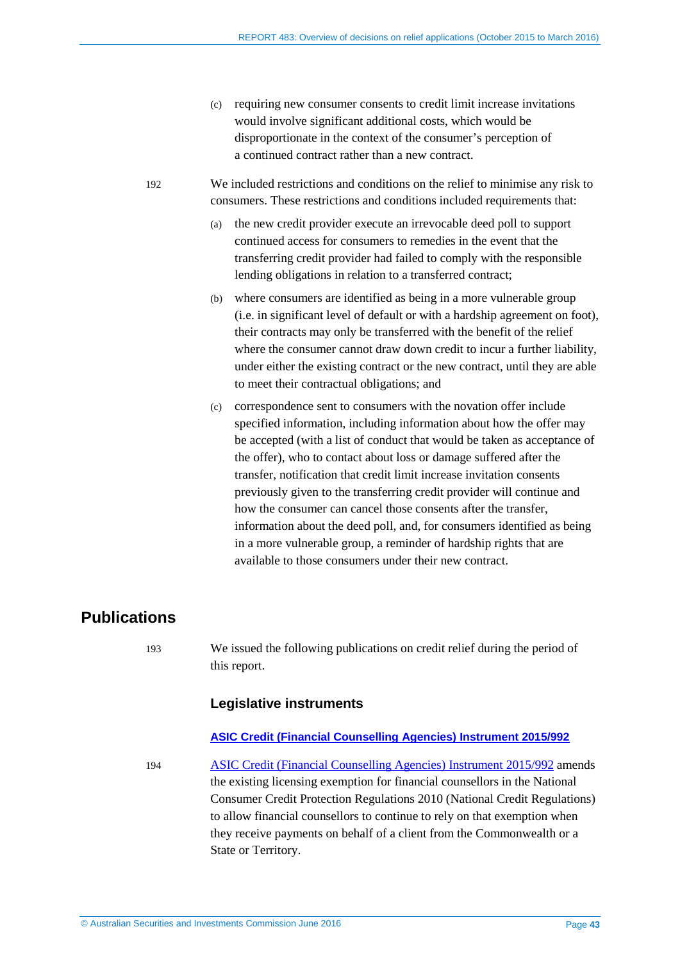(c) requiring new consumer consents to credit limit increase invitations would involve significant additional costs, which would be disproportionate in the context of the consumer's perception of a continued contract rather than a new contract.

192 We included restrictions and conditions on the relief to minimise any risk to consumers. These restrictions and conditions included requirements that:

- (a) the new credit provider execute an irrevocable deed poll to support continued access for consumers to remedies in the event that the transferring credit provider had failed to comply with the responsible lending obligations in relation to a transferred contract;
- (b) where consumers are identified as being in a more vulnerable group (i.e. in significant level of default or with a hardship agreement on foot), their contracts may only be transferred with the benefit of the relief where the consumer cannot draw down credit to incur a further liability, under either the existing contract or the new contract, until they are able to meet their contractual obligations; and
- (c) correspondence sent to consumers with the novation offer include specified information, including information about how the offer may be accepted (with a list of conduct that would be taken as acceptance of the offer), who to contact about loss or damage suffered after the transfer, notification that credit limit increase invitation consents previously given to the transferring credit provider will continue and how the consumer can cancel those consents after the transfer, information about the deed poll, and, for consumers identified as being in a more vulnerable group, a reminder of hardship rights that are available to those consumers under their new contract.

# <span id="page-42-0"></span>**Publications**

193 We issued the following publications on credit relief during the period of this report.

#### **Legislative instruments**

#### **[ASIC Credit \(Financial Counselling Agencies\) Instrument 2015/992](https://www.legislation.gov.au/Details/F2015L01743)**

<span id="page-42-1"></span>194 [ASIC Credit \(Financial Counselling Agencies\) Instrument 2015/992](https://www.legislation.gov.au/Details/F2015L01743) amends the existing licensing exemption for financial counsellors in the National Consumer Credit Protection Regulations 2010 (National Credit Regulations) to allow financial counsellors to continue to rely on that exemption when they receive payments on behalf of a client from the Commonwealth or a State or Territory.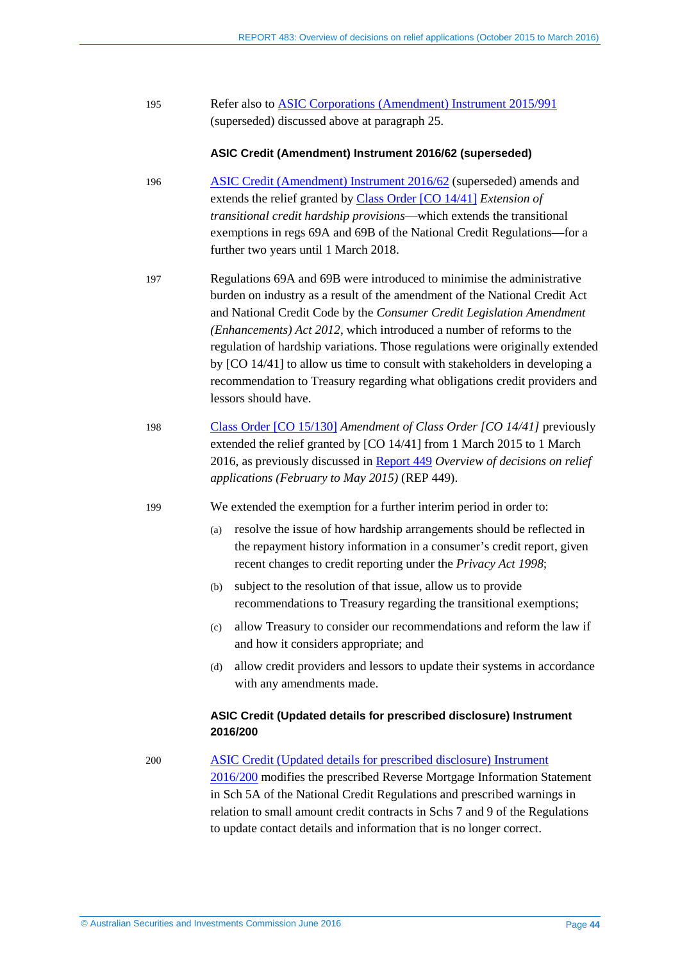| 195 | Refer also to ASIC Corporations (Amendment) Instrument 2015/991 |
|-----|-----------------------------------------------------------------|
|     | (superseded) discussed above at paragraph 25.                   |

#### **ASIC Credit (Amendment) Instrument 2016/62 (superseded)**

- 196 [ASIC Credit \(Amendment\) Instrument 2016/62](https://www.legislation.gov.au/Details/F2016L00105) (superseded) amends and extends the relief granted by Class [Order \[CO](https://www.legislation.gov.au/Details/F2016C00227) 14/41] *Extension of transitional credit hardship provisions*—which extends the transitional exemptions in regs 69A and 69B of the National Credit Regulations—for a further two years until 1 March 2018.
- 197 Regulations 69A and 69B were introduced to minimise the administrative burden on industry as a result of the amendment of the National Credit Act and National Credit Code by the *Consumer Credit Legislation Amendment (Enhancements) Act 2012*, which introduced a number of reforms to the regulation of hardship variations. Those regulations were originally extended by [CO 14/41] to allow us time to consult with stakeholders in developing a recommendation to Treasury regarding what obligations credit providers and lessors should have.
- 198 [Class Order \[CO 15/130\]](https://www.legislation.gov.au/Details/F2015L00195) *Amendment of Class Order [CO 14/41]* previously extended the relief granted by [CO 14/41] from 1 March 2015 to 1 March 2016, as previously discussed in [Report 449](http://www.asic.gov.au/regulatory-resources/find-a-document/reports/rep-449-overview-of-decisions-on-relief-applications-february-to-may-2015/) *Overview of decisions on relief applications (February to May 2015)* (REP 449).

199 We extended the exemption for a further interim period in order to:

- (a) resolve the issue of how hardship arrangements should be reflected in the repayment history information in a consumer's credit report, given recent changes to credit reporting under the *Privacy Act 1998*;
- (b) subject to the resolution of that issue, allow us to provide recommendations to Treasury regarding the transitional exemptions;
- (c) allow Treasury to consider our recommendations and reform the law if and how it considers appropriate; and
- (d) allow credit providers and lessors to update their systems in accordance with any amendments made.

#### **ASIC Credit (Updated details for prescribed disclosure) Instrument 2016/200**

#### 200 [ASIC Credit \(Updated details for prescribed disclosure\) Instrument](https://www.legislation.gov.au/Details/F2016L00319)

[2016/200](https://www.legislation.gov.au/Details/F2016L00319) modifies the prescribed Reverse Mortgage Information Statement in Sch 5A of the National Credit Regulations and prescribed warnings in relation to small amount credit contracts in Schs 7 and 9 of the Regulations to update contact details and information that is no longer correct.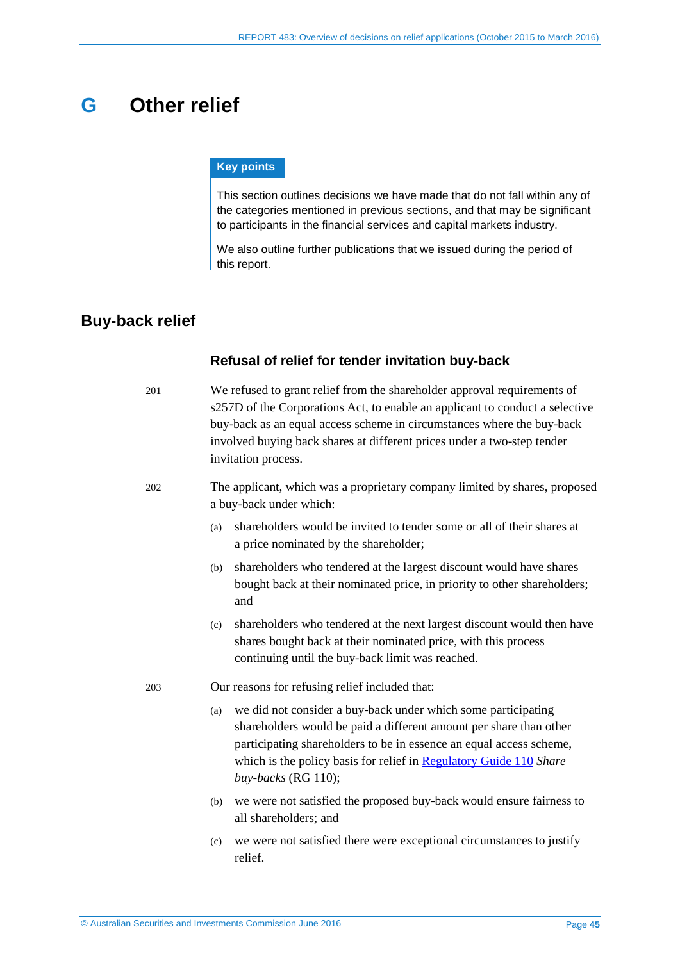# <span id="page-44-0"></span>**G Other relief**

#### **Key points**

This section outlines decisions we have made that do not fall within any of the categories mentioned in previous sections, and that may be significant to participants in the financial services and capital markets industry.

We also outline further publications that we issued during the period of this report.

# <span id="page-44-1"></span>**Buy-back relief**

#### **Refusal of relief for tender invitation buy-back**

201 We refused to grant relief from the shareholder approval requirements of s257D of the Corporations Act, to enable an applicant to conduct a selective buy-back as an equal access scheme in circumstances where the buy-back involved buying back shares at different prices under a two-step tender invitation process.

#### 202 The applicant, which was a proprietary company limited by shares, proposed a buy-back under which:

- (a) shareholders would be invited to tender some or all of their shares at a price nominated by the shareholder;
- (b) shareholders who tendered at the largest discount would have shares bought back at their nominated price, in priority to other shareholders; and
- (c) shareholders who tendered at the next largest discount would then have shares bought back at their nominated price, with this process continuing until the buy-back limit was reached.
- 203 Our reasons for refusing relief included that:
	- (a) we did not consider a buy-back under which some participating shareholders would be paid a different amount per share than other participating shareholders to be in essence an equal access scheme, which is the policy basis for relief in [Regulatory Guide 110](http://www.asic.gov.au/regulatory-resources/find-a-document/regulatory-guides/rg-110-share-buy-backs/) *Share buy-backs* (RG 110);
	- (b) we were not satisfied the proposed buy-back would ensure fairness to all shareholders; and
	- (c) we were not satisfied there were exceptional circumstances to justify relief.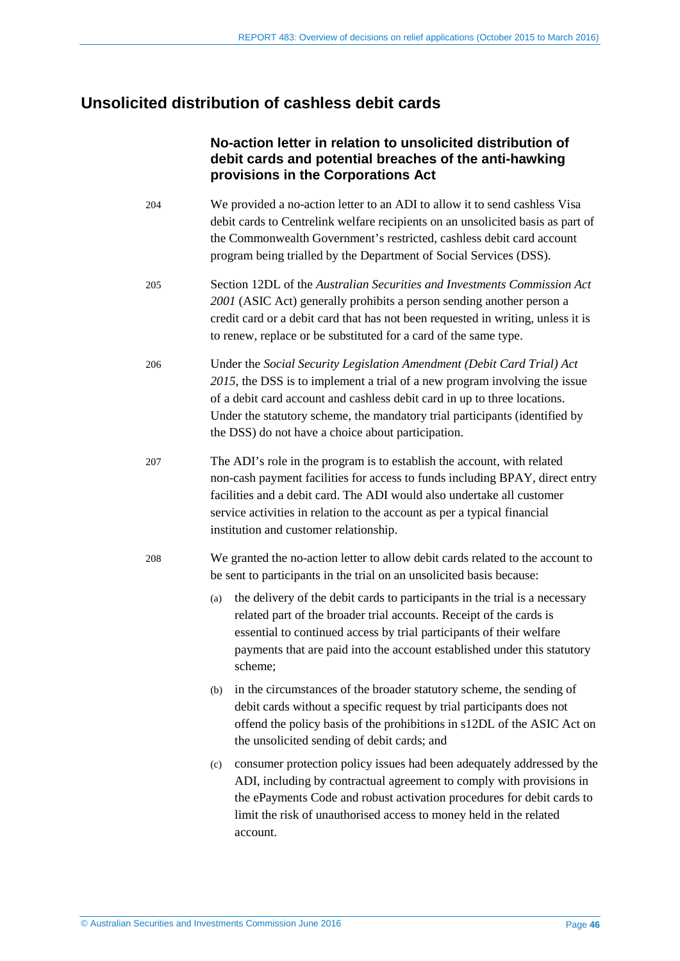# <span id="page-45-0"></span>**Unsolicited distribution of cashless debit cards**

# **No-action letter in relation to unsolicited distribution of debit cards and potential breaches of the anti-hawking provisions in the Corporations Act**

- 204 We provided a no-action letter to an ADI to allow it to send cashless Visa debit cards to Centrelink welfare recipients on an unsolicited basis as part of the Commonwealth Government's restricted, cashless debit card account program being trialled by the Department of Social Services (DSS).
- 205 Section 12DL of the *Australian Securities and Investments Commission Act 2001* (ASIC Act) generally prohibits a person sending another person a credit card or a debit card that has not been requested in writing, unless it is to renew, replace or be substituted for a card of the same type.
- 206 Under the *Social Security Legislation Amendment (Debit Card Trial) Act 2015*, the DSS is to implement a trial of a new program involving the issue of a debit card account and cashless debit card in up to three locations. Under the statutory scheme, the mandatory trial participants (identified by the DSS) do not have a choice about participation.
- 207 The ADI's role in the program is to establish the account, with related non-cash payment facilities for access to funds including BPAY, direct entry facilities and a debit card. The ADI would also undertake all customer service activities in relation to the account as per a typical financial institution and customer relationship.
- 208 We granted the no-action letter to allow debit cards related to the account to be sent to participants in the trial on an unsolicited basis because:
	- (a) the delivery of the debit cards to participants in the trial is a necessary related part of the broader trial accounts. Receipt of the cards is essential to continued access by trial participants of their welfare payments that are paid into the account established under this statutory scheme;
	- (b) in the circumstances of the broader statutory scheme, the sending of debit cards without a specific request by trial participants does not offend the policy basis of the prohibitions in s12DL of the ASIC Act on the unsolicited sending of debit cards; and
	- (c) consumer protection policy issues had been adequately addressed by the ADI, including by contractual agreement to comply with provisions in the ePayments Code and robust activation procedures for debit cards to limit the risk of unauthorised access to money held in the related account.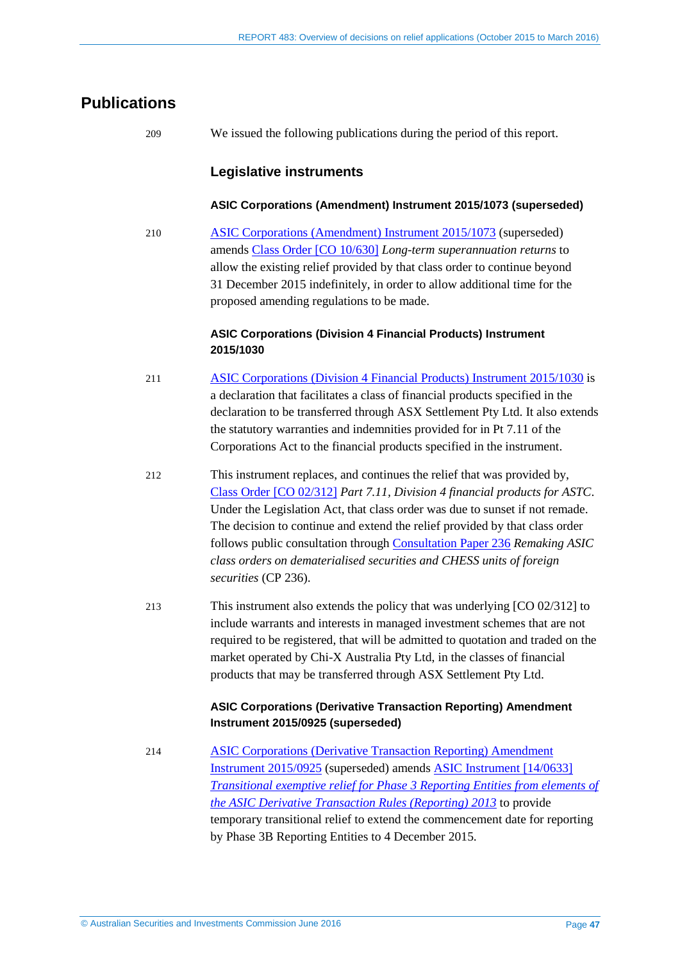# <span id="page-46-0"></span>**Publications**

209 We issued the following publications during the period of this report.

### **Legislative instruments**

#### **ASIC Corporations (Amendment) Instrument 2015/1073 (superseded)**

210 [ASIC Corporations \(Amendment\) Instrument 2015/1073](https://www.legislation.gov.au/Details/F2015L01953) (superseded) amends Class [Order \[CO 10/630\]](https://www.legislation.gov.au/Details/F2015C00983) *Long-term superannuation returns* to allow the existing relief provided by that class order to continue beyond 31 December 2015 indefinitely, in order to allow additional time for the proposed amending regulations to be made.

#### **ASIC Corporations (Division 4 Financial Products) Instrument 2015/1030**

- 211 [ASIC Corporations \(Division 4 Financial Products\) Instrument 2015/1030](https://www.legislation.gov.au/Details/F2015L01771) is a declaration that facilitates a class of financial products specified in the declaration to be transferred through ASX Settlement Pty Ltd. It also extends the statutory warranties and indemnities provided for in Pt 7.11 of the Corporations Act to the financial products specified in the instrument.
- 212 This instrument replaces, and continues the relief that was provided by, Class [Order \[CO 02/312\]](https://www.legislation.gov.au/Details/F2014C01236) *Part 7.11, Division 4 financial products for ASTC*. Under the Legislation Act, that class order was due to sunset if not remade. The decision to continue and extend the relief provided by that class order follows public consultation through [Consultation Paper 236](http://www.asic.gov.au/regulatory-resources/find-a-document/consultation-papers/cp-236-remaking-asic-class-orders-on-dematerialised-securities-and-chess-units-of-foreign-securities/) *Remaking ASIC class orders on dematerialised securities and CHESS units of foreign securities* (CP 236).
- 213 This instrument also extends the policy that was underlying [CO 02/312] to include warrants and interests in managed investment schemes that are not required to be registered, that will be admitted to quotation and traded on the market operated by Chi-X Australia Pty Ltd, in the classes of financial products that may be transferred through ASX Settlement Pty Ltd.

#### **ASIC Corporations (Derivative Transaction Reporting) Amendment Instrument 2015/0925 (superseded)**

214 [ASIC Corporations \(Derivative Transaction Reporting\) Amendment](https://www.legislation.gov.au/Details/F2015L01642)  [Instrument 2015/0925](https://www.legislation.gov.au/Details/F2015L01642) (superseded) amends [ASIC Instrument \[14/0633\]](https://www.legislation.gov.au/Details/F2016C00229)  *[Transitional exemptive relief for Phase](https://www.legislation.gov.au/Details/F2016C00229) 3 Reporting Entities from elements of [the ASIC Derivative Transaction Rules \(Reporting\) 2013](https://www.legislation.gov.au/Details/F2016C00229)* to provide temporary transitional relief to extend the commencement date for reporting by Phase 3B Reporting Entities to 4 December 2015.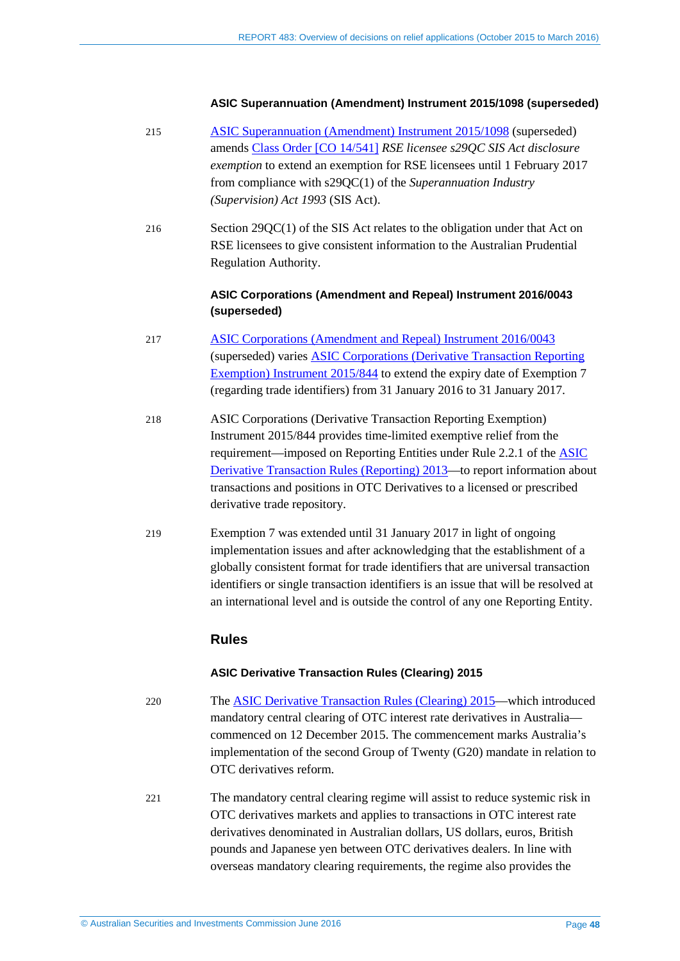#### **ASIC Superannuation (Amendment) Instrument 2015/1098 (superseded)**

- 215 [ASIC Superannuation \(Amendment\) Instrument 2015/1098](https://www.legislation.gov.au/Details/F2015L02012) (superseded) amends Class [Order \[CO 14/541\]](https://www.legislation.gov.au/Details/F2015C00988) *RSE licensee s29QC SIS Act disclosure exemption* to extend an exemption for RSE licensees until 1 February 2017 from compliance with s29QC(1) of the *Superannuation Industry (Supervision) Act 1993* (SIS Act).
- 216 Section 29QC(1) of the SIS Act relates to the obligation under that Act on RSE licensees to give consistent information to the Australian Prudential Regulation Authority.

#### **ASIC Corporations (Amendment and Repeal) Instrument 2016/0043 (superseded)**

- 217 [ASIC Corporations \(Amendment and Repeal\) Instrument 2016/0043](https://www.legislation.gov.au/Details/F2016L00072) (superseded) varies ASIC Corporations [\(Derivative Transaction Reporting](https://www.legislation.gov.au/Details/F2015L01530)  [Exemption\) Instrument 2015/844](https://www.legislation.gov.au/Details/F2015L01530) to extend the expiry date of Exemption 7 (regarding trade identifiers) from 31 January 2016 to 31 January 2017.
- 218 ASIC Corporations (Derivative Transaction Reporting Exemption) Instrument 2015/844 provides time-limited exemptive relief from the requirement—imposed on Reporting Entities under Rule 2.2.1 of the [ASIC](https://www.legislation.gov.au/Details/F2015C00262)  [Derivative Transaction Rules \(Reporting\) 2013—](https://www.legislation.gov.au/Details/F2015C00262)to report information about transactions and positions in OTC Derivatives to a licensed or prescribed derivative trade repository.
- 219 Exemption 7 was extended until 31 January 2017 in light of ongoing implementation issues and after acknowledging that the establishment of a globally consistent format for trade identifiers that are universal transaction identifiers or single transaction identifiers is an issue that will be resolved at an international level and is outside the control of any one Reporting Entity.

#### **Rules**

#### **ASIC Derivative Transaction Rules (Clearing) 2015**

- 220 The [ASIC Derivative Transaction Rules \(Clearing\) 2015—](https://www.legislation.gov.au/Details/F2015L01960)which introduced mandatory central clearing of OTC interest rate derivatives in Australia commenced on 12 December 2015. The commencement marks Australia's implementation of the second Group of Twenty (G20) mandate in relation to OTC derivatives reform.
- 221 The mandatory central clearing regime will assist to reduce systemic risk in OTC derivatives markets and applies to transactions in OTC interest rate derivatives denominated in Australian dollars, US dollars, euros, British pounds and Japanese yen between OTC derivatives dealers. In line with overseas mandatory clearing requirements, the regime also provides the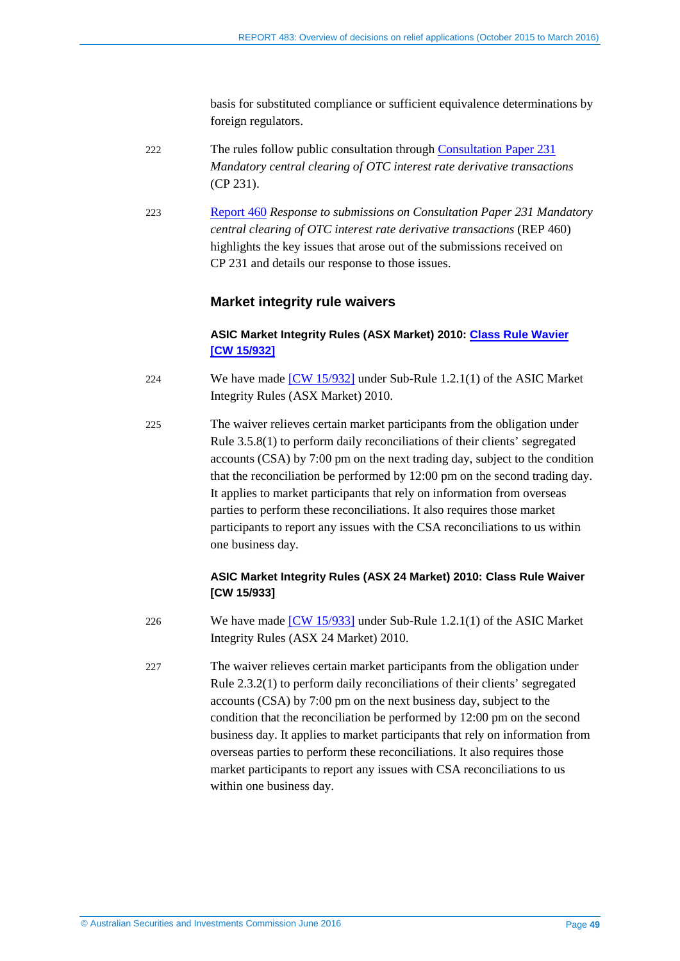basis for substituted compliance or sufficient equivalence determinations by foreign regulators.

- 222 The rules follow public consultation through [Consultation Paper 231](http://www.asic.gov.au/regulatory-resources/find-a-document/consultation-papers/cp-231-mandatory-central-clearing-of-otc-interest-rate-derivative-transactions/) *Mandatory central clearing of OTC interest rate derivative transactions* (CP 231).
- 223 [Report 460](http://www.asic.gov.au/regulatory-resources/find-a-document/reports/rep-460-response-to-submissions-on-consultation-paper-231-mandatory-central-clearing-of-otc-interest-rate-derivative-transactions/) *Response to submissions on Consultation Paper 231 Mandatory central clearing of OTC interest rate derivative transactions* (REP 460) highlights the key issues that arose out of the submissions received on CP 231 and details our response to those issues.

#### **Market integrity rule waivers**

#### **ASIC Market Integrity Rules (ASX Market) 2010: Class [Rule Wavier](https://www.legislation.gov.au/Details/F2015L02009)  [CW [15/932\]](https://www.legislation.gov.au/Details/F2015L02009)**

- 224 We have made [CW [15/932\]](https://www.legislation.gov.au/Details/F2016C00249) under Sub-Rule 1.2.1(1) of the ASIC Market Integrity Rules (ASX Market) 2010.
- 225 The waiver relieves certain market participants from the obligation under Rule 3.5.8(1) to perform daily reconciliations of their clients' segregated accounts (CSA) by 7:00 pm on the next trading day, subject to the condition that the reconciliation be performed by 12:00 pm on the second trading day. It applies to market participants that rely on information from overseas parties to perform these reconciliations. It also requires those market participants to report any issues with the CSA reconciliations to us within one business day.

#### **ASIC Market Integrity Rules (ASX 24 Market) 2010: Class Rule Waiver [CW 15/933]**

- 226 We have made [CW [15/933\]](https://www.legislation.gov.au/Details/F2014C00748) under Sub-Rule 1.2.1(1) of the ASIC Market Integrity Rules (ASX 24 Market) 2010.
- 227 The waiver relieves certain market participants from the obligation under Rule 2.3.2(1) to perform daily reconciliations of their clients' segregated accounts (CSA) by 7:00 pm on the next business day, subject to the condition that the reconciliation be performed by 12:00 pm on the second business day. It applies to market participants that rely on information from overseas parties to perform these reconciliations. It also requires those market participants to report any issues with CSA reconciliations to us within one business day.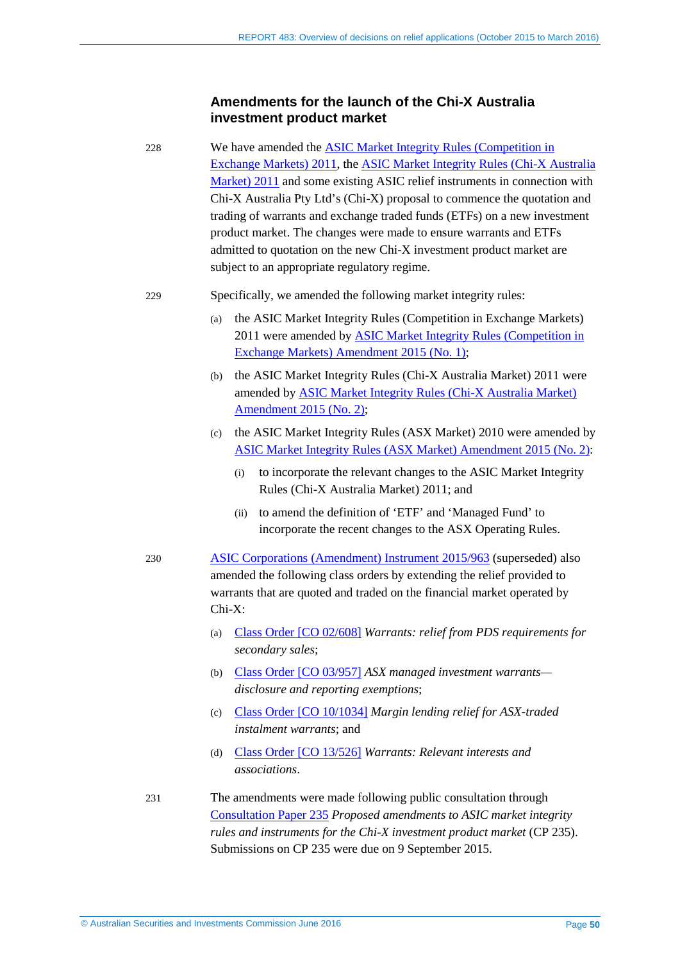#### **Amendments for the launch of the Chi-X Australia investment product market**

228 We have amended the [ASIC Market Integrity Rules \(Competition in](https://www.legislation.gov.au/Details/F2016C00254)  [Exchange Markets\) 2011,](https://www.legislation.gov.au/Details/F2016C00254) the [ASIC Market Integrity Rules \(Chi-X Australia](https://www.legislation.gov.au/Details/F2016C00251)  [Market\) 2011](https://www.legislation.gov.au/Details/F2016C00251) and some existing ASIC relief instruments in connection with Chi-X Australia Pty Ltd's (Chi-X) proposal to commence the quotation and trading of warrants and exchange traded funds (ETFs) on a new investment product market. The changes were made to ensure warrants and ETFs admitted to quotation on the new Chi-X investment product market are subject to an appropriate regulatory regime.

#### 229 Specifically, we amended the following market integrity rules:

- (a) the ASIC Market Integrity Rules (Competition in Exchange Markets) 2011 were amended b[y ASIC Market Integrity Rules \(Competition in](https://www.legislation.gov.au/Details/F2015L01694)  [Exchange Markets\) Amendment 2015 \(No. 1\);](https://www.legislation.gov.au/Details/F2015L01694)
- (b) the ASIC Market Integrity Rules (Chi-X Australia Market) 2011 were amended by [ASIC Market Integrity Rules \(Chi-X Australia Market\)](https://www.legislation.gov.au/Details/F2015L01696)  [Amendment 2015 \(No. 2\);](https://www.legislation.gov.au/Details/F2015L01696)
- (c) the ASIC Market Integrity Rules (ASX Market) 2010 were amended by [ASIC Market Integrity Rules \(ASX Market\) Amendment 2015 \(No. 2\):](https://www.legislation.gov.au/Details/F2015L01695)
	- (i) to incorporate the relevant changes to the ASIC Market Integrity Rules (Chi-X Australia Market) 2011; and
	- (ii) to amend the definition of 'ETF' and 'Managed Fund' to incorporate the recent changes to the ASX Operating Rules.
- 230 [ASIC Corporations \(Amendment\) Instrument 2015/963](https://www.legislation.gov.au/Details/F2015L01767) (superseded) also amended the following class orders by extending the relief provided to warrants that are quoted and traded on the financial market operated by Chi-X:
	- (a) Class [Order \[CO 02/608\]](https://www.legislation.gov.au/Details/F2015C00906) *Warrants: relief from PDS requirements for secondary sales*;
	- (b) Class [Order \[CO 03/957\]](https://www.legislation.gov.au/Details/F2012C00315) *ASX managed investment warrants disclosure and reporting exemptions*;
	- (c) Class [Order \[CO 10/1034\]](https://www.legislation.gov.au/Details/F2015C00908) *Margin lending relief for ASX-traded instalment warrants*; and
	- (d) Class [Order \[CO 13/526\]](https://www.legislation.gov.au/Details/F2013L01091) *Warrants: Relevant interests and associations*.
- 231 The amendments were made following public consultation through [Consultation Paper 235](http://www.asic.gov.au/regulatory-resources/find-a-document/consultation-papers/cp-235-proposed-amendments-to-asic-market-integrity-rules-and-instruments-for-the-chi-x-investment-product-market/) *Proposed amendments to ASIC market integrity rules and instruments for the Chi-X investment product market* (CP 235). Submissions on CP 235 were due on 9 September 2015.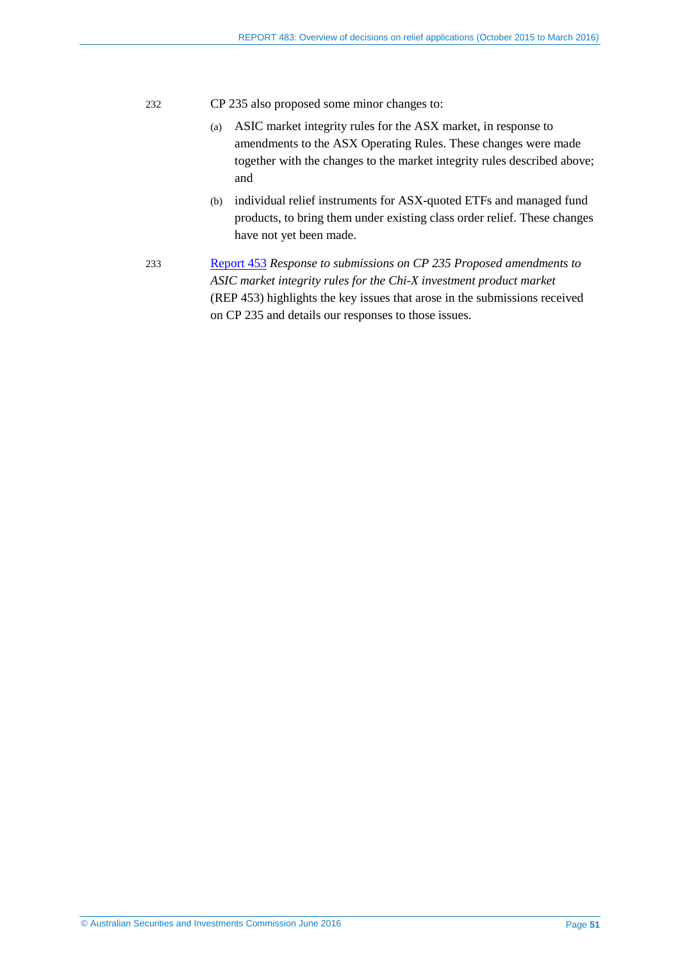- 232 CP 235 also proposed some minor changes to:
	- (a) ASIC market integrity rules for the ASX market, in response to amendments to the ASX Operating Rules. These changes were made together with the changes to the market integrity rules described above; and
	- (b) individual relief instruments for ASX-quoted ETFs and managed fund products, to bring them under existing class order relief. These changes have not yet been made.
- 233 [Report 453](http://www.asic.gov.au/regulatory-resources/find-a-document/reports/rep-453-response-to-submissions-on-cp-235-proposed-amendments-to-asic-market-integrity-rules-for-the-chi-x-investment-product-market/) *Response to submissions on CP 235 Proposed amendments to ASIC market integrity rules for the Chi-X investment product market* (REP 453) highlights the key issues that arose in the submissions received on CP 235 and details our responses to those issues.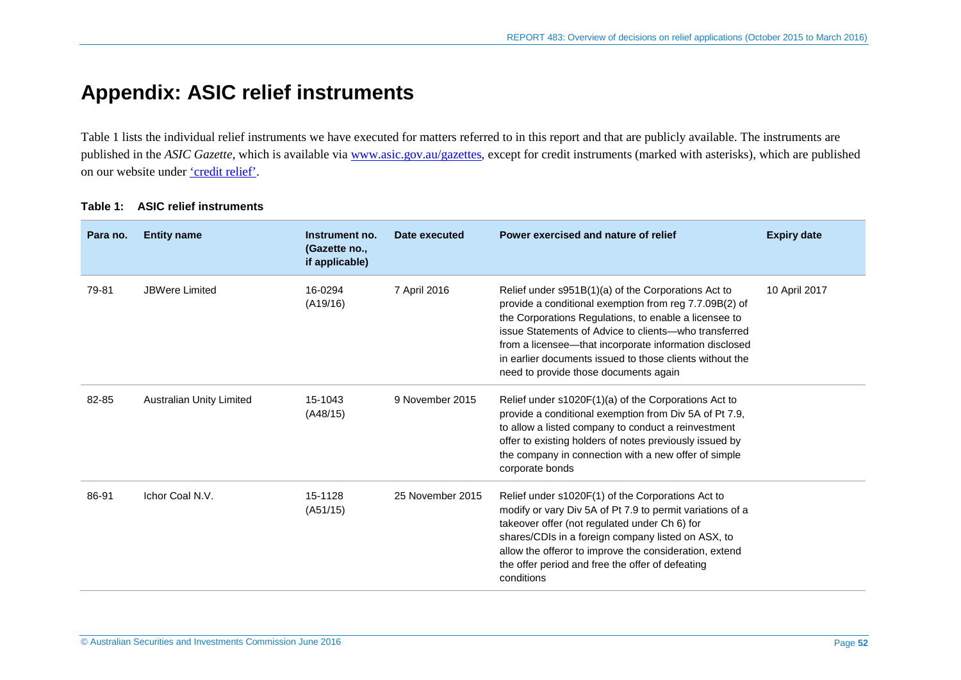# **Appendix: ASIC relief instruments**

[Table 1](#page-51-1) lists the individual relief instruments we have executed for matters referred to in this report and that are publicly available. The instruments are published in the *ASIC Gazette*, which is available via [www.asic.gov.au/gazettes,](http://www.asic.gov.au/gazettes) except for credit instruments (marked with asterisks), which are published on our website under ['credit](http://asic.gov.au/regulatory-resources/credit/credit-relief/) relief'.

<span id="page-51-0"></span>

| Para no. | <b>Entity name</b>              | Instrument no.<br>(Gazette no.,<br>if applicable) | Date executed    | Power exercised and nature of relief                                                                                                                                                                                                                                                                                                                                                           | <b>Expiry date</b> |
|----------|---------------------------------|---------------------------------------------------|------------------|------------------------------------------------------------------------------------------------------------------------------------------------------------------------------------------------------------------------------------------------------------------------------------------------------------------------------------------------------------------------------------------------|--------------------|
| 79-81    | <b>JBWere Limited</b>           | 16-0294<br>(A19/16)                               | 7 April 2016     | Relief under s951B(1)(a) of the Corporations Act to<br>provide a conditional exemption from reg 7.7.09B(2) of<br>the Corporations Regulations, to enable a licensee to<br>issue Statements of Advice to clients—who transferred<br>from a licensee—that incorporate information disclosed<br>in earlier documents issued to those clients without the<br>need to provide those documents again | 10 April 2017      |
| 82-85    | <b>Australian Unity Limited</b> | 15-1043<br>(A48/15)                               | 9 November 2015  | Relief under s1020F(1)(a) of the Corporations Act to<br>provide a conditional exemption from Div 5A of Pt 7.9,<br>to allow a listed company to conduct a reinvestment<br>offer to existing holders of notes previously issued by<br>the company in connection with a new offer of simple<br>corporate bonds                                                                                    |                    |
| 86-91    | Ichor Coal N.V.                 | 15-1128<br>(A51/15)                               | 25 November 2015 | Relief under s1020F(1) of the Corporations Act to<br>modify or vary Div 5A of Pt 7.9 to permit variations of a<br>takeover offer (not regulated under Ch 6) for<br>shares/CDIs in a foreign company listed on ASX, to<br>allow the offeror to improve the consideration, extend<br>the offer period and free the offer of defeating<br>conditions                                              |                    |

#### <span id="page-51-1"></span>**Table 1: ASIC relief instruments**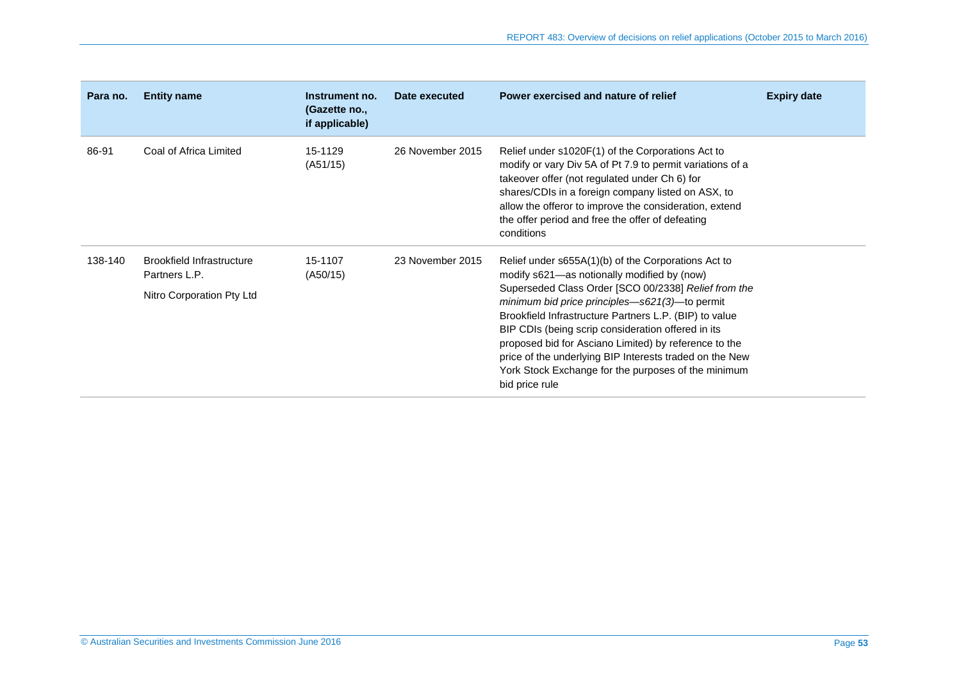| Para no. | <b>Entity name</b>                                                             | Instrument no.<br>(Gazette no.,<br>if applicable) | Date executed    | Power exercised and nature of relief                                                                                                                                                                                                                                                                                                                                                                                                                                                                                      | <b>Expiry date</b> |
|----------|--------------------------------------------------------------------------------|---------------------------------------------------|------------------|---------------------------------------------------------------------------------------------------------------------------------------------------------------------------------------------------------------------------------------------------------------------------------------------------------------------------------------------------------------------------------------------------------------------------------------------------------------------------------------------------------------------------|--------------------|
| 86-91    | Coal of Africa Limited                                                         | 15-1129<br>(A51/15)                               | 26 November 2015 | Relief under s1020F(1) of the Corporations Act to<br>modify or vary Div 5A of Pt 7.9 to permit variations of a<br>takeover offer (not regulated under Ch 6) for<br>shares/CDIs in a foreign company listed on ASX, to<br>allow the offeror to improve the consideration, extend<br>the offer period and free the offer of defeating<br>conditions                                                                                                                                                                         |                    |
| 138-140  | <b>Brookfield Infrastructure</b><br>Partners L.P.<br>Nitro Corporation Pty Ltd | 15-1107<br>(A50/15)                               | 23 November 2015 | Relief under s655A(1)(b) of the Corporations Act to<br>modify s621-as notionally modified by (now)<br>Superseded Class Order [SCO 00/2338] Relief from the<br>minimum bid price principles—s621(3)—to permit<br>Brookfield Infrastructure Partners L.P. (BIP) to value<br>BIP CDIs (being scrip consideration offered in its<br>proposed bid for Asciano Limited) by reference to the<br>price of the underlying BIP Interests traded on the New<br>York Stock Exchange for the purposes of the minimum<br>bid price rule |                    |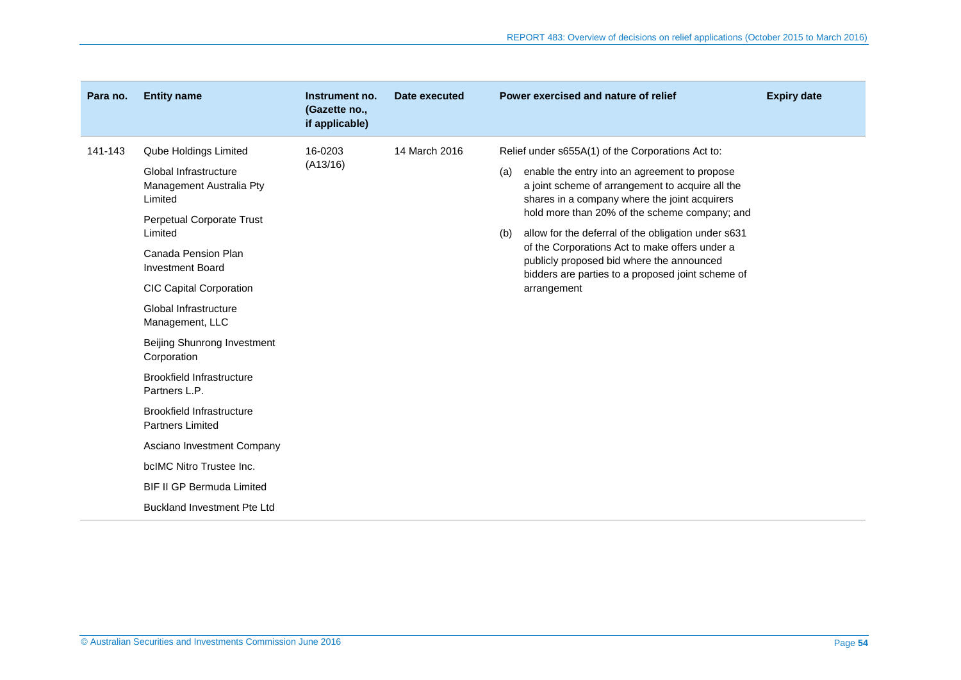| Para no. | <b>Entity name</b>                                           | Instrument no.<br>(Gazette no.,<br>if applicable) | Date executed | Power exercised and nature of relief                                                                                                                      | <b>Expiry date</b> |
|----------|--------------------------------------------------------------|---------------------------------------------------|---------------|-----------------------------------------------------------------------------------------------------------------------------------------------------------|--------------------|
| 141-143  | Qube Holdings Limited                                        | 16-0203                                           | 14 March 2016 | Relief under s655A(1) of the Corporations Act to:                                                                                                         |                    |
|          | Global Infrastructure<br>Management Australia Pty<br>Limited | (A13/16)                                          |               | enable the entry into an agreement to propose<br>(a)<br>a joint scheme of arrangement to acquire all the<br>shares in a company where the joint acquirers |                    |
|          | Perpetual Corporate Trust                                    |                                                   |               | hold more than 20% of the scheme company; and                                                                                                             |                    |
|          | Limited                                                      |                                                   |               | allow for the deferral of the obligation under s631<br>(b)<br>of the Corporations Act to make offers under a                                              |                    |
|          | Canada Pension Plan<br><b>Investment Board</b>               |                                                   |               | publicly proposed bid where the announced                                                                                                                 |                    |
|          | <b>CIC Capital Corporation</b>                               |                                                   |               | bidders are parties to a proposed joint scheme of<br>arrangement                                                                                          |                    |
|          | Global Infrastructure<br>Management, LLC                     |                                                   |               |                                                                                                                                                           |                    |
|          | Beijing Shunrong Investment<br>Corporation                   |                                                   |               |                                                                                                                                                           |                    |
|          | Brookfield Infrastructure<br>Partners L.P.                   |                                                   |               |                                                                                                                                                           |                    |
|          | Brookfield Infrastructure<br><b>Partners Limited</b>         |                                                   |               |                                                                                                                                                           |                    |
|          | Asciano Investment Company                                   |                                                   |               |                                                                                                                                                           |                    |
|          | bcIMC Nitro Trustee Inc.                                     |                                                   |               |                                                                                                                                                           |                    |
|          | <b>BIF II GP Bermuda Limited</b>                             |                                                   |               |                                                                                                                                                           |                    |
|          | <b>Buckland Investment Pte Ltd</b>                           |                                                   |               |                                                                                                                                                           |                    |